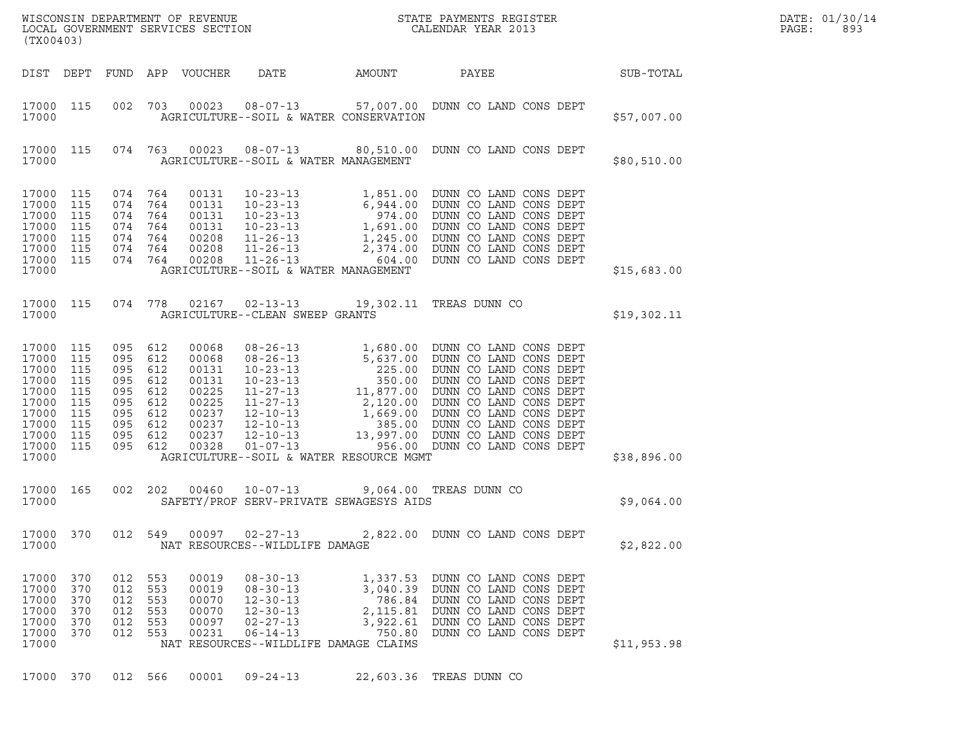| (TX00403)                                                                                                                               |                                 |                                                                                |                                               |                                                                                        |                                                                                                                                                   |                                                                  |                                                                                                                                                                                                                                                                                                  |  | DATE: 01/30/14<br>PAGE:<br>893 |  |
|-----------------------------------------------------------------------------------------------------------------------------------------|---------------------------------|--------------------------------------------------------------------------------|-----------------------------------------------|----------------------------------------------------------------------------------------|---------------------------------------------------------------------------------------------------------------------------------------------------|------------------------------------------------------------------|--------------------------------------------------------------------------------------------------------------------------------------------------------------------------------------------------------------------------------------------------------------------------------------------------|--|--------------------------------|--|
|                                                                                                                                         |                                 |                                                                                |                                               | DIST DEPT FUND APP VOUCHER                                                             | DATE AMOUNT                                                                                                                                       |                                                                  | PAYEE                                                                                                                                                                                                                                                                                            |  | <b>SUB-TOTAL</b>               |  |
| 17000 115<br>17000                                                                                                                      |                                 |                                                                                |                                               |                                                                                        |                                                                                                                                                   | AGRICULTURE--SOIL & WATER CONSERVATION                           | 002 703 00023 08-07-13 57,007.00 DUNN CO LAND CONS DEPT                                                                                                                                                                                                                                          |  | \$57,007.00                    |  |
| 17000                                                                                                                                   | 17000 115                       |                                                                                |                                               |                                                                                        | AGRICULTURE--SOIL & WATER MANAGEMENT                                                                                                              |                                                                  | 074 763 00023 08-07-13 80,510.00 DUNN CO LAND CONS DEPT                                                                                                                                                                                                                                          |  | \$80,510.00                    |  |
| 17000 115<br>17000 115<br>17000 115<br>17000 115<br>17000 115<br>17000 115<br>17000 115<br>17000                                        |                                 | 074 764<br>074 764<br>074 764                                                  | 074 764<br>074 764<br>074 764<br>074 764      | 00131<br>00131<br>00131<br>00131<br>00208<br>00208<br>00208                            | AGRICULTURE--SOIL & WATER MANAGEMENT                                                                                                              |                                                                  |                                                                                                                                                                                                                                                                                                  |  | \$15,683.00                    |  |
| 17000                                                                                                                                   | 17000 115                       |                                                                                |                                               |                                                                                        | AGRICULTURE--CLEAN SWEEP GRANTS                                                                                                                   |                                                                  | 074 778 02167 02-13-13 19,302.11 TREAS DUNN CO                                                                                                                                                                                                                                                   |  | \$19,302.11                    |  |
| 17000 115<br>17000 115<br>17000 115<br>17000 115<br>17000 115<br>17000 115<br>17000 115<br>17000 115<br>17000 115<br>17000 115<br>17000 |                                 | 095 612<br>095<br>095<br>095<br>095<br>095<br>095<br>095<br>095 612<br>095 612 | 612<br>612<br>612<br>612<br>612<br>612<br>612 | 00068<br>00068<br>00131<br>00131<br>00225<br>00225<br>00237<br>00237<br>00237<br>00328 |                                                                                                                                                   | AGRICULTURE--SOIL & WATER RESOURCE MGMT                          | 08-26-13 1,680.00 DUNN CO LAND CONS DEPT<br>08-26-13<br>08-26-13<br>08-26-13<br>1,680.00 DUNN CO LAND CONS DEPT<br>10-23-13<br>225.00 DUNN CO LAND CONS DEPT<br>10-23-13<br>350.00 DUNN CO LAND CONS DEPT<br>11-27-13<br>2,120.00 DUNN CO LAND CONS DEPT<br>12-10-13<br>1,669.00 DUNN CO LAND CO |  | \$38,896.00                    |  |
| 17000 165<br>17000                                                                                                                      |                                 |                                                                                |                                               |                                                                                        |                                                                                                                                                   | SAFETY/PROF SERV-PRIVATE SEWAGESYS AIDS                          | 002 202 00460 10-07-13 9,064.00 TREAS DUNN CO                                                                                                                                                                                                                                                    |  | \$9,064.00                     |  |
| 17000 370<br>17000                                                                                                                      |                                 | 012                                                                            | 549                                           |                                                                                        | 00097 02-27-13<br>NAT RESOURCES--WILDLIFE DAMAGE                                                                                                  |                                                                  | 2,822.00 DUNN CO LAND CONS DEPT                                                                                                                                                                                                                                                                  |  | \$2,822.00                     |  |
| 17000 370<br>17000<br>17000<br>17000<br>17000<br>17000<br>17000                                                                         | 370<br>370<br>370<br>370<br>370 | 012<br>012<br>012<br>012<br>012<br>012                                         | 553<br>553<br>553<br>553<br>553<br>553        | 00019<br>00019<br>00070<br>00070<br>00097<br>00231                                     | $08 - 30 - 13$<br>$08 - 30 - 13$<br>$12 - 30 - 13$<br>$12 - 30 - 13$<br>$02 - 27 - 13$<br>$06 - 14 - 13$<br>NAT RESOURCES--WILDLIFE DAMAGE CLAIMS | 1,337.53<br>3,040.39<br>786.84<br>2,115.81<br>3,922.61<br>750.80 | DUNN CO LAND CONS DEPT<br>DUNN CO LAND CONS DEPT<br>DUNN CO LAND CONS DEPT<br>DUNN CO LAND CONS DEPT<br>DUNN CO LAND CONS DEPT<br>DUNN CO LAND CONS DEPT                                                                                                                                         |  | \$11,953.98                    |  |
| 17000 370                                                                                                                               |                                 |                                                                                | 012 566                                       | 00001                                                                                  | $09 - 24 - 13$                                                                                                                                    |                                                                  | 22,603.36 TREAS DUNN CO                                                                                                                                                                                                                                                                          |  |                                |  |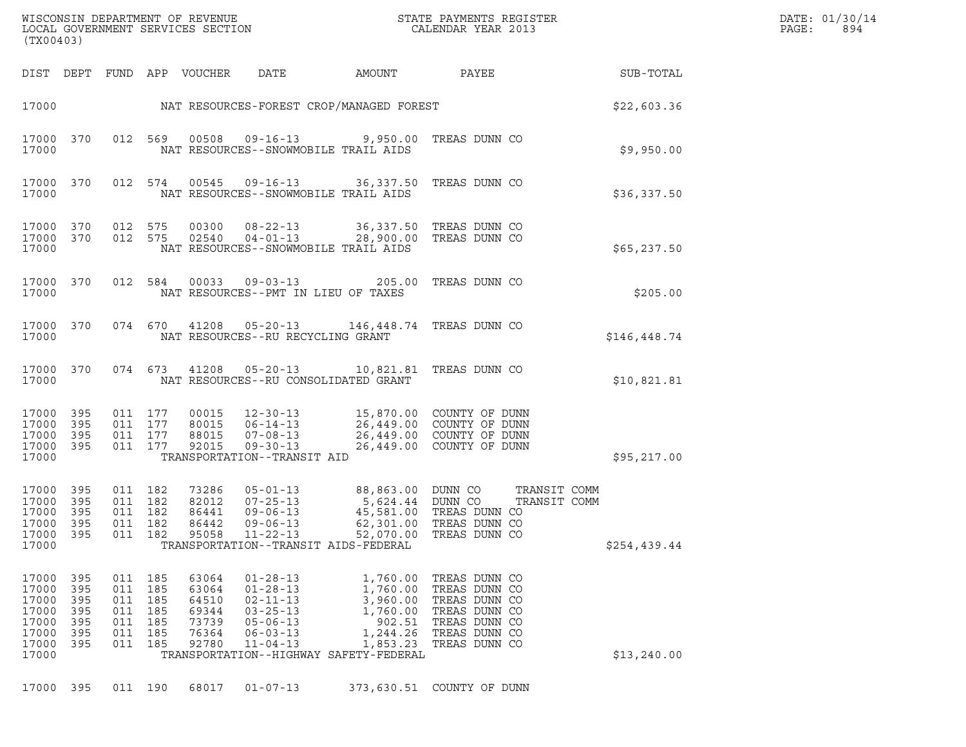|                                                             | (TX00403)                                             |                                 | WISCONSIN DEPARTMENT OF REVENUE<br>LOCAL GOVERNMENT SERVICES SECTION                                                 |                                                                                                                                |                                                                                                                          | STATE PAYMENTS REGISTER<br>CALENDAR YEAR 2013                                                                       |              | DATE: 01/30/14<br>PAGE:<br>894 |
|-------------------------------------------------------------|-------------------------------------------------------|---------------------------------|----------------------------------------------------------------------------------------------------------------------|--------------------------------------------------------------------------------------------------------------------------------|--------------------------------------------------------------------------------------------------------------------------|---------------------------------------------------------------------------------------------------------------------|--------------|--------------------------------|
|                                                             | DIST DEPT                                             |                                 | FUND APP VOUCHER                                                                                                     | DATE                                                                                                                           | AMOUNT                                                                                                                   | PAYEE                                                                                                               | SUB-TOTAL    |                                |
|                                                             |                                                       |                                 |                                                                                                                      |                                                                                                                                | 17000 NAT RESOURCES-FOREST CROP/MANAGED FOREST                                                                           |                                                                                                                     | \$22,603.36  |                                |
| 17000                                                       | 17000 370                                             |                                 | 012 569<br>00508                                                                                                     | $09 - 16 - 13$<br>NAT RESOURCES--SNOWMOBILE TRAIL AIDS                                                                         |                                                                                                                          | 9,950.00 TREAS DUNN CO                                                                                              | \$9,950.00   |                                |
| 17000                                                       | 17000 370                                             |                                 | 012 574<br>00545                                                                                                     | $09 - 16 - 13$<br>NAT RESOURCES--SNOWMOBILE TRAIL AIDS                                                                         | 36,337.50 TREAS DUNN CO                                                                                                  |                                                                                                                     | \$36,337.50  |                                |
| 17000                                                       | 17000 370<br>17000 370                                |                                 | 012 575<br>00300<br>012 575<br>02540                                                                                 | $08 - 22 - 13$<br>$04 - 01 - 13$<br>NAT RESOURCES--SNOWMOBILE TRAIL AIDS                                                       | 36,337.50 TREAS DUNN CO<br>28,900.00 TREAS DUNN CO                                                                       |                                                                                                                     | \$65, 237.50 |                                |
| 17000                                                       | 17000 370                                             |                                 | 012 584<br>00033                                                                                                     | NAT RESOURCES--PMT IN LIEU OF TAXES                                                                                            | 09-03-13 205.00 TREAS DUNN CO                                                                                            |                                                                                                                     | \$205.00     |                                |
| 17000                                                       | 17000 370                                             |                                 | 074 670 41208                                                                                                        | NAT RESOURCES--RU RECYCLING GRANT                                                                                              | 05-20-13 146,448.74 TREAS DUNN CO                                                                                        |                                                                                                                     | \$146,448.74 |                                |
| 17000                                                       | 17000 370                                             |                                 | 074 673 41208                                                                                                        | NAT RESOURCES--RU CONSOLIDATED GRANT                                                                                           | 05-20-13 10,821.81 TREAS DUNN CO                                                                                         |                                                                                                                     | \$10,821.81  |                                |
| 17000                                                       | 17000 395<br>17000 395<br>17000 395<br>17000 395      |                                 | 011 177<br>00015<br>011 177<br>80015<br>88015<br>011 177<br>011 177<br>92015                                         | $12 - 30 - 13$<br>$06 - 14 - 13$<br>$07 - 08 - 13$<br>$09 - 30 - 13$<br>TRANSPORTATION--TRANSIT AID                            | 15,870.00 COUNTY OF DUNN<br>26,449.00 COUNTY OF DUNN<br>26,449.00 COUNTY OF DUNN                                         | 26,449.00 COUNTY OF DUNN                                                                                            | \$95,217.00  |                                |
| 17000<br>17000<br>17000                                     | 17000 395<br>17000 395<br>- 395<br>17000 395<br>395   | 011                             | 011 182<br>73286<br>011 182<br>82012<br>011 182<br>86441<br>011 182<br>86442<br>182<br>95058                         | $05 - 01 - 13$<br>$07 - 25 - 13$<br>$09 - 06 - 13$<br>$09 - 06 - 13$<br>$11 - 22 - 13$<br>TRANSPORTATION--TRANSIT AIDS-FEDERAL | 88,863.00 DUNN CO<br>5,624.44 DUNN CO<br>45,581.00<br>62,301.00<br>52,070.00                                             | TRANSIT COMM<br>TRANSIT COMM<br>TREAS DUNN CO<br>TREAS DUNN CO<br>TREAS DUNN CO                                     | \$254,439.44 |                                |
| 17000<br>17000<br>17000<br>17000<br>17000<br>17000<br>17000 | 17000 395<br>395<br>395<br>- 395<br>395<br>395<br>395 | 011<br>011<br>011<br>011<br>011 | 63064<br>011 185<br>185<br>63064<br>185<br>64510<br>185<br>69344<br>185<br>73739<br>185<br>76364<br>011 185<br>92780 | $01 - 28 - 13$<br>$01 - 28 - 13$<br>$02 - 11 - 13$<br>$03 - 25 - 13$<br>$05 - 06 - 13$<br>$06 - 03 - 13$<br>$11 - 04 - 13$     | 1,760.00<br>1,760.00<br>3,960.00<br>1,760.00<br>902.51<br>1,244.26<br>1,853.23<br>TRANSPORTATION--HIGHWAY SAFETY-FEDERAL | TREAS DUNN CO<br>TREAS DUNN CO<br>TREAS DUNN CO<br>TREAS DUNN CO<br>TREAS DUNN CO<br>TREAS DUNN CO<br>TREAS DUNN CO | \$13,240.00  |                                |
|                                                             | 17000 395                                             |                                 | 011 190<br>68017                                                                                                     | $01 - 07 - 13$                                                                                                                 |                                                                                                                          | 373,630.51 COUNTY OF DUNN                                                                                           |              |                                |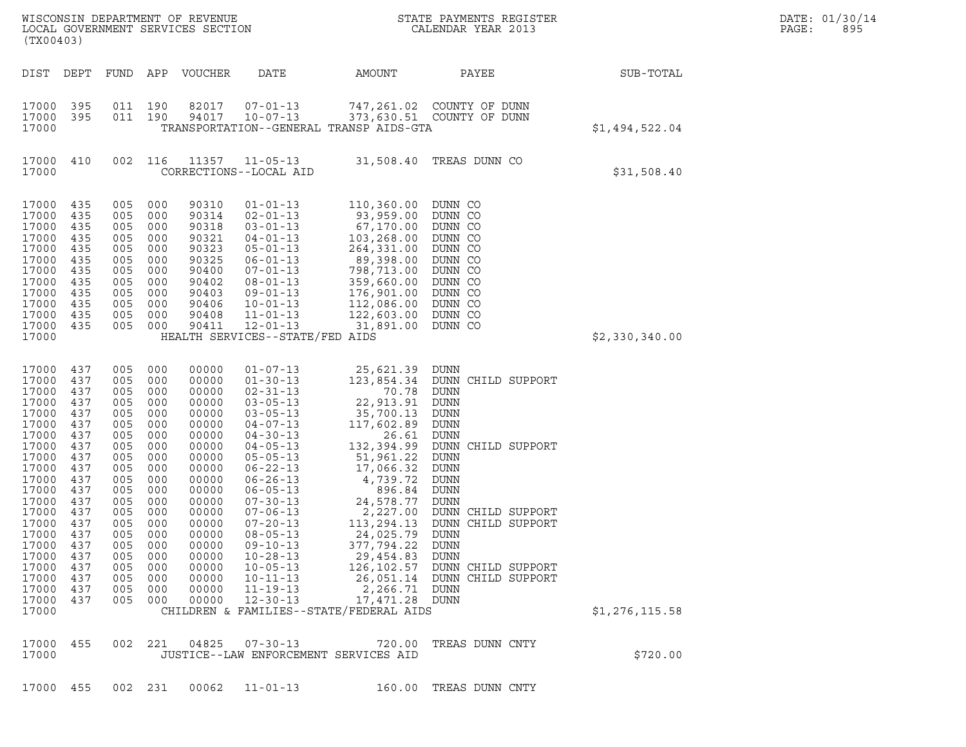| WISCONSIN DEPARTMENT OF REVENUE<br>LOCAL GOVERNMENT SERVICES SECTION<br>(TX00403)                                                                                                                               |                                                                                                                                                 |                                                                                                                                                        |                                                                                                                                                        |                                                                                                                                                                                                    |                                                                                                                                                                                                                                                                                                                                                                                              | STATE PAYMENTS REGISTER<br>CALENDAR YEAR 2013                                                                                                                                                                                                                                                                                  |                                                                                                                                                                                                                                                                                       |                | DATE: 01/30/14<br>PAGE:<br>895 |
|-----------------------------------------------------------------------------------------------------------------------------------------------------------------------------------------------------------------|-------------------------------------------------------------------------------------------------------------------------------------------------|--------------------------------------------------------------------------------------------------------------------------------------------------------|--------------------------------------------------------------------------------------------------------------------------------------------------------|----------------------------------------------------------------------------------------------------------------------------------------------------------------------------------------------------|----------------------------------------------------------------------------------------------------------------------------------------------------------------------------------------------------------------------------------------------------------------------------------------------------------------------------------------------------------------------------------------------|--------------------------------------------------------------------------------------------------------------------------------------------------------------------------------------------------------------------------------------------------------------------------------------------------------------------------------|---------------------------------------------------------------------------------------------------------------------------------------------------------------------------------------------------------------------------------------------------------------------------------------|----------------|--------------------------------|
| DIST DEPT                                                                                                                                                                                                       |                                                                                                                                                 | FUND                                                                                                                                                   | APP                                                                                                                                                    | VOUCHER                                                                                                                                                                                            | DATE                                                                                                                                                                                                                                                                                                                                                                                         | AMOUNT                                                                                                                                                                                                                                                                                                                         | PAYEE                                                                                                                                                                                                                                                                                 | SUB-TOTAL      |                                |
| 17000<br>17000<br>17000                                                                                                                                                                                         | 395<br>395                                                                                                                                      | 011 190<br>011 190                                                                                                                                     |                                                                                                                                                        | 82017<br>94017                                                                                                                                                                                     | $07 - 01 - 13$<br>$10 - 07 - 13$                                                                                                                                                                                                                                                                                                                                                             | TRANSPORTATION--GENERAL TRANSP AIDS-GTA                                                                                                                                                                                                                                                                                        | 747,261.02 COUNTY OF DUNN<br>373,630.51 COUNTY OF DUNN                                                                                                                                                                                                                                | \$1,494,522.04 |                                |
| 17000<br>17000                                                                                                                                                                                                  | 410                                                                                                                                             | 002                                                                                                                                                    | 116                                                                                                                                                    | 11357                                                                                                                                                                                              | $11 - 05 - 13$<br>CORRECTIONS--LOCAL AID                                                                                                                                                                                                                                                                                                                                                     |                                                                                                                                                                                                                                                                                                                                | 31,508.40 TREAS DUNN CO                                                                                                                                                                                                                                                               | \$31,508.40    |                                |
| 17000<br>17000<br>17000<br>17000<br>17000<br>17000<br>17000<br>17000<br>17000<br>17000<br>17000<br>17000<br>17000                                                                                               | 435<br>435<br>435<br>435<br>435<br>435<br>435<br>435<br>435<br>435<br>435<br>435                                                                | 005<br>005<br>005<br>005<br>005<br>005<br>005<br>005<br>005<br>005<br>005<br>005                                                                       | 000<br>000<br>000<br>000<br>000<br>000<br>000<br>000<br>000<br>000<br>000<br>000                                                                       | 90310<br>90314<br>90318<br>90321<br>90323<br>90325<br>90400<br>90402<br>90403<br>90406<br>90408<br>90411                                                                                           | $01 - 01 - 13$<br>$02 - 01 - 13$<br>$03 - 01 - 13$<br>04-01-13<br>$05 - 01 - 13$<br>$06 - 01 - 13$<br>$07 - 01 - 13$<br>$08 - 01 - 13$<br>$09 - 01 - 13$<br>$10 - 01 - 13$<br>$11 - 01 - 13$<br>$12 - 01 - 13$<br>HEALTH SERVICES--STATE/FED AIDS                                                                                                                                            | 110,360.00<br>93,959.00<br>67,170.00<br>103,268.00<br>264,331.00<br>89,398.00<br>798,713.00<br>359,660.00<br>176,901.00<br>112,086.00<br>122,603.00<br>31,891.00                                                                                                                                                               | DUNN CO<br>DUNN CO<br>DUNN CO<br>DUNN CO<br>DUNN CO<br>DUNN CO<br>DUNN CO<br>DUNN CO<br>DUNN CO<br>DUNN CO<br>DUNN CO<br>DUNN CO                                                                                                                                                      | \$2,330,340.00 |                                |
| 17000<br>17000<br>17000<br>17000<br>17000<br>17000<br>17000<br>17000<br>17000<br>17000<br>17000<br>17000<br>17000<br>17000<br>17000 437<br>17000<br>17000<br>17000<br>17000<br>17000<br>17000<br>17000<br>17000 | 437<br>437<br>437<br>437<br>437<br>437<br>437<br>437<br>437<br>437<br>437<br>437<br>437<br>437<br>437<br>437<br>437<br>437<br>437<br>437<br>437 | 005<br>005<br>005<br>005<br>005<br>005<br>005<br>005<br>005<br>005<br>005<br>005<br>005<br>005<br>005<br>005<br>005<br>005<br>005<br>005<br>005<br>005 | 000<br>000<br>000<br>000<br>000<br>000<br>000<br>000<br>000<br>000<br>000<br>000<br>000<br>000<br>000<br>000<br>000<br>000<br>000<br>000<br>000<br>000 | 00000<br>00000<br>00000<br>00000<br>00000<br>00000<br>00000<br>00000<br>00000<br>00000<br>00000<br>00000<br>00000<br>00000<br>00000<br>00000<br>00000<br>00000<br>00000<br>00000<br>00000<br>00000 | $01 - 07 - 13$<br>$01 - 30 - 13$<br>$02 - 31 - 13$<br>$03 - 05 - 13$<br>$03 - 05 - 13$<br>$04 - 07 - 13$<br>$04 - 30 - 13$<br>$04 - 05 - 13$<br>$05 - 05 - 13$<br>$06 - 22 - 13$<br>$06 - 26 - 13$<br>$06 - 05 - 13$<br>07-30-13<br>07-06-13<br>$07 - 20 - 13$<br>$08 - 05 - 13$<br>$09 - 10 - 13$<br>$10 - 28 - 13$<br>$10 - 05 - 13$<br>$10 - 11 - 13$<br>$11 - 19 - 13$<br>$12 - 30 - 13$ | 25,621.39<br>123,854.34<br>70.78<br>22,913.91<br>35,700.13<br>117,602.89<br>26.61<br>132,394.99<br>51,961.22<br>17,066.32<br>4,739.72<br>896.84<br>24,578.77<br>2,227.00<br>113,294.13<br>24,025.79<br>377,794.22<br>29,454.83<br>126, 102.57<br>26,051.14<br>2,266.71<br>17,471.28<br>CHILDREN & FAMILIES--STATE/FEDERAL AIDS | DUNN<br>DUNN CHILD SUPPORT<br>DUNN<br>DUNN<br><b>DUNN</b><br>DUNN<br>DUNN<br>DUNN CHILD SUPPORT<br>DUNN<br>DUNN<br><b>DUNN</b><br>DUNN<br>DUNN<br>DUNN CHILD SUPPORT<br>DUNN CHILD SUPPORT<br>DUNN<br><b>DUNN</b><br>DUNN<br>DUNN CHILD SUPPORT<br>DUNN CHILD SUPPORT<br>DUNN<br>DUNN | \$1,276,115.58 |                                |
| 17000<br>17000                                                                                                                                                                                                  | 455                                                                                                                                             | 002                                                                                                                                                    | 221                                                                                                                                                    | 04825                                                                                                                                                                                              | $07 - 30 - 13$<br>JUSTICE--LAW ENFORCEMENT SERVICES AID                                                                                                                                                                                                                                                                                                                                      | 720.00                                                                                                                                                                                                                                                                                                                         | TREAS DUNN CNTY                                                                                                                                                                                                                                                                       | \$720.00       |                                |

17000 455 002 231 00062 11-01-13 160.00 TREAS DUNN CNTY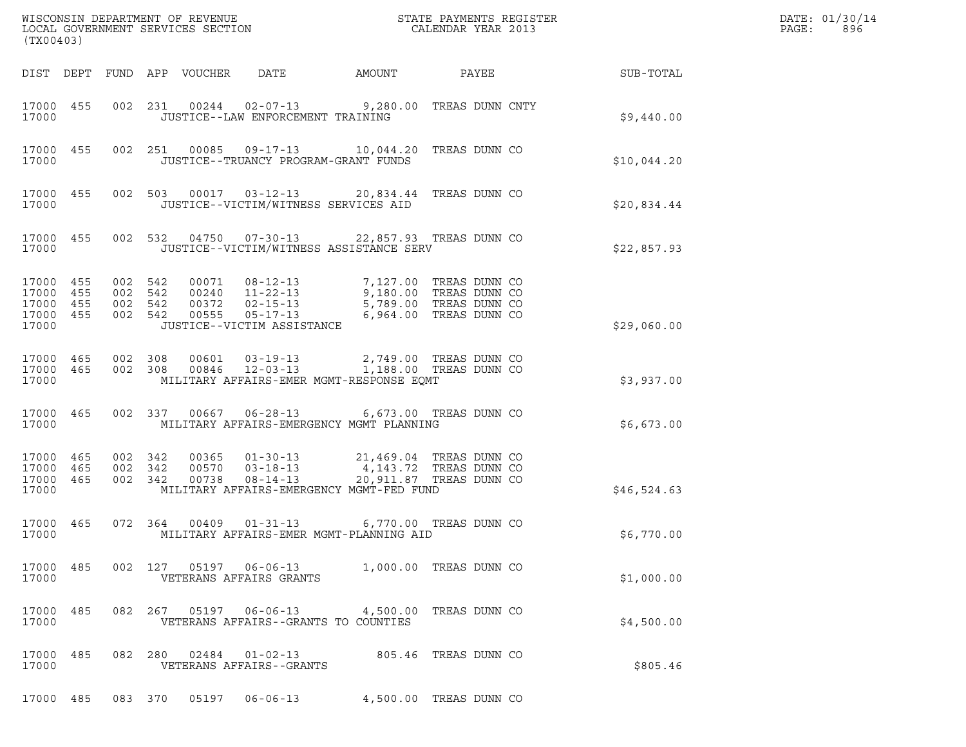| WISCONSIN DEPARTMENT OF REVENUE<br>LOCAL GOVERNMENT SERVICES SECTION<br>(TX00403) |     |         |                                          |                         |                                                                                               |                                                                                            | STATE PAYMENTS REGISTER<br>CALENDAR YEAR 2013                                                        |             | DATE: 01/30/14<br>PAGE:<br>896 |
|-----------------------------------------------------------------------------------|-----|---------|------------------------------------------|-------------------------|-----------------------------------------------------------------------------------------------|--------------------------------------------------------------------------------------------|------------------------------------------------------------------------------------------------------|-------------|--------------------------------|
|                                                                                   |     |         | DIST DEPT FUND APP VOUCHER               |                         | DATE                                                                                          | AMOUNT                                                                                     | PAYEE                                                                                                | SUB-TOTAL   |                                |
| 17000 455<br>17000                                                                |     |         |                                          |                         | JUSTICE--LAW ENFORCEMENT TRAINING                                                             | 002 231 00244 02-07-13 9,280.00 TREAS DUNN CNTY                                            |                                                                                                      | \$9,440.00  |                                |
| 17000 455<br>17000                                                                |     |         |                                          |                         | JUSTICE--TRUANCY PROGRAM-GRANT FUNDS                                                          | 002  251  00085  09-17-13  10,044.20 TREAS DUNN CO                                         |                                                                                                      | \$10,044.20 |                                |
| 17000 455<br>17000                                                                |     |         |                                          |                         | JUSTICE--VICTIM/WITNESS SERVICES AID                                                          | 002 503 00017 03-12-13 20,834.44 TREAS DUNN CO                                             |                                                                                                      | \$20,834.44 |                                |
| 17000 455<br>17000                                                                |     |         |                                          |                         |                                                                                               | 002 532 04750 07-30-13 22,857.93 TREAS DUNN CO<br>JUSTICE--VICTIM/WITNESS ASSISTANCE SERV  |                                                                                                      | \$22,857.93 |                                |
| 17000 455<br>17000<br>17000 455<br>17000 455<br>17000                             | 455 |         | 002 542<br>002 542<br>002 542<br>002 542 | 00071<br>00372<br>00555 | $08 - 12 - 13$<br>00240  11-22-13<br>$02 - 15 - 13$<br>05-17-13<br>JUSTICE--VICTIM ASSISTANCE |                                                                                            | 7,127.00 TREAS DUNN CO<br>9,180.00 TREAS DUNN CO<br>5,789.00 TREAS DUNN CO<br>6,964.00 TREAS DUNN CO | \$29,060.00 |                                |
| 17000 465<br>17000 465<br>17000                                                   |     |         | 002 308<br>002 308                       | 00601                   | 00846 12-03-13                                                                                | 03-19-13<br>12-03-13<br>1,188.00 TREAS DUNN CO<br>MILITARY AFFAIRS-EMER MGMT-RESPONSE EQMT |                                                                                                      | \$3,937.00  |                                |
| 17000 465<br>17000                                                                |     |         | 002 337                                  |                         |                                                                                               | 00667  06-28-13  6,673.00 TREAS DUNN CO<br>MILITARY AFFAIRS-EMERGENCY MGMT PLANNING        |                                                                                                      | \$6,673.00  |                                |
| 17000 465<br>17000<br>17000 465<br>17000                                          | 465 | 002     | 002 342<br>342<br>002 342                | 00365<br>00570<br>00738 | $01 - 30 - 13$<br>$03 - 18 - 13$<br>$08 - 14 - 13$                                            | MILITARY AFFAIRS-EMERGENCY MGMT-FED FUND                                                   | 21,469.04 TREAS DUNN CO<br>4,143.72 TREAS DUNN CO<br>20,911.87 TREAS DUNN CO                         | \$46,524.63 |                                |
| 17000 465<br>17000                                                                |     |         | 072 364                                  | 00409                   | 01-31-13                                                                                      | MILITARY AFFAIRS-EMER MGMT-PLANNING AID                                                    | 6,770.00 TREAS DUNN CO                                                                               | \$6,770.00  |                                |
| 17000 485<br>17000                                                                |     |         |                                          |                         | VETERANS AFFAIRS GRANTS                                                                       | 002 127 05197 06-06-13 1,000.00 TREAS DUNN CO                                              |                                                                                                      | \$1,000.00  |                                |
| 17000 485<br>17000                                                                |     |         |                                          |                         | VETERANS AFFAIRS--GRANTS TO COUNTIES                                                          | 082  267  05197  06-06-13  4,500.00 TREAS DUNN CO                                          |                                                                                                      | \$4,500.00  |                                |
| 17000 485<br>17000                                                                |     |         | 082 280                                  |                         | VETERANS AFFAIRS--GRANTS                                                                      | 02484  01-02-13  805.46  TREAS DUNN CO                                                     |                                                                                                      | \$805.46    |                                |
| 17000 485                                                                         |     | 083 370 |                                          | 05197                   | $06 - 06 - 13$                                                                                |                                                                                            | 4,500.00 TREAS DUNN CO                                                                               |             |                                |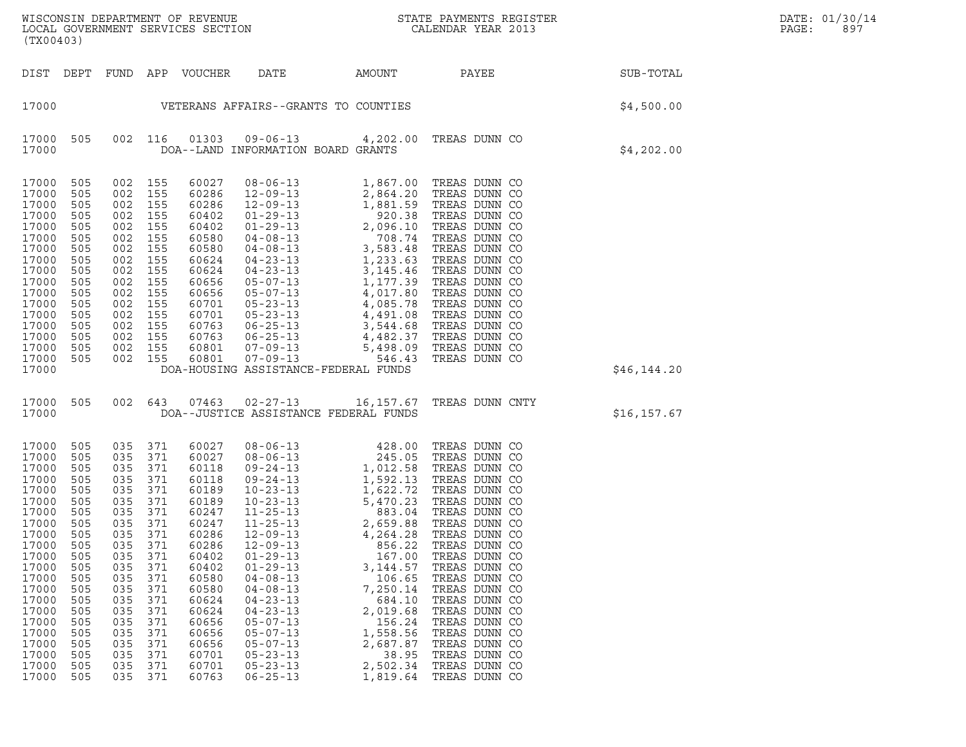|       | DATE: 01/30/14 |
|-------|----------------|
| PAGE: | 897            |

WISCONSIN DEPARTMENT OF REVENUE<br>LOCAL GOVERNMENT SERVICES SECTION STATE PAYMENTS REGISTER SECTION DATE: 01/30/14<br>DOCAL GOVERNMENT SERVICES SECTION STATE SON SEALENDAR YEAR 2013 WISCONSIN DEPARTMENT OF REVENUE<br>LOCAL GOVERNMENT SERVICES SECTION PARA PROPERTY CALENDAR YEAR 2013<br>(TX00403) (TX00403) DIST DEPT FUND APP VOUCHER DATE AMOUNT PAYEE SUB-TOTAL <sup>17000</sup> VETERANS AFFAIRS--GRANTS TO COUNTIES \$4,500.00 17000 505 002 116 01303 09-06-13 4,202.00 TREAS DUNN CO <sup>17000</sup> DOA--LAND INFORMATION BOARD GRANTS \$4,202.00 17000 505 002 155 60027 08-06-13 1,867.00 TREAS DUNN CO 17000 505 002 155 60027 08-06-13 1,867.00 TREAS DUNN CO<br>17000 505 002 155 60286 12-09-13 2,864.20 TREAS DUNN CO<br>17000 505 002 155 60286 12-09-13 1,881.59 TREAS DUNN CO 17000 505 002 155 60027 08-06-13 1,867.00 TREAS DUNN CO<br>17000 505 002 155 60286 12-09-13 2,864.20 TREAS DUNN CO<br>17000 505 002 155 60286 12-09-13 1,881.59 TREAS DUNN CO<br>17000 505 002 155 60402 01-29-13 920.38 TREAS DUNN CO 17000 505 002 155 60027 08-06-13 1,867.00 TREAS DUNN CO<br>17000 505 002 155 60286 12-09-13 2,864.20 TREAS DUNN CO<br>17000 505 002 155 60402 01-29-13 1,881.59 TREAS DUNN CO<br>17000 505 002 155 60402 01-29-13 2,096.10 TREAS DUNN C 17000 505 002 155 60286 12-09-13 2,864.20 TREAS DUNN CO<br>17000 505 002 155 60286 12-09-13 1,881.59 TREAS DUNN CO<br>17000 505 002 155 60402 01-29-13 2,096.10 TREAS DUNN CO<br>17000 505 002 155 60402 01-29-13 2,096.10 TREAS DUNN C 17000 505 002 155 60286 12-09-13 1,881.59 TREAS DUNN CO<br>17000 505 002 155 60402 01-29-13 920.38 TREAS DUNN CO<br>17000 505 002 155 60402 01-29-13 2,096.10 TREAS DUNN CO<br>17000 505 002 155 60580 04-08-13 3,583.48 TREAS DUNN CO<br>  $17000$  505 002 155 60402 01-29-13 920.38 TREAS DUNN CO<br>17000 505 002 155 60402 01-29-13 2,096.10 TREAS DUNN CO<br>17000 505 002 155 60580 04-08-13 708.74 TREAS DUNN CO<br>17000 505 002 155 60624 04-23-13 1,233.63 TREAS DUNN CO 17000 505 002 155 60402 01-29-13 2,096.10 TREAS DUNN CO<br>17000 505 002 155 60580 04-08-13 708.74 TREAS DUNN CO<br>17000 505 002 155 60624 04-08-13 3,583.48 TREAS DUNN CO<br>17000 505 002 155 60624 04-23-13 1,233.63 TREAS DUNN CO<br> 17000 505 002 155 60580 04-08-13 708.74 TREAS DUNN CO<br>17000 505 002 155 60580 04-08-13 3,583.48 TREAS DUNN CO<br>17000 505 002 155 60624 04-23-13 1,233.63 TREAS DUNN CO<br>17000 505 002 155 60624 04-23-13 3,145.46 TREAS DUNN CO<br> 17000 505 002 155 60580 04-08-13 3,583.48 TREAS DUNN CO<br>17000 505 002 155 60624 04-23-13 1,233.63 TREAS DUNN CO<br>17000 505 002 155 60624 04-23-13 3,145.46 TREAS DUNN CO<br>17000 505 002 155 60656 05-07-13 1,177.39 TREAS DUNN C 17000 505 002 155 60624 04-23-13 1,233.63 TREAS DUNN CO<br>17000 505 002 155 60624 04-23-13 3,145.46 TREAS DUNN CO<br>17000 505 002 155 60656 05-07-13 4,017.39 TREAS DUNN CO<br>17000 505 002 155 60656 05-07-13 4,017.80 TREAS DUNN C 17000 505 002 155 60624 04-23-13 3,145.46 TREAS DUNN CO<br>17000 505 002 155 60656 05-07-13 1,177.39 TREAS DUNN CO<br>17000 505 002 155 60656 05-07-13 4,017.80 TREAS DUNN CO<br>17000 505 002 155 60701 05-23-13 4,085.78 TREAS DUNN C 17000 505 002 155 60656 05-07-13 1,177.39 TREAS DUNN CO<br>17000 505 002 155 60656 05-07-13 4,017.80 TREAS DUNN CO<br>17000 505 002 155 60701 05-23-13 4,085.78 TREAS DUNN CO<br>17000 505 002 155 60763 06-25-13 3,544.68 TREAS DUNN C 17000 505 002 155 60656 05-07-13 4,017.80 TREAS DUNN CO<br>17000 505 002 155 60701 05-23-13 4,085.78 TREAS DUNN CO<br>17000 505 002 155 60701 05-23-13 4,491.08 TREAS DUNN CO<br>17000 505 002 155 60763 06-25-13 3,544.68 TREAS DUNN C 17000 505 002 155 60701 05-23-13 4,085.78 TREAS DUNN CO<br>17000 505 002 155 60701 05-23-13 4,491.08 TREAS DUNN CO<br>17000 505 002 155 60763 06-25-13 4,482.37 TREAS DUNN CO<br>17000 505 002 155 60801 07-09-13 5,498.09 TREAS DUNN C 17000 505 002 155 60701 05-23-13 4,491.08 TREAS DUNN CO<br>17000 505 002 155 60763 06-25-13 3,544.68 TREAS DUNN CO<br>17000 505 002 155 60801 07-09-13 5,498.09 TREAS DUNN CO<br>17000 505 002 155 60801 07-09-13 546.43 TREAS DUNN CO 17000 505 002 155 60763 06-25-13 3,544.68 TREAS DUNN CO<br>17000 505 002 155 60763 06-25-13 4,482.37 TREAS DUNN CO<br>17000 505 002 155 60801 07-09-13 5498.09 TREAS DUNN CO<br>17000 505 002 155 60801 07-09-13 546.43 TREAS DUNN CO<br>1 <sup>17000</sup> DOA-HOUSING ASSISTANCE-FEDERAL FUNDS \$46,144.20 17000 505 002 643 07463 02-27-13 16,157.67 TREAS DUNN CNTY 17000 505 002 643 07463 02-27-13 16,157.67 TREAS DUNN CNTY<br>17000 17000 DOA--JUSTICE ASSISTANCE FEDERAL FUNDS 17000 505 035 371 60027 08-06-13 428.00 TREAS DUNN CO 17000 505 035 371 60027 08-06-13 245.05 TREAS DUNN CO 17000 505 035 371 60118 09-24-13 1,012.58 TREAS DUNN CO 17000 505 035 371 60027 08-06-13 428.00 TREAS DUNN CO<br>17000 505 035 371 60027 08-06-13 245.05 TREAS DUNN CO<br>17000 505 035 371 60118 09-24-13 1,012.58 TREAS DUNN CO<br>17000 505 035 371 60118 09-24-13 1,592.13 TREAS DUNN CO<br>17 17000 505 035 371 60027 08-06-13 245.05 TREAS DUNN CO<br>17000 505 035 371 60118 09-24-13 1,012.58 TREAS DUNN CO<br>17000 505 035 371 60118 09-24-13 1,592.13 TREAS DUNN CO<br>17000 505 035 371 60189 10-23-13 1,622.72 TREAS DUNN CO<br> 17000 505 035 371 60118 09-24-13 1,012.58 TREAS DUNN CO<br>17000 505 035 371 60118 09-24-13 1,592.13 TREAS DUNN CO<br>17000 505 035 371 60189 10-23-13 5,470.23 TREAS DUNN CO<br>17000 505 035 371 60247 11-25-13 883.04 TREAS DUNN CO 17000 505 035 371 60118 09-24-13 1,592.13 TREAS DUNN CO<br>17000 505 035 371 60189 10-23-13 1,622.72 TREAS DUNN CO<br>17000 505 035 371 60247 11-25-13 883.04 TREAS DUNN CO<br>17000 505 035 371 60247 11-25-13 2,659.88 TREAS DUNN CO 17000 505 035 371 60189 10-23-13 1,622.72 TREAS DUNN CO<br>17000 505 035 371 60189 10-23-13 5,470.23 TREAS DUNN CO<br>17000 505 035 371 60247 11-25-13 883.04 TREAS DUNN CO<br>17000 505 035 371 60286 12-09-13 4,264.28 TREAS DUNN CO 17000 505 035 371 60189 10-23-13 5,470.23 TREAS DUNN CO<br>17000 505 035 371 60247 11-25-13 883.04 TREAS DUNN CO<br>17000 505 035 371 60247 11-25-13 2,659.88 TREAS DUNN CO<br>17000 505 035 371 60286 12-09-13 4,264.28 TREAS DUNN CO<br> 17000 505 035 371 60247 11-25-13 883.04 TREAS DUNN CO<br>17000 505 035 371 60247 11-25-13 2,659.88 TREAS DUNN CO<br>17000 505 035 371 60286 12-09-13 856.22 TREAS DUNN CO<br>17000 505 035 371 60402 01-29-13 167.00 TREAS DUNN CO 17000 505 035 371 60247 11-25-13 2,659.88 TREAS DUNN CO<br>17000 505 035 371 60286 12-09-13 4,264.28 TREAS DUNN CO<br>17000 505 035 371 60402 01-29-13 167.00 TREAS DUNN CO<br>17000 505 035 371 60402 01-29-13 3,144.57 TREAS DUNN CO 17000 505 035 371 60286 12-09-13 4,264.28 TREAS DUNN CO<br>17000 505 035 371 60286 12-09-13 856.22 TREAS DUNN CO<br>17000 505 035 371 60402 01-29-13 167.00 TREAS DUNN CO<br>17000 505 035 371 60580 04-08-13 106.65 TREAS DUNN CO  $17000$  505 035 371 60286 12-09-13 856.22 TREAS DUNN CO<br>17000 505 035 371 60402 01-29-13 167.00 TREAS DUNN CO<br>17000 505 035 371 60580 04-08-13 3,144.57 TREAS DUNN CO<br>17000 505 035 371 60580 04-08-13 7,250.14 TREAS DUNN CO  $17000$  505 035 371 60402 01-29-13 167.00 TREAS DUNN CO<br>17000 505 035 371 60402 01-29-13 3,144.57 TREAS DUNN CO<br>17000 505 035 371 60580 04-08-13 7,250.14 TREAS DUNN CO<br>17000 505 035 371 60624 04-23-13 684.10 TREAS DUNN CO  $17000$  505 035 371 60402 01-29-13 3,144.57 TREAS DUNN CO<br>17000 505 035 371 60580 04-08-13 106.65 TREAS DUNN CO<br>17000 505 035 371 60624 04-08-13 684.10 TREAS DUNN CO<br>17000 505 035 371 60624 04-23-13 684.10 TREAS DUNN CO 17000 505 035 371 60580 04-08-13 106.65 TREAS DUNN CO<br>17000 505 035 371 60580 04-08-13 7,250.14 TREAS DUNN CO<br>17000 505 035 371 60624 04-23-13 604.10 TREAS DUNN CO<br>17000 505 035 371 60624 04-23-13 2,019.68 TREAS DUNN CO<br>17 17000 505 035 371 60580 04-08-13 7,250.14 TREAS DUNN CO<br>17000 505 035 371 60624 04-23-13 684.10 TREAS DUNN CO<br>17000 505 035 371 60624 04-23-13 2,019.68 TREAS DUNN CO<br>17000 505 035 371 60656 05-07-13 156.24 TREAS DUNN CO<br>17 17000 505 035 371 60624 04-23-13 684.10 TREAS DUNN CO<br>17000 505 035 371 60624 04-23-13 2,019.68 TREAS DUNN CO<br>17000 505 035 371 60656 05-07-13 1,558.56 TREAS DUNN CO<br>17000 505 035 371 60656 05-07-13 1,558.56 TREAS DUNN CO 17000 505 035 371 60624 04-23-13 2,019.68 TREAS DUNN CO<br>17000 505 035 371 60656 05-07-13 156.24 TREAS DUNN CO<br>17000 505 035 371 60656 05-07-13 1,558.56 TREAS DUNN CO<br>17000 505 035 371 60656 05-07-13 2,687.87 TREAS DUNN CO<br> 17000 505 035 371 60656 05-07-13 156.24 TREAS DUNN CO<br>17000 505 035 371 60656 05-07-13 1,558.56 TREAS DUNN CO<br>17000 505 035 371 60656 05-07-13 2,687.87 TREAS DUNN CO<br>17000 505 035 371 60701 05-23-13 2,502.34 TREAS DUNN CO 17000 505 035 371 60656 05-07-13 1,558.56 TREAS DUNN CO<br>17000 505 035 371 60656 05-07-13 2,687.87 TREAS DUNN CO<br>17000 505 035 371 60701 05-23-13 358.95 TREAS DUNN CO<br>17000 505 035 371 60701 05-23-13 2,502.34 TREAS DUNN CO<br> 17000 505 035 371 60656 05-07-13 2,687.87 TREAS DUNN CO<br>17000 505 035 371 60701 05-23-13 38.95 TREAS DUNN CO<br>17000 505 035 371 60701 05-23-13 2,502.34 TREAS DUNN CO<br>17000 505 035 371 60763 06-25-13 1,819.64 TREAS DUNN CO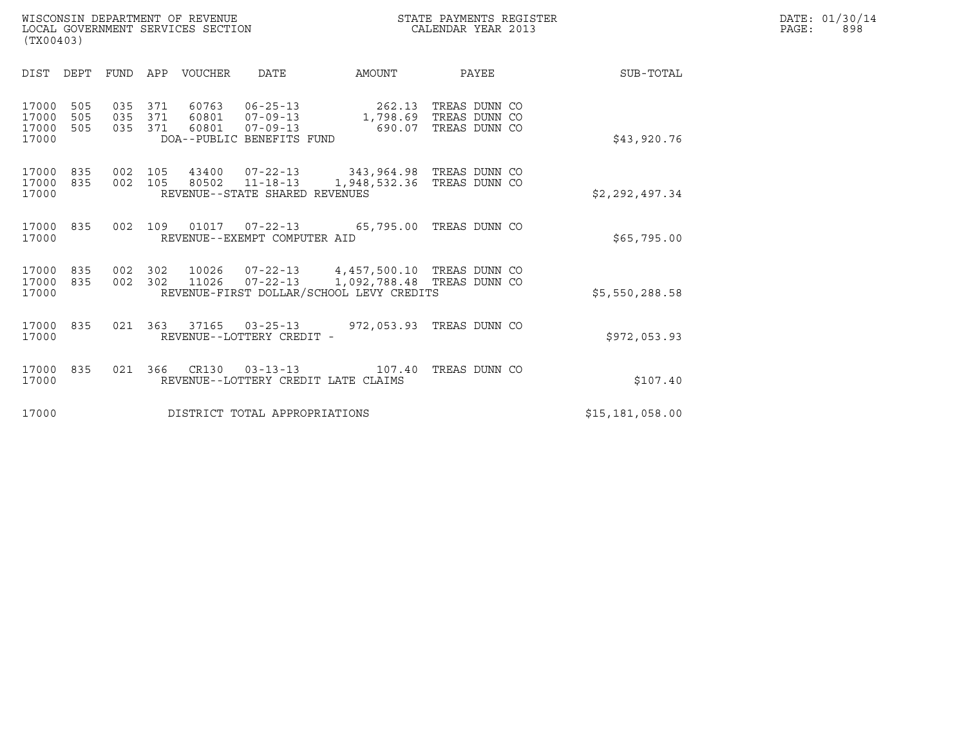|       | DATE: 01/30/14 |
|-------|----------------|
| PAGE: | 898            |

| WISCONSIN DEPARTMENT OF REVENUE<br>LOCAL GOVERNMENT SERVICES SECTION<br>(TX00403) | STATE PAYMENTS REGISTER<br>CALENDAR YEAR 2013 | DATE: 01/30/14<br>PAGE:<br>898 |
|-----------------------------------------------------------------------------------|-----------------------------------------------|--------------------------------|

| (TX00403)                        |                   |                   |                   |                         |                                                                                 |                                                                                                                                        |                                                          |                 |  |
|----------------------------------|-------------------|-------------------|-------------------|-------------------------|---------------------------------------------------------------------------------|----------------------------------------------------------------------------------------------------------------------------------------|----------------------------------------------------------|-----------------|--|
| DIST                             | DEPT              | FUND              | APP               | <b>VOUCHER</b>          | DATE                                                                            | AMOUNT                                                                                                                                 | PAYEE                                                    | SUB-TOTAL       |  |
| 17000<br>17000<br>17000<br>17000 | 505<br>505<br>505 | 035<br>035<br>035 | 371<br>371<br>371 | 60763<br>60801<br>60801 | $06 - 25 - 13$<br>$07 - 09 - 13$<br>$07 - 09 - 13$<br>DOA--PUBLIC BENEFITS FUND | 262.13<br>690.07                                                                                                                       | TREAS DUNN CO<br>1,798.69 TREAS DUNN CO<br>TREAS DUNN CO | \$43,920.76     |  |
| 17000<br>17000<br>17000          | 835<br>835        | 002<br>002        | 105<br>105        |                         | REVENUE--STATE SHARED REVENUES                                                  | 43400  07-22-13  343,964.98  TREAS DUNN CO<br>80502 11-18-13 1,948,532.36 TREAS DUNN CO                                                |                                                          | \$2,292,497.34  |  |
| 17000<br>17000                   | 835               | 002               | 109               |                         | REVENUE--EXEMPT COMPUTER AID                                                    | 01017  07-22-13  65,795.00                                                                                                             | TREAS DUNN CO                                            | \$65,795.00     |  |
| 17000<br>17000<br>17000          | 835<br>835        | 002<br>002        | 302<br>302        |                         |                                                                                 | 10026  07-22-13  4,457,500.10 TREAS DUNN CO<br>11026  07-22-13  1,092,788.48 TREAS DUNN CO<br>REVENUE-FIRST DOLLAR/SCHOOL LEVY CREDITS |                                                          | \$5,550,288.58  |  |
| 17000<br>17000                   | 835               | 021               | 363               |                         | 37165 03-25-13<br>REVENUE--LOTTERY CREDIT -                                     | 972,053.93 TREAS DUNN CO                                                                                                               |                                                          | \$972,053.93    |  |
| 17000<br>17000                   | 835               | 021               | 366               | CR130                   | $03 - 13 - 13$                                                                  | 107.40<br>REVENUE--LOTTERY CREDIT LATE CLAIMS                                                                                          | TREAS DUNN CO                                            | \$107.40        |  |
| 17000                            |                   |                   |                   |                         | DISTRICT TOTAL APPROPRIATIONS                                                   |                                                                                                                                        |                                                          | \$15,181,058.00 |  |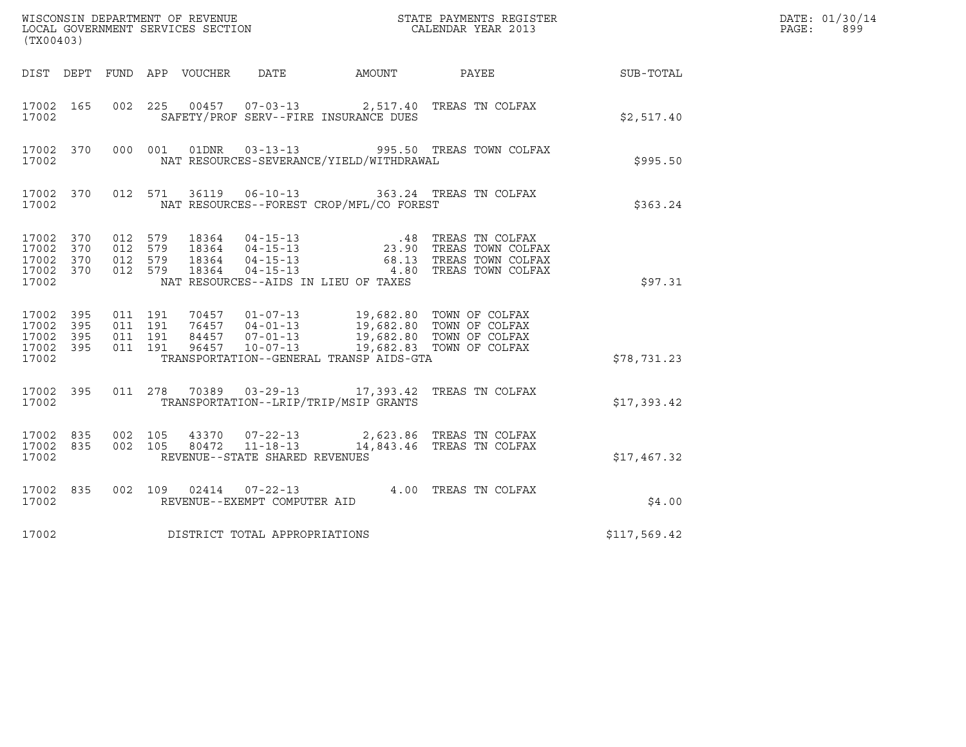| (TX00403)                                             |     |                               |         |  |                                |                                                |                                                                                                                                                                                                             |              | DATE: 01/30/14<br>$\mathtt{PAGE}$ :<br>899 |
|-------------------------------------------------------|-----|-------------------------------|---------|--|--------------------------------|------------------------------------------------|-------------------------------------------------------------------------------------------------------------------------------------------------------------------------------------------------------------|--------------|--------------------------------------------|
|                                                       |     |                               |         |  |                                |                                                | DIST DEPT FUND APP VOUCHER DATE AMOUNT PAYEE SUB-TOTAL                                                                                                                                                      |              |                                            |
| 17002                                                 |     |                               |         |  |                                | SAFETY/PROF SERV--FIRE INSURANCE DUES          | 17002 165 002 225 00457 07-03-13 2,517.40 TREAS TN COLFAX                                                                                                                                                   | \$2,517.40   |                                            |
| 17002                                                 |     |                               |         |  |                                | NAT RESOURCES-SEVERANCE/YIELD/WITHDRAWAL       | 17002 370 000 001 01DNR 03-13-13 995.50 TREAS TOWN COLFAX                                                                                                                                                   | \$995.50     |                                            |
|                                                       |     |                               |         |  |                                | 17002 NAT RESOURCES--FOREST CROP/MFL/CO FOREST | 17002 370 012 571 36119 06-10-13 363.24 TREAS TN COLFAX                                                                                                                                                     | \$363.24     |                                            |
| 17002 370<br>17002 370<br>17002 370<br>17002          |     | 17002 370 012 579             |         |  |                                | NAT RESOURCES--AIDS IN LIEU OF TAXES           |                                                                                                                                                                                                             | \$97.31      |                                            |
| 17002 395<br>17002<br>17002 395<br>17002 395<br>17002 | 395 | 011 191<br>011 191<br>011 191 | 011 191 |  |                                | TRANSPORTATION--GENERAL TRANSP AIDS-GTA        | 70457  01-07-13  19,682.80 TOWN OF COLFAX<br>76457  04-01-13  19,682.80 TOWN OF COLFAX<br>84457  07-01-13  19,682.80 TOWN OF COLFAX<br>96457  10-07-13  19,682.83 TOWN OF COLFAX                            | \$78,731.23  |                                            |
| 17002                                                 |     |                               |         |  |                                | TRANSPORTATION--LRIP/TRIP/MSIP GRANTS          | 17002 395 011 278 70389 03-29-13 17,393.42 TREAS TN COLFAX                                                                                                                                                  | \$17,393.42  |                                            |
| 17002                                                 |     |                               |         |  | REVENUE--STATE SHARED REVENUES |                                                | $\begin{array}{cccccccc} 17002 & 835 & 002 & 105 & 43370 & 07-22-13 & & 2,623.86 & \text{TREAS TN COLFAX} \\ 17002 & 835 & 002 & 105 & 80472 & 11-18-13 & & 14,843.46 & \text{TREAS TN COLFAX} \end{array}$ | \$17,467.32  |                                            |
| 17002                                                 |     |                               |         |  | REVENUE--EXEMPT COMPUTER AID   |                                                | 17002 835 002 109 02414 07-22-13 4.00 TREAS TN COLFAX 17002                                                                                                                                                 | \$4.00       |                                            |
| 17002                                                 |     |                               |         |  | DISTRICT TOTAL APPROPRIATIONS  |                                                |                                                                                                                                                                                                             | \$117,569.42 |                                            |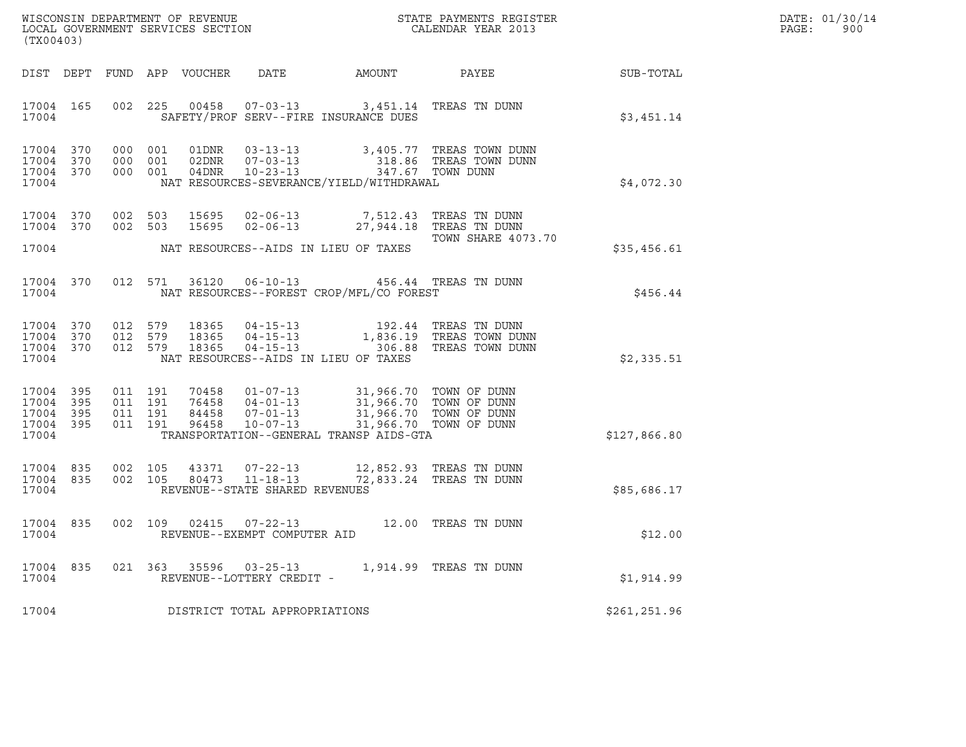| DATE: | 01/30/14 |
|-------|----------|
| PAGE: | 900      |

| LOCAL GOVERNMENT SERVICES SECTION<br>(TX00403)        |           |                                          |     |                            |                                                                    |                                                                                                                                                                                             |                                                                                         | DATE: 01/30/14<br>PAGE:<br>900 |  |
|-------------------------------------------------------|-----------|------------------------------------------|-----|----------------------------|--------------------------------------------------------------------|---------------------------------------------------------------------------------------------------------------------------------------------------------------------------------------------|-----------------------------------------------------------------------------------------|--------------------------------|--|
|                                                       |           |                                          |     | DIST DEPT FUND APP VOUCHER | DATE                                                               | AMOUNT                                                                                                                                                                                      | PAYEE                                                                                   | SUB-TOTAL                      |  |
| 17004 165<br>17004                                    |           |                                          |     |                            |                                                                    | 002  225  00458  07-03-13  3,451.14  TREAS TN DUNN<br>SAFETY/PROF SERV--FIRE INSURANCE DUES                                                                                                 |                                                                                         | \$3,451.14                     |  |
| 17004 370<br>17004 370<br>17004 370<br>17004          |           | 000 001<br>000<br>000 001                | 001 | 04DNR                      | $02DNR$ $07-03-13$<br>$10 - 23 - 13$                               | NAT RESOURCES-SEVERANCE/YIELD/WITHDRAWAL                                                                                                                                                    | 01DNR  03-13-13  3,405.77 TREAS TOWN DUNN<br>318.86 TREAS TOWN DUNN<br>347.67 TOWN DUNN | \$4,072.30                     |  |
| 17004 370<br>17004 370<br>17004                       |           | 002 503<br>002 503                       |     | 15695<br>15695             | $02 - 06 - 13$<br>$02 - 06 - 13$                                   | NAT RESOURCES--AIDS IN LIEU OF TAXES                                                                                                                                                        | 7,512.43 TREAS TN DUNN<br>27,944.18 TREAS TN DUNN<br>TOWN SHARE 4073.70                 | \$35,456.61                    |  |
| 17004                                                 | 17004 370 |                                          |     |                            |                                                                    | 012 571 36120 06-10-13 456.44 TREAS TN DUNN<br>NAT RESOURCES--FOREST CROP/MFL/CO FOREST                                                                                                     |                                                                                         | \$456.44                       |  |
| 17004 370<br>17004 370<br>17004 370<br>17004          |           | 012 579<br>012 579<br>012 579            |     | 18365<br>18365<br>18365    | $04 - 15 - 13$                                                     | 04-15-13 192.44 TREAS TN DUNN<br>NAT RESOURCES--AIDS IN LIEU OF TAXES                                                                                                                       | 1,836.19 TREAS TOWN DUNN<br>04-15-13 306.88 TREAS TOWN DUNN                             | \$2,335.51                     |  |
| 17004 395<br>17004<br>17004 395<br>17004 395<br>17004 | 395       | 011 191<br>011 191<br>011 191<br>011 191 |     | 76458<br>84458<br>96458    | $04 - 01 - 13$<br>$07 - 01 - 13$<br>10-07-13                       | 70458  01-07-13  31,966.70  TOWN OF DUNN<br>31,966.70 TOWN OF DUNN<br>31,966.70 TOWN OF DUNN<br>31,966.70 IOWN OF DUNN<br>31,966.70 TOWN OF DUNN<br>TRANSPORTATION--GENERAL TRANSP AIDS-GTA |                                                                                         | \$127,866.80                   |  |
| 17004 835<br>17004 835<br>17004                       |           | 002 105<br>002 105                       |     | 43371<br>80473             | $07 - 22 - 13$<br>$11 - 18 - 13$<br>REVENUE--STATE SHARED REVENUES |                                                                                                                                                                                             | 12,852.93 TREAS TN DUNN<br>72,833.24   TREAS  TN  DUNN                                  | \$85,686.17                    |  |
| 17004 835<br>17004                                    |           | 002 109                                  |     | 02415                      | $07 - 22 - 13$<br>REVENUE--EXEMPT COMPUTER AID                     |                                                                                                                                                                                             | 12.00 TREAS TN DUNN                                                                     | \$12.00                        |  |
| 17004 835<br>17004                                    |           |                                          |     |                            | 021 363 35596 03-25-13<br>REVENUE--LOTTERY CREDIT -                |                                                                                                                                                                                             | 1,914.99 TREAS TN DUNN                                                                  | \$1,914.99                     |  |
| 17004                                                 |           |                                          |     |                            | DISTRICT TOTAL APPROPRIATIONS                                      |                                                                                                                                                                                             |                                                                                         | \$261,251.96                   |  |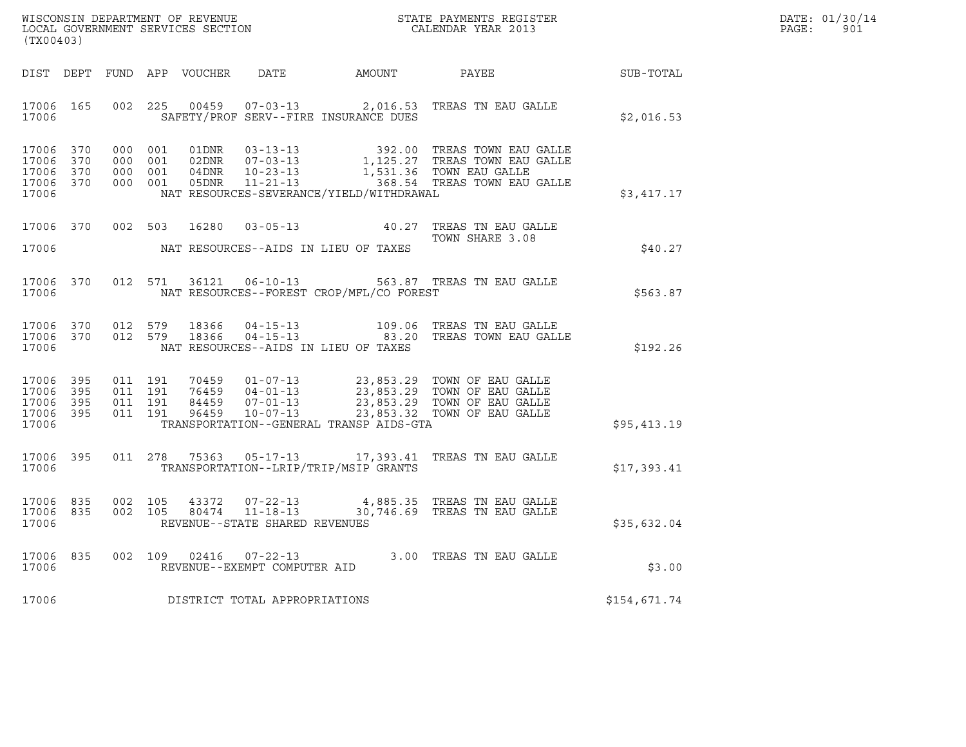| WISCONSIN DEPARTMENT OF REVENUE   | STATE PAYMENTS REGISTER | DATE: 01/30/14 |
|-----------------------------------|-------------------------|----------------|
| LOCAL GOVERNMENT SERVICES SECTION | CALENDAR YEAR 2013      | 901<br>PAGE :  |

| (TX00403)                                                 |  |  |                                     |                                             | WISCONSIN DEPARTMENT OF REVENUE<br>LOCAL GOVERNMENT SERVICES SECTION<br>CALENDAR YEAR 2013                                                                                                                            |              | DATE: 01/30/14<br>$\mathtt{PAGE}$ :<br>901 |
|-----------------------------------------------------------|--|--|-------------------------------------|---------------------------------------------|-----------------------------------------------------------------------------------------------------------------------------------------------------------------------------------------------------------------------|--------------|--------------------------------------------|
|                                                           |  |  |                                     |                                             | DIST DEPT FUND APP VOUCHER DATE AMOUNT PAYEE PATE SUB-TOTAL                                                                                                                                                           |              |                                            |
| 17006 165<br>17006                                        |  |  |                                     |                                             | 002 225 00459 07-03-13 2,016.53 TREAS TN EAU GALLE<br>SAFETY/PROF SERV--FIRE INSURANCE DUES                                                                                                                           | \$2,016.53   |                                            |
| 17006 370<br>17006 370<br>17006 370<br>17006 370<br>17006 |  |  |                                     | NAT RESOURCES-SEVERANCE/YIELD/WITHDRAWAL    | 000 001 01DNR 03-13-13 392.00 TREAS TOWN EAU GALLE<br>000 001 02DNR 07-03-13 1,125.27 TREAS TOWN EAU GALLE<br>000 001 04DNR 10-23-13 1,531.36 TOWN EAU GALLE<br>000 001 05DNR 11-21-13<br>1,531.36 TOWN EAU GALLE     | \$3,417.17   |                                            |
|                                                           |  |  |                                     | 17006 NAT RESOURCES--AIDS IN LIEU OF TAXES  | 17006 370 002 503 16280 03-05-13 40.27 TREAS TN EAU GALLE<br>TOWN SHARE 3.08                                                                                                                                          | \$40.27      |                                            |
| 17006 370<br>17006                                        |  |  |                                     | NAT RESOURCES--FOREST CROP/MFL/CO FOREST    |                                                                                                                                                                                                                       | \$563.87     |                                            |
| 17006                                                     |  |  |                                     | NAT RESOURCES--AIDS IN LIEU OF TAXES        | $17006$ 370 012 579 18366 04-15-13 109.06 TREAS TN EAU GALLE<br>17006 370 012 579 18366 04-15-13 83.20 TREAS TOWN EAU GALLE                                                                                           | \$192.26     |                                            |
| 17006 395<br>17006 395<br>17006 395<br>17006 395<br>17006 |  |  |                                     | TRANSPORTATION--GENERAL TRANSP AIDS-GTA     | 011 191 70459 01-07-13 23,853.29 TOWN OF EAU GALLE<br>011 191 76459 04-01-13 23,853.29 TOWN OF EAU GALLE<br>011 191 84459 07-01-13 23,853.29 TOWN OF EAU GALLE<br>011 191 96459 10-07-113 23,853.32 TOWN OF EAU GALLE | \$95,413.19  |                                            |
|                                                           |  |  |                                     | 17006 TRANSPORTATION--LRIP/TRIP/MSIP GRANTS | 17006 395 011 278 75363 05-17-13 17,393.41 TREAS TN EAU GALLE                                                                                                                                                         | \$17,393.41  |                                            |
| 17006                                                     |  |  | REVENUE--STATE SHARED REVENUES      |                                             | $\begin{array}{cccccccc} 17006 & 835 & 002 & 105 & 43372 & 07-22-13 & & 4,885.35 & \text{TREAS TN EAU GALLE} \\ 17006 & 835 & 002 & 105 & 80474 & 11-18-13 & & 30,746.69 & \text{TREAS TN EAU GALLE} \end{array}$     | \$35,632.04  |                                            |
|                                                           |  |  | 17006 REVENUE--EXEMPT COMPUTER AID  |                                             | 17006 835 002 109 02416 07-22-13 3.00 TREAS TN EAU GALLE                                                                                                                                                              | \$3.00       |                                            |
|                                                           |  |  | 17006 DISTRICT TOTAL APPROPRIATIONS |                                             |                                                                                                                                                                                                                       | \$154,671.74 |                                            |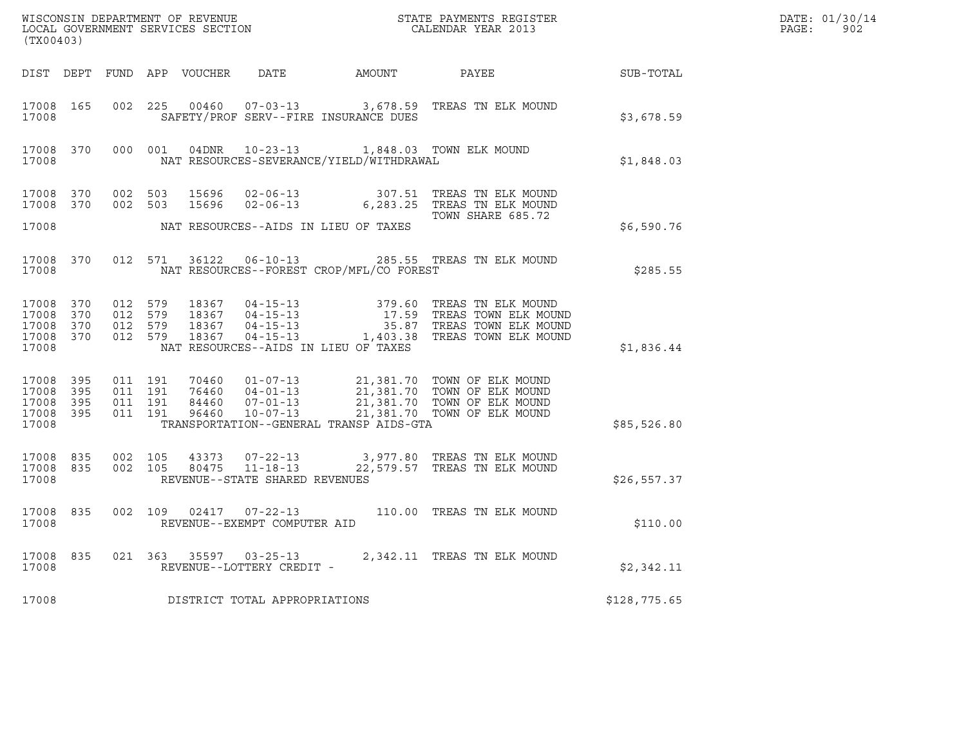| (TX00403)                                    |                  |                                          |                               |       |                                                  | $\tt WISCONSIM DEPARTMENT OF REVENUE$ $\tt WISCONSIMENTS REGISTER$<br>LOCAL GOVERNMENT SERVICES SECTION $\tt CALENDAR YEAR$ 2013                                                                 |              | DATE: 01/30/14<br>PAGE:<br>902 |
|----------------------------------------------|------------------|------------------------------------------|-------------------------------|-------|--------------------------------------------------|--------------------------------------------------------------------------------------------------------------------------------------------------------------------------------------------------|--------------|--------------------------------|
|                                              |                  |                                          |                               |       |                                                  | DIST DEPT FUND APP VOUCHER DATE AMOUNT PAYEE THE SUB-TOTAL                                                                                                                                       |              |                                |
| 17008                                        | 17008 165        |                                          |                               |       | SAFETY/PROF SERV--FIRE INSURANCE DUES            | 002 225 00460 07-03-13 3,678.59 TREAS TN ELK MOUND                                                                                                                                               | \$3,678.59   |                                |
| 17008                                        |                  |                                          |                               |       | NAT RESOURCES-SEVERANCE/YIELD/WITHDRAWAL         | 17008 370 000 001 04DNR 10-23-13 1,848.03 TOWN ELK MOUND                                                                                                                                         | \$1,848.03   |                                |
|                                              |                  |                                          |                               |       |                                                  | 17008 370 002 503 15696 02-06-13 307.51 TREAS TN ELK MOUND<br>17008 370 002 503 15696 02-06-13 6,283.25 TREAS TN ELK MOUND                                                                       |              |                                |
| 17008                                        |                  |                                          |                               |       | NAT RESOURCES--AIDS IN LIEU OF TAXES             | TOWN SHARE 685.72                                                                                                                                                                                | \$6,590.76   |                                |
| 17008                                        |                  |                                          |                               |       | NAT RESOURCES--FOREST CROP/MFL/CO FOREST         | 17008 370 012 571 36122 06-10-13 285.55 TREAS TN ELK MOUND                                                                                                                                       | \$285.55     |                                |
| 17008 370<br>17008 370<br>17008 370<br>17008 | 17008 370        | 012 579<br>012 579<br>012 579<br>012 579 |                               |       | NAT RESOURCES--AIDS IN LIEU OF TAXES             | 18367  04-15-13  379.60 TREAS TN ELK MOUND<br>18367  04-15-13  17.59 TREAS TOWN ELK MOUND<br>18367  04-15-13  35.87 TREAS TOWN ELK MOUND<br>18367  04-15-13  1,403.38 TREAS TOWN ELK MOUND       | \$1,836.44   |                                |
| 17008 395<br>17008<br>17008 395<br>17008     | 395<br>17008 395 | 011 191                                  | 011 191<br>011 191<br>011 191 |       | TRANSPORTATION--GENERAL TRANSP AIDS-GTA          | 70460  01-07-13  21,381.70  TOWN OF ELK MOUND<br>76460  04-01-13  21,381.70  TOWN OF ELK MOUND<br>84460  07-01-13  21,381.70  TOWN OF ELK MOUND<br>96460  10-07-13  21,381.70  TOWN OF ELK MOUND | \$85,526.80  |                                |
| 17008 835<br>17008                           | 17008 835        | 002 105<br>002 105                       |                               | 80475 | 43373 07-22-13<br>REVENUE--STATE SHARED REVENUES | 07-22-13 3,977.80 TREAS TN ELK MOUND<br>11-18-13 22.579.57 TREAS TN ELK MOUND                                                                                                                    | \$26,557.37  |                                |
| 17008                                        | 17008 835        |                                          |                               |       | REVENUE--EXEMPT COMPUTER AID                     | 002 109 02417 07-22-13 110.00 TREAS TN ELK MOUND                                                                                                                                                 | \$110.00     |                                |
| 17008                                        |                  |                                          |                               |       | REVENUE--LOTTERY CREDIT -                        | 17008 835 021 363 35597 03-25-13 2,342.11 TREAS TN ELK MOUND                                                                                                                                     | \$2,342.11   |                                |
| 17008                                        |                  |                                          |                               |       | DISTRICT TOTAL APPROPRIATIONS                    |                                                                                                                                                                                                  | \$128,775.65 |                                |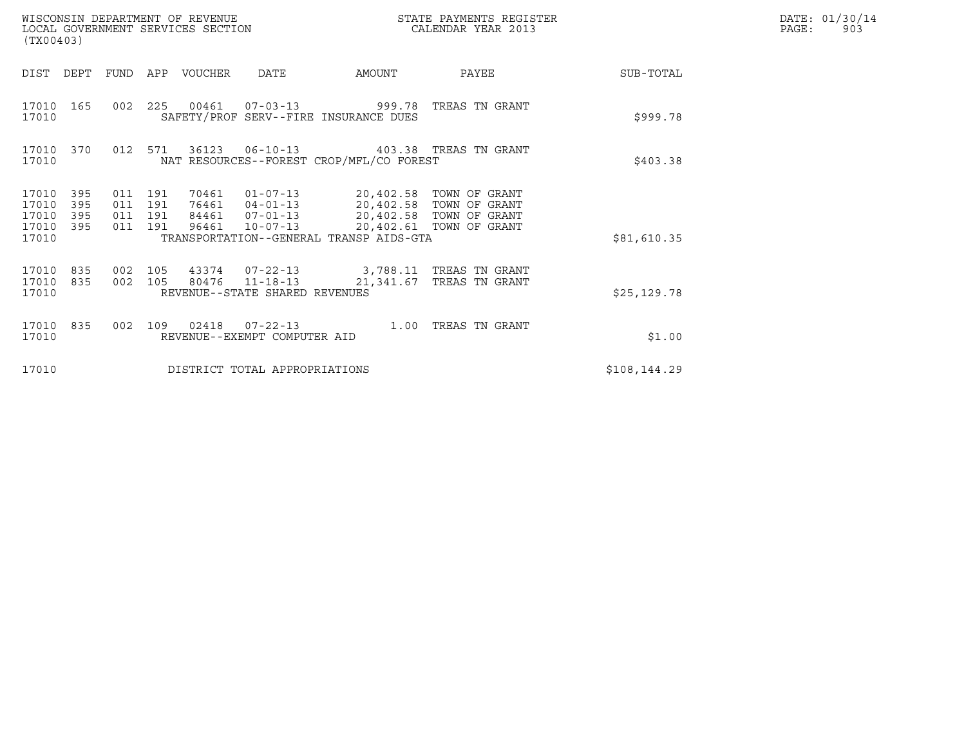| WISCONSIN DEPARTMENT OF REVENUE<br>LOCAL GOVERNMENT SERVICES SECTION<br>(TX00403) |                          |                                      |     |             |                                                  |                                                                                                                          | STATE PAYMENTS REGISTER<br>CALENDAR YEAR 2013      | DATE: 01/30/14<br>PAGE:<br>903 |  |
|-----------------------------------------------------------------------------------|--------------------------|--------------------------------------|-----|-------------|--------------------------------------------------|--------------------------------------------------------------------------------------------------------------------------|----------------------------------------------------|--------------------------------|--|
| DIST                                                                              | DEPT                     | FUND                                 |     | APP VOUCHER | <b>DATE</b>                                      | AMOUNT                                                                                                                   | PAYEE                                              | SUB-TOTAL                      |  |
| 17010 165<br>17010                                                                |                          |                                      |     |             |                                                  | 002 225 00461 07-03-13 999.78 TREAS TN GRANT<br>SAFETY/PROF SERV--FIRE INSURANCE DUES                                    |                                                    | \$999.78                       |  |
| 17010 370<br>17010                                                                |                          | 012 571                              |     |             | 36123 06-10-13                                   | NAT RESOURCES--FOREST CROP/MFL/CO FOREST                                                                                 | 403.38 TREAS TN GRANT                              | \$403.38                       |  |
| 17010<br>17010<br>17010<br>17010<br>17010                                         | 395<br>395<br>395<br>395 | 011 191<br>011<br>011 191<br>011 191 | 191 | 70461       | 84461 07-01-13<br>96461 10-07-13                 | 01-07-13 20,402.58 TOWN OF GRANT<br>76461  04-01-13  20,402.58  TOWN OF GRANT<br>TRANSPORTATION--GENERAL TRANSP AIDS-GTA | 20,402.58 TOWN OF GRANT<br>20,402.61 TOWN OF GRANT | \$81,610.35                    |  |
| 17010 835<br>17010<br>17010                                                       | 835                      | 002 105<br>002 105                   |     |             | 80476 11-18-13<br>REVENUE--STATE SHARED REVENUES | 43374  07-22-13  3,788.11 TREAS TN GRANT                                                                                 | 21,341.67 TREAS TN GRANT                           | \$25, 129.78                   |  |
| 17010 835<br>17010                                                                |                          | 002                                  | 109 |             | REVENUE--EXEMPT COMPUTER AID                     | 1.00                                                                                                                     | TREAS TN GRANT                                     | \$1.00                         |  |
| 17010                                                                             |                          |                                      |     |             | DISTRICT TOTAL APPROPRIATIONS                    |                                                                                                                          |                                                    | \$108, 144.29                  |  |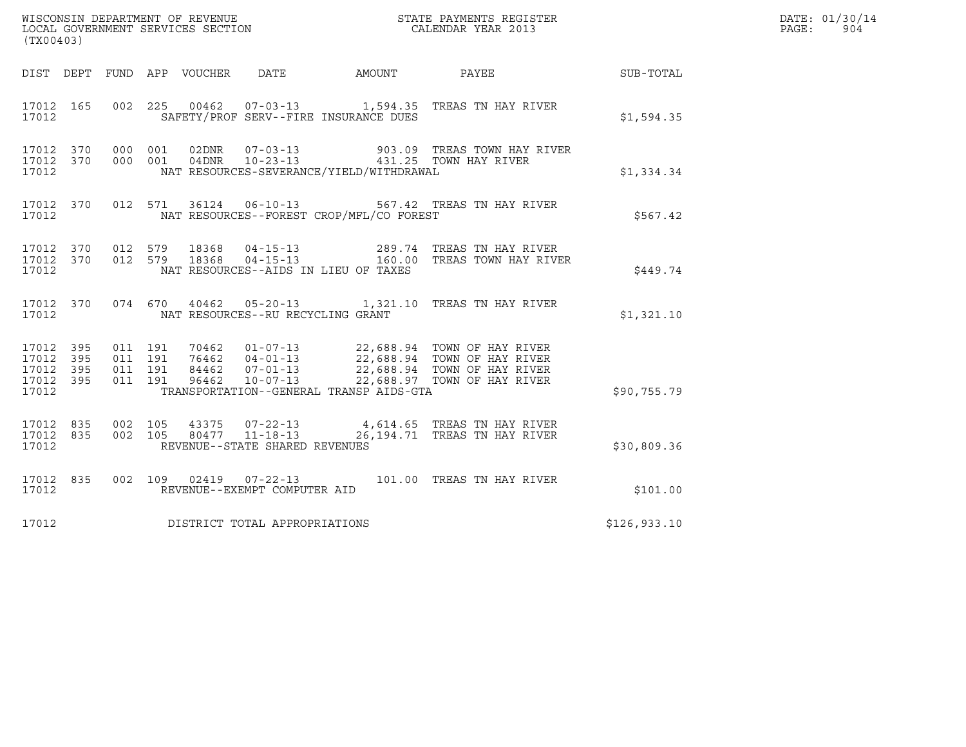|                                                           |  |                    |                    |                |                                                   |                                          |                                                                      |                  | DATE: 01/30/14 |
|-----------------------------------------------------------|--|--------------------|--------------------|----------------|---------------------------------------------------|------------------------------------------|----------------------------------------------------------------------|------------------|----------------|
| (TX00403)                                                 |  |                    |                    |                |                                                   |                                          |                                                                      |                  | PAGE:<br>904   |
|                                                           |  |                    |                    |                |                                                   | DIST DEPT FUND APP VOUCHER DATE AMOUNT   | PAYEE                                                                | <b>SUB-TOTAL</b> |                |
| 17012 165<br>17012                                        |  |                    |                    |                |                                                   | SAFETY/PROF SERV--FIRE INSURANCE DUES    | 002 225 00462 07-03-13 1,594.35 TREAS TN HAY RIVER                   | \$1,594.35       |                |
| 17012 370<br>17012 370<br>17012                           |  | 000 001<br>000 001 |                    | 04DNR          | 02DNR        07-03-13<br>$10 - 23 - 13$           | NAT RESOURCES-SEVERANCE/YIELD/WITHDRAWAL | 903.09   TREAS  TOWN  HAY  RIVER<br>431.25 TOWN HAY RIVER            | \$1,334.34       |                |
| 17012 370<br>17012                                        |  |                    |                    |                |                                                   | NAT RESOURCES--FOREST CROP/MFL/CO FOREST | 012 571 36124 06-10-13 567.42 TREAS TN HAY RIVER                     | \$567.42         |                |
| 17012 370 012 579<br>17012 370<br>17012                   |  | 012 579            |                    | 18368<br>18368 | $04 - 15 - 13$<br>$04 - 15 - 13$                  | NAT RESOURCES--AIDS IN LIEU OF TAXES     | 289.74   TREAS TN HAY RIVER<br>160.00 TREAS TOWN HAY RIVER           | \$449.74         |                |
| 17012 370<br>17012                                        |  |                    |                    |                | NAT RESOURCES--RU RECYCLING GRANT                 |                                          | 074 670 40462 05-20-13 1,321.10 TREAS TN HAY RIVER                   | \$1,321.10       |                |
| 17012 395<br>17012 395<br>17012 395<br>17012 395<br>17012 |  | 011 191<br>011 191 | 011 191<br>011 191 |                |                                                   | TRANSPORTATION--GENERAL TRANSP AIDS-GTA  |                                                                      | \$90,755.79      |                |
| 17012 835<br>17012 835<br>17012                           |  | 002 105<br>002 105 |                    | 43375          | 80477  11-18-13<br>REVENUE--STATE SHARED REVENUES |                                          | 07-22-13 4,614.65 TREAS TN HAY RIVER<br>26,194.71 TREAS TN HAY RIVER | \$30,809.36      |                |
| 17012 835<br>17012                                        |  |                    |                    |                | REVENUE--EXEMPT COMPUTER AID                      |                                          | 002 109 02419 07-22-13 101.00 TREAS TN HAY RIVER                     | \$101.00         |                |
| 17012                                                     |  |                    |                    |                | DISTRICT TOTAL APPROPRIATIONS                     |                                          |                                                                      | \$126,933.10     |                |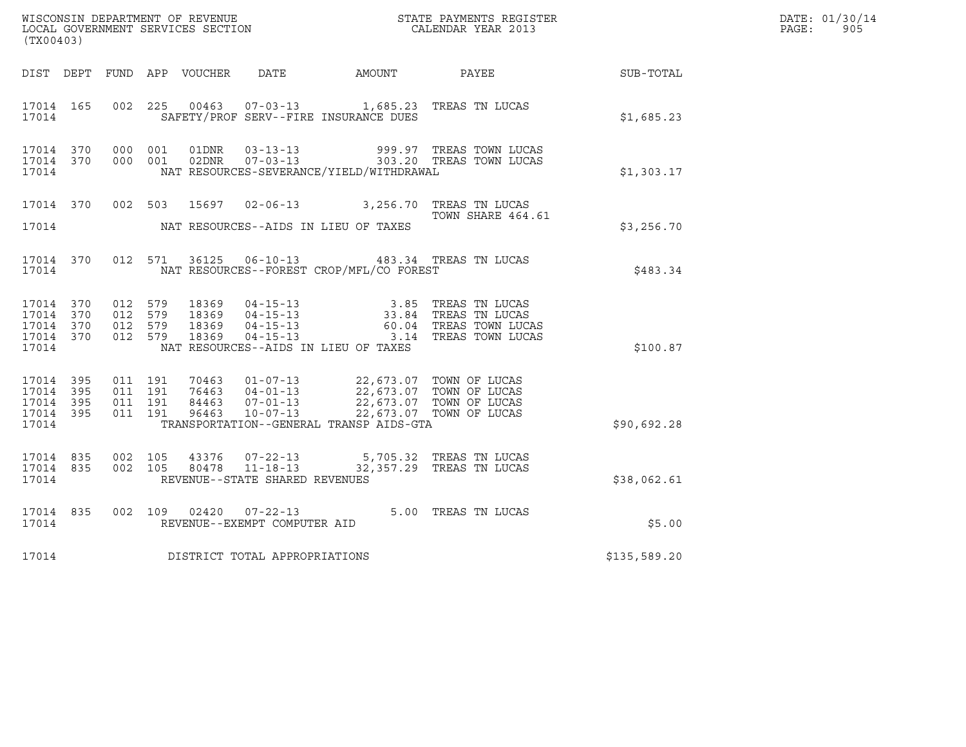| (TX00403)                                                 |           |                                          |         |                |                                                                      |                                                                                                                                                                       | $\tt WISCONSIM DEPARTMENT OF REVENUE$ $\tt STATE$ PAYMENTS REGISTER LOCAL GOVERNMENT SERVICES SECTION $\tt CALENDAR$ YEAR 2013 |                  | DATE: 01/30/14<br>$\mathtt{PAGE}$ :<br>905 |
|-----------------------------------------------------------|-----------|------------------------------------------|---------|----------------|----------------------------------------------------------------------|-----------------------------------------------------------------------------------------------------------------------------------------------------------------------|--------------------------------------------------------------------------------------------------------------------------------|------------------|--------------------------------------------|
|                                                           |           |                                          |         |                |                                                                      | DIST DEPT FUND APP VOUCHER DATE AMOUNT PAYEE                                                                                                                          |                                                                                                                                | <b>SUB-TOTAL</b> |                                            |
| 17014 165<br>17014                                        |           | 002 225                                  |         | 00463          |                                                                      | 07-03-13 1,685.23 TREAS TN LUCAS<br>SAFETY/PROF SERV--FIRE INSURANCE DUES                                                                                             |                                                                                                                                | \$1,685.23       |                                            |
| 17014 370<br>17014                                        |           | 17014 370 000 001<br>000 001             |         |                |                                                                      | NAT RESOURCES-SEVERANCE/YIELD/WITHDRAWAL                                                                                                                              | 01DNR  03-13-13  999.97 TREAS TOWN LUCAS<br>02DNR  07-03-13  303.20 TREAS TOWN LUCAS                                           | \$1,303.17       |                                            |
| 17014                                                     | 17014 370 |                                          | 002 503 |                |                                                                      | 15697  02-06-13  3,256.70  TREAS TN LUCAS<br>NAT RESOURCES--AIDS IN LIEU OF TAXES                                                                                     | TOWN SHARE 464.61                                                                                                              | \$3,256.70       |                                            |
| 17014 370<br>17014                                        |           |                                          | 012 571 |                |                                                                      | 36125  06-10-13  483.34  TREAS TN LUCAS<br>NAT RESOURCES--FOREST CROP/MFL/CO FOREST                                                                                   |                                                                                                                                | \$483.34         |                                            |
| 17014 370<br>17014 370<br>17014 370<br>17014 370<br>17014 |           | 012 579<br>012 579<br>012 579<br>012 579 |         |                | 18369 04-15-13<br>18369 04-15-13<br>18369 04-15-13<br>18369 04-15-13 | NAT RESOURCES--AIDS IN LIEU OF TAXES                                                                                                                                  | 3.85 TREAS TN LUCAS<br>33.84   TREAS TN LUCAS<br>60.04   TREAS TOWN LUCAS<br>3.14 TREAS TOWN LUCAS                             | \$100.87         |                                            |
| 17014 395<br>17014 395<br>17014 395<br>17014 395<br>17014 |           | 011 191<br>011 191<br>011 191<br>011 191 |         | 96463          | $10 - 07 - 13$                                                       | 70463 01-07-13 22,673.07 TOWN OF LUCAS<br>76463 04-01-13 22,673.07 TOWN OF LUCAS<br>84463 07-01-13 22,673.07 TOWN OF LUCAS<br>TRANSPORTATION--GENERAL TRANSP AIDS-GTA | 22,673.07 TOWN OF LUCAS                                                                                                        | \$90,692.28      |                                            |
| 17014 835<br>17014 835<br>17014                           |           | 002 105<br>002 105                       |         | 43376<br>80478 | $11 - 18 - 13$<br>REVENUE--STATE SHARED REVENUES                     | 07-22-13 5,705.32 TREAS TN LUCAS                                                                                                                                      | 32,357.29 TREAS TN LUCAS                                                                                                       | \$38,062.61      |                                            |
| 17014 835<br>17014                                        |           | 002 109                                  |         |                | $02420$ $07-22-13$<br>REVENUE--EXEMPT COMPUTER AID                   |                                                                                                                                                                       | 5.00 TREAS TN LUCAS                                                                                                            | \$5.00           |                                            |
| 17014                                                     |           |                                          |         |                | DISTRICT TOTAL APPROPRIATIONS                                        |                                                                                                                                                                       |                                                                                                                                | \$135,589.20     |                                            |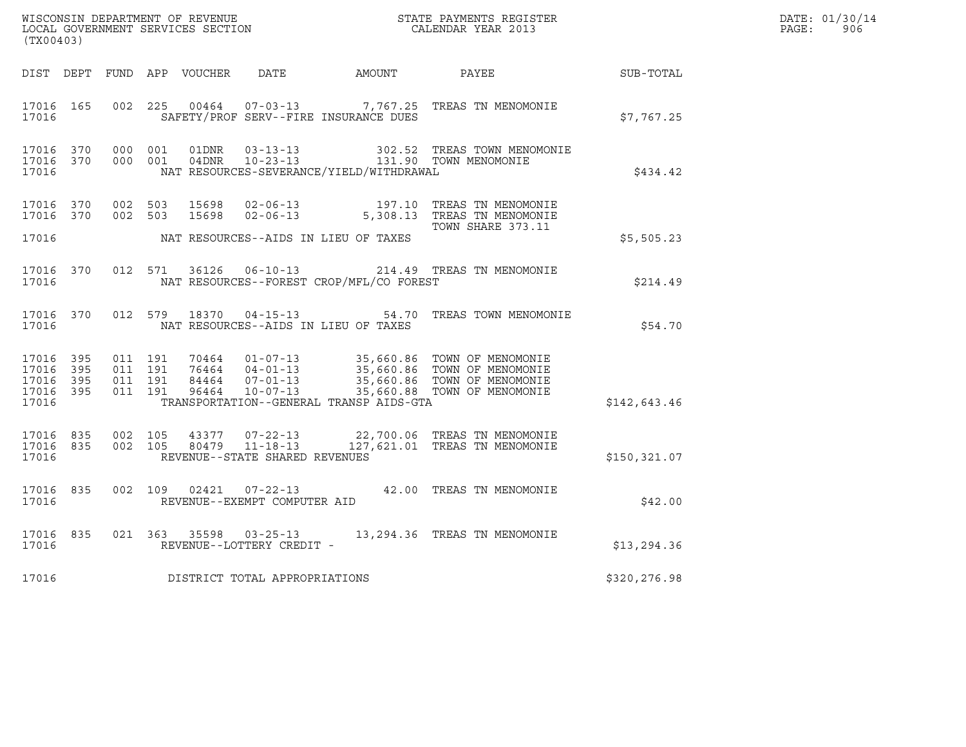| (TX00403)                                                 |                    |                    |                |                                                  |                                                                            |                                                                                                                                                                                                                                                                |               | DATE: 01/30/14<br>PAGE:<br>906 |
|-----------------------------------------------------------|--------------------|--------------------|----------------|--------------------------------------------------|----------------------------------------------------------------------------|----------------------------------------------------------------------------------------------------------------------------------------------------------------------------------------------------------------------------------------------------------------|---------------|--------------------------------|
|                                                           |                    |                    |                |                                                  |                                                                            | DIST DEPT FUND APP VOUCHER DATE AMOUNT PAYEE                                                                                                                                                                                                                   | SUB-TOTAL     |                                |
| 17016 165<br>17016                                        | 002 225            |                    |                |                                                  | SAFETY/PROF SERV--FIRE INSURANCE DUES                                      | 00464  07-03-13  7,767.25  TREAS TN MENOMONIE                                                                                                                                                                                                                  | \$7,767.25    |                                |
| 17016 370<br>17016 370<br>17016                           | 000 001<br>000 001 |                    | 01DNR<br>04DNR | $03 - 13 - 13$                                   | 10-23-13 131.90 TOWN MENOMONIE<br>NAT RESOURCES-SEVERANCE/YIELD/WITHDRAWAL | 302.52 TREAS TOWN MENOMONIE                                                                                                                                                                                                                                    | \$434.42      |                                |
| 17016 370<br>17016                                        | 17016 370 002 503  | 002 503            | 15698<br>15698 |                                                  | NAT RESOURCES--AIDS IN LIEU OF TAXES                                       | 02-06-13 197.10 TREAS TN MENOMONIE<br>02-06-13 5,308.13 TREAS TN MENOMONIE<br>TOWN SHARE 373.11                                                                                                                                                                | \$5,505.23    |                                |
| 17016 370<br>17016                                        |                    | 012 571            | 36126          |                                                  | NAT RESOURCES--FOREST CROP/MFL/CO FOREST                                   | 06-10-13 214.49 TREAS TN MENOMONIE                                                                                                                                                                                                                             | \$214.49      |                                |
| 17016                                                     |                    |                    |                |                                                  | NAT RESOURCES--AIDS IN LIEU OF TAXES                                       | 17016 370 012 579 18370 04-15-13 54.70 TREAS TOWN MENOMONIE                                                                                                                                                                                                    | \$54.70       |                                |
| 17016 395<br>17016 395<br>17016 395<br>17016 395<br>17016 | 011 191<br>011 191 | 011 191<br>011 191 |                |                                                  | TRANSPORTATION--GENERAL TRANSP AIDS-GTA                                    | $\begin{tabular}{lllllllllllll} 70464 & 01-07-13 & 35,660.86 & TOWN OF MENOMONIE \\ 76464 & 04-01-13 & 35,660.86 & TOWN OF MENOMONIE \\ 84464 & 07-01-13 & 35,660.86 & TOWN OF MENOMONIE \\ 96464 & 10-07-13 & 35,660.88 & TOWN OF MENOMONIE \\ \end{tabular}$ | \$142,643.46  |                                |
| 17016 835<br>17016 835<br>17016                           | 002 105            | 002 105            |                | 80479 11-18-13<br>REVENUE--STATE SHARED REVENUES |                                                                            | 43377 07-22-13 22,700.06 TREAS TN MENOMONIE<br>127,621.01 TREAS TN MENOMONIE                                                                                                                                                                                   | \$150, 321.07 |                                |
| 17016 835<br>17016                                        |                    |                    |                | REVENUE--EXEMPT COMPUTER AID                     |                                                                            | 002 109 02421 07-22-13 42.00 TREAS TN MENOMONIE                                                                                                                                                                                                                | \$42.00       |                                |
| 17016 835<br>17016                                        |                    |                    |                | REVENUE--LOTTERY CREDIT -                        |                                                                            | 021 363 35598 03-25-13 13,294.36 TREAS TN MENOMONIE                                                                                                                                                                                                            | \$13, 294.36  |                                |
| 17016                                                     |                    |                    |                | DISTRICT TOTAL APPROPRIATIONS                    |                                                                            |                                                                                                                                                                                                                                                                | \$320,276.98  |                                |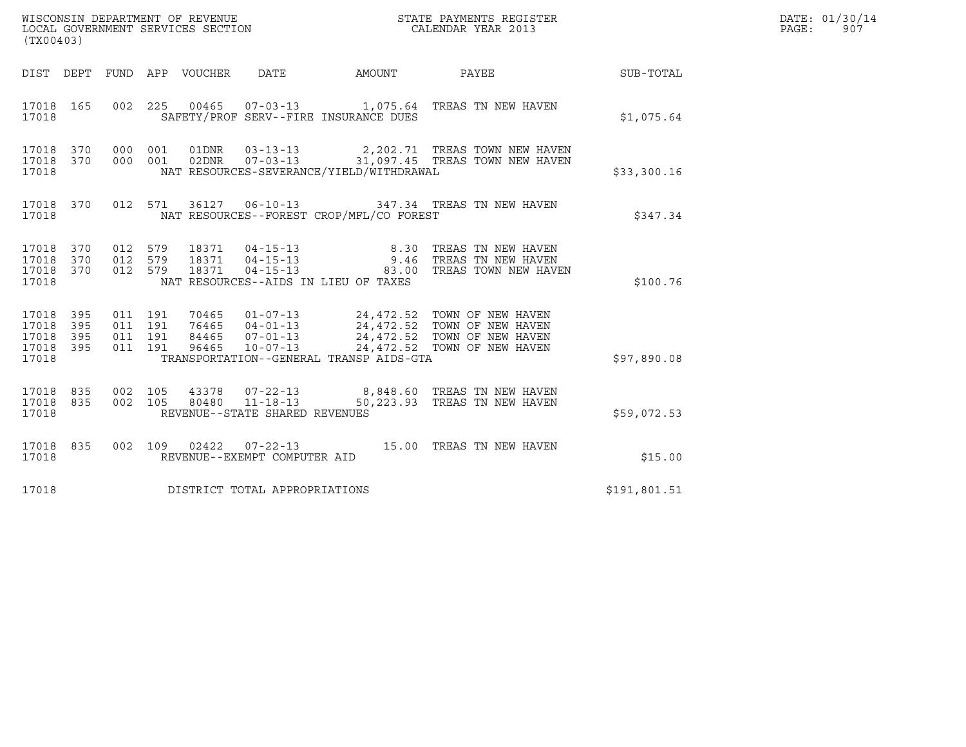| (TX00403)                                             |     |                               |         |                            | WISCONSIN DEPARTMENT OF REVENUE<br>LOCAL GOVERNMENT SERVICES SECTION |                                          | STATE PAYMENTS REGISTER<br>CALENDAR YEAR 2013                                                                                                                                                                                                                  |              | DATE: 01/30/14<br>$\mathtt{PAGE}$ :<br>907 |
|-------------------------------------------------------|-----|-------------------------------|---------|----------------------------|----------------------------------------------------------------------|------------------------------------------|----------------------------------------------------------------------------------------------------------------------------------------------------------------------------------------------------------------------------------------------------------------|--------------|--------------------------------------------|
|                                                       |     |                               |         | DIST DEPT FUND APP VOUCHER | DATE                                                                 |                                          | AMOUNT PAYEE SUB-TOTAL                                                                                                                                                                                                                                         |              |                                            |
| 17018 165<br>17018                                    |     |                               |         |                            |                                                                      | SAFETY/PROF SERV--FIRE INSURANCE DUES    | 002 225 00465 07-03-13 1,075.64 TREAS TN NEW HAVEN                                                                                                                                                                                                             | \$1,075.64   |                                            |
| 17018 370 000 001<br>17018 370<br>17018               |     | 000 001                       |         | 01DNR                      | $03 - 13 - 13$                                                       | NAT RESOURCES-SEVERANCE/YIELD/WITHDRAWAL | 2,202.71   TREAS TOWN NEW HAVEN<br>02DNR  07-03-13  31,097.45 TREAS TOWN NEW HAVEN                                                                                                                                                                             | \$33,300.16  |                                            |
| 17018 370<br>17018                                    |     |                               |         |                            |                                                                      | NAT RESOURCES--FOREST CROP/MFL/CO FOREST | 012 571 36127 06-10-13 347.34 TREAS TN NEW HAVEN                                                                                                                                                                                                               | \$347.34     |                                            |
| 17018 370<br>17018 370<br>17018 370<br>17018          |     | 012 579<br>012 579<br>012 579 |         |                            |                                                                      | NAT RESOURCES--AIDS IN LIEU OF TAXES     | 8.30 TREAS TN NEW HAVEN<br>9.46 TREAS TN NEW HAVEN<br>83.00 TREAS TOWN NEW HAVEN                                                                                                                                                                               | \$100.76     |                                            |
| 17018 395<br>17018<br>17018 395<br>17018 395<br>17018 | 395 | 011 191<br>011 191<br>011 191 | 011 191 |                            |                                                                      | TRANSPORTATION--GENERAL TRANSP AIDS-GTA  | $\begin{tabular}{lllllllllllll} 70465 & 01-07-13 & 24,472.52 & TOWN OF NEW HAVEN \\ 76465 & 04-01-13 & 24,472.52 & TOWN OF NEW HAVEN \\ 84465 & 07-01-13 & 24,472.52 & TOWN OF NEW HAVEN \\ 96465 & 10-07-13 & 24,472.52 & TOWN OF NEW HAVEN \\ \end{tabular}$ | \$97,890.08  |                                            |
| 17018 835<br>17018 835<br>17018                       |     | 002 105<br>002 105            |         |                            | REVENUE--STATE SHARED REVENUES                                       |                                          | 43378  07-22-13  8,848.60  TREAS TN NEW HAVEN<br>80480  11-18-13  50, 223.93  TREAS TN NEW HAVEN                                                                                                                                                               | \$59,072.53  |                                            |
| 17018 835<br>17018                                    |     |                               | 002 109 |                            | REVENUE--EXEMPT COMPUTER AID                                         |                                          |                                                                                                                                                                                                                                                                | \$15.00      |                                            |
| 17018                                                 |     |                               |         |                            | DISTRICT TOTAL APPROPRIATIONS                                        |                                          |                                                                                                                                                                                                                                                                | \$191,801.51 |                                            |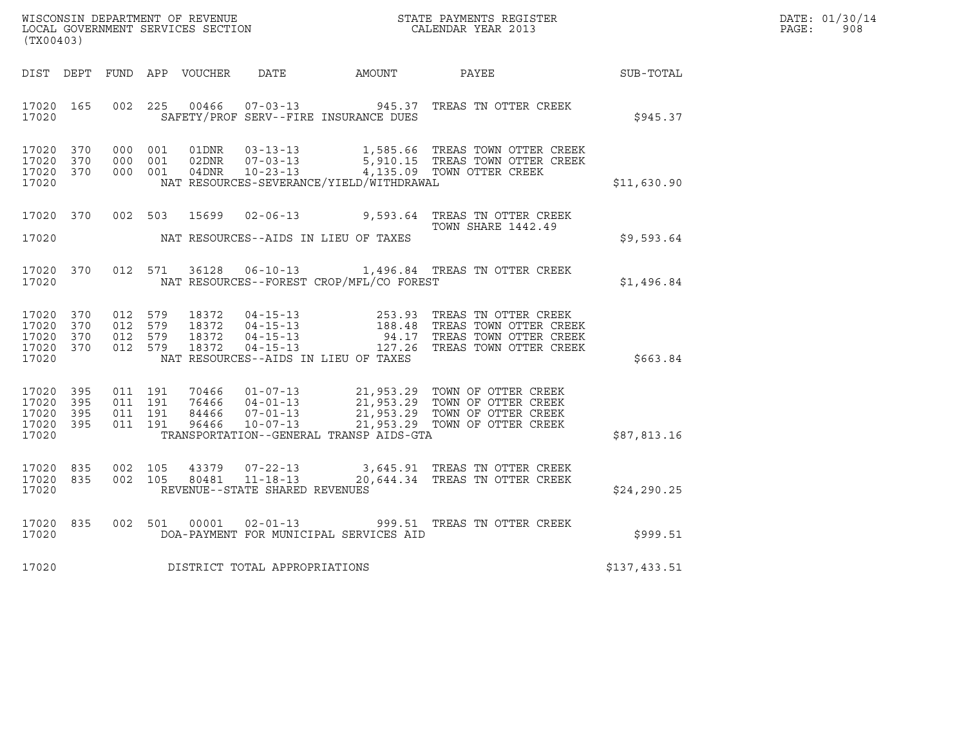| DATE: | 01/30/14 |
|-------|----------|
| PAGE: | 908      |

| (TX00403)                                                 |  |  |                                     |                                          | WISCONSIN DEPARTMENT OF REVENUE<br>LOCAL GOVERNMENT SERVICES SECTION<br>CALENDAR YEAR 2013                                                                                                                                   | R            | DATE: 01/30/14<br>PAGE: 908 |
|-----------------------------------------------------------|--|--|-------------------------------------|------------------------------------------|------------------------------------------------------------------------------------------------------------------------------------------------------------------------------------------------------------------------------|--------------|-----------------------------|
|                                                           |  |  |                                     |                                          | DIST DEPT FUND APP VOUCHER DATE AMOUNT PAYEE SUB-TOTAL                                                                                                                                                                       |              |                             |
| 17020 165<br>17020                                        |  |  |                                     | SAFETY/PROF SERV--FIRE INSURANCE DUES    | 002 225 00466 07-03-13 945.37 TREAS TN OTTER CREEK                                                                                                                                                                           | \$945.37     |                             |
| 17020 370<br>17020 370<br>17020 370<br>17020              |  |  |                                     | NAT RESOURCES-SEVERANCE/YIELD/WITHDRAWAL | 000 001 01DNR 03-13-13 1,585.66 TREAS TOWN OTTER CREEK<br>000 001 02DNR 07-03-13 5,910.15 TREAS TOWN OTTER CREEK<br>000 001 04DNR 10-23-13 4,135.09 TOWN OTTER CREEK                                                         | \$11,630.90  |                             |
| 17020                                                     |  |  |                                     | NAT RESOURCES--AIDS IN LIEU OF TAXES     | 17020 370 002 503 15699 02-06-13 9,593.64 TREAS TN OTTER CREEK                                                                                                                                                               | \$9,593.64   |                             |
|                                                           |  |  |                                     |                                          | 17020 370 012 571 36128 06-10-13 1,496.84 TREAS TN OTTER CREEK<br>17020 MAT RESOURCES--FOREST CROP/MFL/CO FOREST                                                                                                             | \$1,496.84   |                             |
| 17020 370<br>17020 370<br>17020 370<br>17020 370<br>17020 |  |  |                                     | NAT RESOURCES--AIDS IN LIEU OF TAXES     | 012 579 18372 04-15-13 253.93 TREAS TN OTTER CREEK<br>012 579 18372 04-15-13 188.48 TREAS TOWN OTTER CREEK<br>012 579 18372 04-15-13 94.17 TREAS TOWN OTTER CREEK<br>012 579 18372 04-15-13 127.26 TREAS TOWN OTTER CREEK    | \$663.84     |                             |
| 17020 395<br>17020 395<br>17020 395<br>17020 395<br>17020 |  |  |                                     | TRANSPORTATION--GENERAL TRANSP AIDS-GTA  | 011 191 70466 01-07-13 21,953.29 TOWN OF OTTER CREEK<br>011 191 76466 04-01-13 21,953.29 TOWN OF OTTER CREEK<br>011 191 84466 07-01-13 21,953.29 TOWN OF OTTER CREEK<br>011 191 96466 10-07-13 21,953.29 TOWN OF OTTER CREEK | \$87,813.16  |                             |
| 17020 835<br>17020 835<br>17020                           |  |  | REVENUE--STATE SHARED REVENUES      |                                          | 002 105 43379 07-22-13 3,645.91 TREAS TN OTTER CREEK<br>002 105 80481 11-18-13 20,644.34 TREAS TN OTTER CREEK                                                                                                                | \$24, 290.25 |                             |
| 17020 835<br>17020                                        |  |  |                                     | DOA-PAYMENT FOR MUNICIPAL SERVICES AID   | 002 501 00001 02-01-13 999.51 TREAS TN OTTER CREEK                                                                                                                                                                           | \$999.51     |                             |
|                                                           |  |  | 17020 DISTRICT TOTAL APPROPRIATIONS |                                          |                                                                                                                                                                                                                              | \$137,433.51 |                             |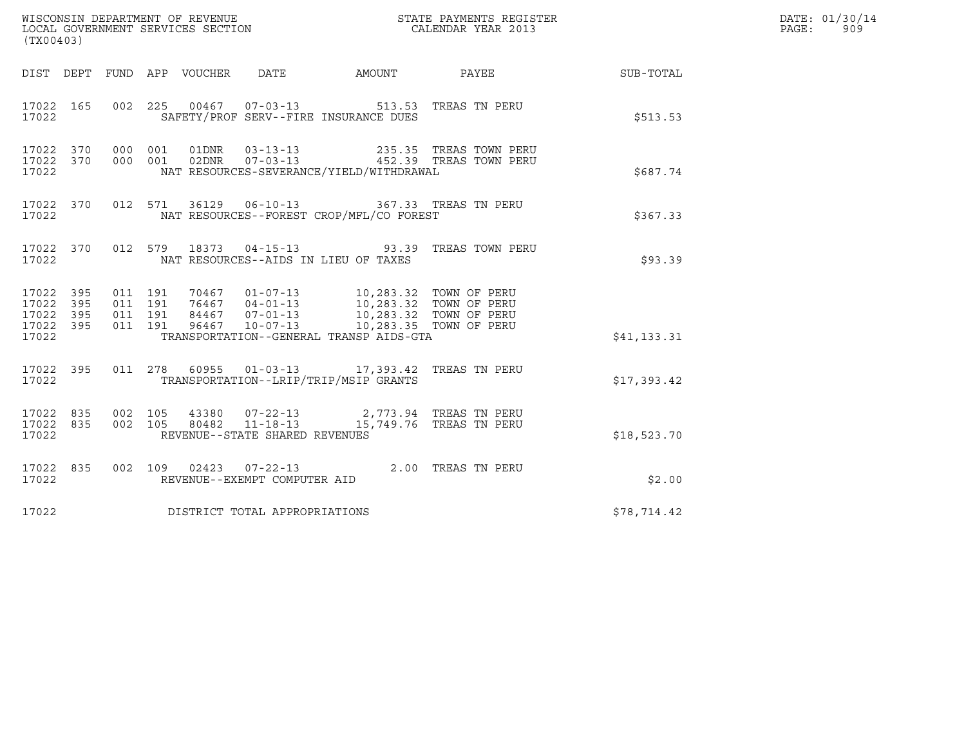| (TX00403)                                    |     |  |                                 |                                     |                                                                                                                                                                                                                                                                                                                                                    |                                                                                                                                                                     |                        | DATE: 01/30/14<br>PAGE:<br>909 |
|----------------------------------------------|-----|--|---------------------------------|-------------------------------------|----------------------------------------------------------------------------------------------------------------------------------------------------------------------------------------------------------------------------------------------------------------------------------------------------------------------------------------------------|---------------------------------------------------------------------------------------------------------------------------------------------------------------------|------------------------|--------------------------------|
|                                              |     |  | DIST DEPT FUND APP VOUCHER DATE |                                     |                                                                                                                                                                                                                                                                                                                                                    |                                                                                                                                                                     | AMOUNT PAYEE SUB-TOTAL |                                |
| 17022                                        |     |  |                                 |                                     | SAFETY/PROF SERV--FIRE INSURANCE DUES                                                                                                                                                                                                                                                                                                              | 17022 165 002 225 00467 07-03-13 513.53 TREAS TN PERU                                                                                                               | \$513.53               |                                |
| 17022 370<br>17022 370<br>17022              |     |  |                                 |                                     | NAT RESOURCES-SEVERANCE/YIELD/WITHDRAWAL                                                                                                                                                                                                                                                                                                           | 000 001 01DNR 03-13-13 235.35 TREAS TOWN PERU<br>000 001 02DNR 07-03-13 452.39 TREAS TOWN PERU                                                                      | \$687.74               |                                |
| 17022 370<br>17022                           |     |  |                                 |                                     | NAT RESOURCES--FOREST CROP/MFL/CO FOREST                                                                                                                                                                                                                                                                                                           | 012 571 36129 06-10-13 367.33 TREAS TN PERU                                                                                                                         | \$367.33               |                                |
| 17022 370<br>17022                           |     |  |                                 |                                     | NAT RESOURCES--AIDS IN LIEU OF TAXES                                                                                                                                                                                                                                                                                                               | 012 579 18373 04-15-13 93.39 TREAS TOWN PERU                                                                                                                        | \$93.39                |                                |
| 17022 395<br>17022<br>17022 395<br>17022 395 | 395 |  |                                 |                                     | $\begin{array}{cccccc} 011 & 191 & 70467 & 01\texttt{-}07\texttt{-}13 & 10,283.32 & \texttt{TOWN OF PERU} \\ 011 & 191 & 76467 & 04\texttt{-}01\texttt{-}13 & 10,283.32 & \texttt{TOWN OF PERU} \\ 011 & 191 & 84467 & 07\texttt{-}01\texttt{-}13 & 10,283.32 & \texttt{TOWN OF PERU} \\ 011 & 191 & 96467 & 10\texttt{-}07\texttt{-}13 & 10,283.$ |                                                                                                                                                                     |                        |                                |
| 17022                                        |     |  |                                 |                                     | TRANSPORTATION--GENERAL TRANSP AIDS-GTA                                                                                                                                                                                                                                                                                                            |                                                                                                                                                                     | \$41,133.31            |                                |
| 17022 395<br>17022                           |     |  |                                 |                                     | TRANSPORTATION--LRIP/TRIP/MSIP GRANTS                                                                                                                                                                                                                                                                                                              | 011  278  60955  01-03-13  17,393.42  TREAS TN PERU                                                                                                                 | \$17,393.42            |                                |
| 17022 835<br>17022 835<br>17022              |     |  |                                 | REVENUE--STATE SHARED REVENUES      |                                                                                                                                                                                                                                                                                                                                                    | $\begin{array}{cccc} 002 & 105 & 43380 & 07-22-13 & 2,773.94 & \text{TREAS TN PERU} \\ 002 & 105 & 80482 & 11-18-13 & 15,749.76 & \text{TREAS TN PERU} \end{array}$ | \$18,523.70            |                                |
| 17022 835<br>17022                           |     |  |                                 |                                     |                                                                                                                                                                                                                                                                                                                                                    | 002 109 02423 07-22-13 2.00 TREAS TN PERU REVENUE--EXEMPT COMPUTER AID                                                                                              | \$2.00                 |                                |
|                                              |     |  |                                 | 17022 DISTRICT TOTAL APPROPRIATIONS |                                                                                                                                                                                                                                                                                                                                                    |                                                                                                                                                                     | \$78,714.42            |                                |
|                                              |     |  |                                 |                                     |                                                                                                                                                                                                                                                                                                                                                    |                                                                                                                                                                     |                        |                                |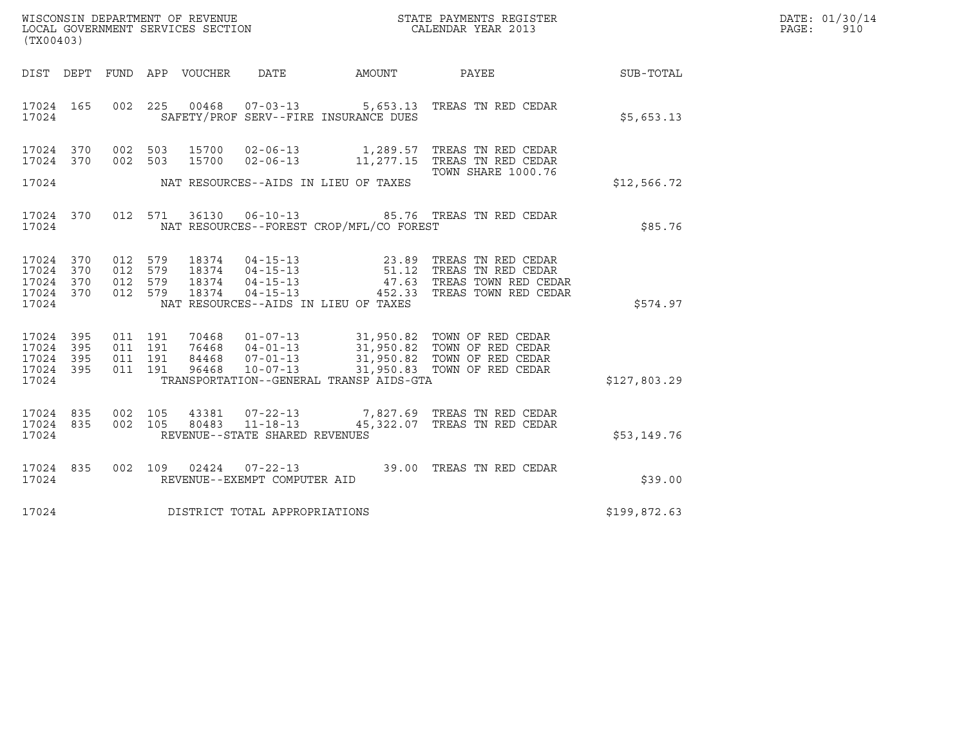| WISCONSIN DEPARTMENT OF REVENUE   | STATE PAYMENTS REGISTER | DATE: 01/30/14 |
|-----------------------------------|-------------------------|----------------|
| LOCAL GOVERNMENT SERVICES SECTION | CALENDAR YEAR 2013      | PAGE:<br>91 N  |

| (TX00403)                            |  |  |                                             | WISCONSIN DEPARTMENT OF REVENUE<br>LOCAL GOVERNMENT SERVICES SECTION TERMS OF CALENDAR YEAR 2013                                                                                                                                                                                                                                                                    |              | DATE: 01/30/14<br>PAGE: 910 |
|--------------------------------------|--|--|---------------------------------------------|---------------------------------------------------------------------------------------------------------------------------------------------------------------------------------------------------------------------------------------------------------------------------------------------------------------------------------------------------------------------|--------------|-----------------------------|
|                                      |  |  |                                             | DIST DEPT FUND APP VOUCHER DATE AMOUNT PAYEE PATE SUB-TOTAL                                                                                                                                                                                                                                                                                                         |              |                             |
|                                      |  |  | 17024 SAFETY/PROF SERV--FIRE INSURANCE DUES | 17024 165 002 225 00468 07-03-13 5,653.13 TREAS TN RED CEDAR                                                                                                                                                                                                                                                                                                        | \$5,653.13   |                             |
|                                      |  |  |                                             | 17024 370 002 503 15700 02-06-13 1,289.57 TREAS TN RED CEDAR<br>17024 370 002 503 15700 02-06-13 11,277.15 TREAS TN RED CEDAR                                                                                                                                                                                                                                       |              |                             |
|                                      |  |  | 17024 NAT RESOURCES--AIDS IN LIEU OF TAXES  |                                                                                                                                                                                                                                                                                                                                                                     | \$12,566.72  |                             |
|                                      |  |  |                                             | 17024 370 012 571 36130 06-10-13 85.76 TREAS TN RED CEDAR<br>17024 NAT RESOURCES--FOREST CROP/MFL/CO FOREST                                                                                                                                                                                                                                                         | \$85.76      |                             |
|                                      |  |  | 17024 NAT RESOURCES--AIDS IN LIEU OF TAXES  | $\begin{array}{cccccc} 17024 & 370 & 012 & 579 & 18374 & 04-15-13 & & 23.89 & \text{TREAS TN RED CEDAR} \\ 17024 & 370 & 012 & 579 & 18374 & 04-15-13 & & 51.12 & \text{TREAS TN RED CEDAR} \\ 17024 & 370 & 012 & 579 & 18374 & 04-15-13 & & 47.63 & \text{TREAS TOWN RED CEDAR} \\ 17024 & 370 & 012 & 579 & 18374 & 0$                                           | \$574.97     |                             |
| 17024                                |  |  |                                             | $\begin{array}{cccccccc} 17024 & 395 & 011 & 191 & 70468 & 01-07-13 & 31,950.82 & \text{TOWN OF RED CEDAR} \\ 17024 & 395 & 011 & 191 & 76468 & 04-01-13 & 31,950.82 & \text{TOWN OF RED CEDAR} \\ 17024 & 395 & 011 & 191 & 84468 & 07-01-13 & 31,950.82 & \text{TOWN OF RED CEDAR} \\ 17024 & 395 & 011 & 191 & 96468$<br>TRANSPORTATION--GENERAL TRANSP AIDS-GTA | \$127,803.29 |                             |
| 17024 REVENUE--STATE SHARED REVENUES |  |  |                                             | $17024$ 835 002 105 43381 07-22-13 7,827.69 TREAS TN RED CEDAR 17024 835 002 105 80483 11-18-13 45,322.07 TREAS TN RED CEDAR                                                                                                                                                                                                                                        | \$53,149.76  |                             |
| 17024 REVENUE--EXEMPT COMPUTER AID   |  |  |                                             | 17024 835 002 109 02424 07-22-13 39.00 TREAS TN RED CEDAR                                                                                                                                                                                                                                                                                                           | \$39.00      |                             |
| 17024 DISTRICT TOTAL APPROPRIATIONS  |  |  |                                             |                                                                                                                                                                                                                                                                                                                                                                     | \$199,872.63 |                             |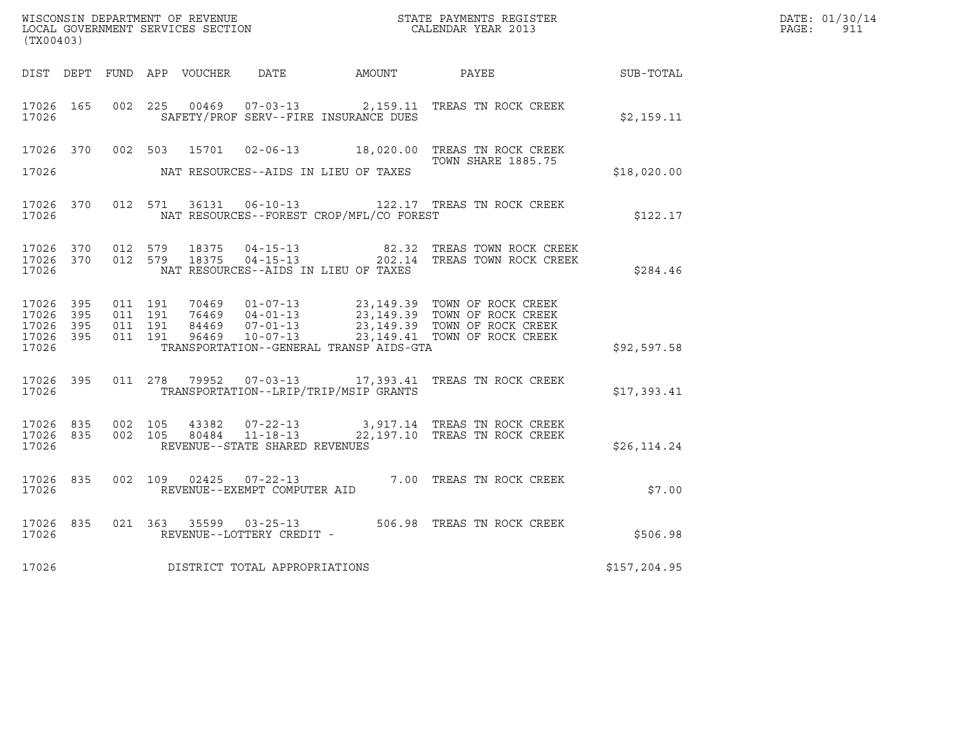| WISCONSIN DEPARTMENT OF REVENUE<br>LOCAL GOVERNMENT SERVICES SECTION CALENDAR YEAR 2013<br>(TX00403) |  |                               |         |  |                                |                                          |                                                                                                                                                                                                                         |              | DATE: 01/30/14<br>PAGE: 911 |
|------------------------------------------------------------------------------------------------------|--|-------------------------------|---------|--|--------------------------------|------------------------------------------|-------------------------------------------------------------------------------------------------------------------------------------------------------------------------------------------------------------------------|--------------|-----------------------------|
|                                                                                                      |  |                               |         |  |                                |                                          | DIST DEPT FUND APP VOUCHER DATE AMOUNT PAYEE SUB-TOTAL                                                                                                                                                                  |              |                             |
| 17026 165<br>17026                                                                                   |  | 002 225                       |         |  |                                | SAFETY/PROF SERV--FIRE INSURANCE DUES    | 00469  07-03-13  2,159.11  TREAS TN ROCK CREEK                                                                                                                                                                          | \$2,159.11   |                             |
| 17026                                                                                                |  |                               |         |  |                                | NAT RESOURCES--AIDS IN LIEU OF TAXES     | 17026 370 002 503 15701 02-06-13 18,020.00 TREAS TN ROCK CREEK<br>TOWN SHARE 1885.75                                                                                                                                    | \$18,020.00  |                             |
| 17026                                                                                                |  |                               |         |  |                                | NAT RESOURCES--FOREST CROP/MFL/CO FOREST | 17026 370 012 571 36131 06-10-13 122.17 TREAS TN ROCK CREEK                                                                                                                                                             | \$122.17     |                             |
| 17026                                                                                                |  |                               |         |  |                                | NAT RESOURCES--AIDS IN LIEU OF TAXES     | $\begin{array}{cccccc} 17026 & 370 & 012 & 579 & 18375 & 04-15-13 & & & & 82.32 & \text{TREAS TOWN ROCK CREEK} \\ 17026 & 370 & 012 & 579 & 18375 & 04-15-13 & & & & 202.14 & \text{TREAS TOWN ROCK CREEK} \end{array}$ | \$284.46     |                             |
| 17026 395<br>17026 395<br>17026 395<br>17026 395<br>17026                                            |  | 011 191<br>011 191<br>011 191 | 011 191 |  |                                | TRANSPORTATION--GENERAL TRANSP AIDS-GTA  |                                                                                                                                                                                                                         | \$92,597.58  |                             |
| 17026                                                                                                |  |                               |         |  |                                | TRANSPORTATION--LRIP/TRIP/MSIP GRANTS    | 17026 395 011 278 79952 07-03-13 17,393.41 TREAS TN ROCK CREEK                                                                                                                                                          | \$17,393.41  |                             |
| 17026                                                                                                |  |                               |         |  | REVENUE--STATE SHARED REVENUES |                                          | $\begin{array}{cccccc} 17026 & 835 & 002 & 105 & 43382 & 07-22-13 & & 3,917.14 & \text{TREAS TN ROCK CREEK} \\ 17026 & 835 & 002 & 105 & 80484 & 11-18-13 & & 22,197.10 & \text{TREAS TN ROCK CREEK} \end{array}$       | \$26, 114.24 |                             |
| 17026                                                                                                |  |                               |         |  | REVENUE--EXEMPT COMPUTER AID   |                                          | 17026 835 002 109 02425 07-22-13 7.00 TREAS TN ROCK CREEK                                                                                                                                                               | \$7.00       |                             |
| 17026 835<br>17026                                                                                   |  |                               |         |  | REVENUE--LOTTERY CREDIT -      |                                          | 021 363 35599 03-25-13 506.98 TREAS TN ROCK CREEK                                                                                                                                                                       | \$506.98     |                             |
| 17026                                                                                                |  |                               |         |  | DISTRICT TOTAL APPROPRIATIONS  |                                          |                                                                                                                                                                                                                         | \$157,204.95 |                             |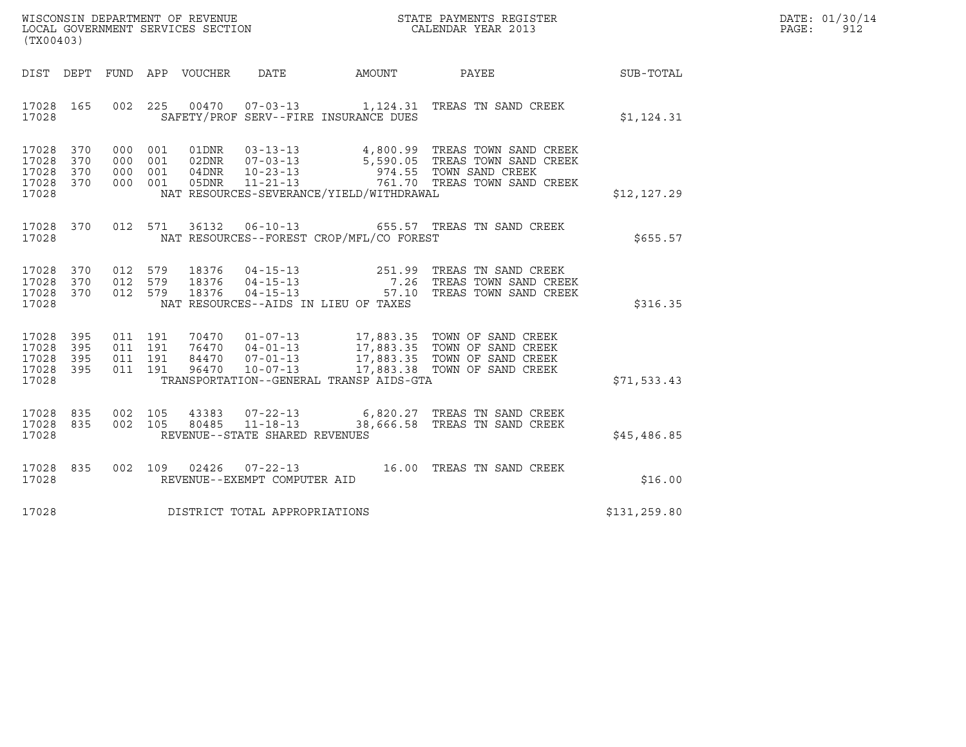| WISCONSIN DEPARTMENT OF REVENUE<br>LOCAL GOVERNMENT SERVICES SECTION<br>(TX00403) | STATE PAYMENTS REGISTER<br>CALENDAR YEAR 2013 | DATE: 01/30/14<br>PAGE:<br>912 |
|-----------------------------------------------------------------------------------|-----------------------------------------------|--------------------------------|

| (TX00403)                                                                                         |                                                                                                                                                                                                  |                                                                                                                                                                                    |              |
|---------------------------------------------------------------------------------------------------|--------------------------------------------------------------------------------------------------------------------------------------------------------------------------------------------------|------------------------------------------------------------------------------------------------------------------------------------------------------------------------------------|--------------|
| DEPT<br>DIST                                                                                      | FUND APP VOUCHER DATE AMOUNT                                                                                                                                                                     | PAYEE                                                                                                                                                                              | SUB-TOTAL    |
| 17028<br>165<br>002<br>17028                                                                      | 225  00470  07-03-13   1,124.31  TREAS TN SAND CREEK<br>SAFETY/PROF SERV--FIRE INSURANCE DUES                                                                                                    |                                                                                                                                                                                    | \$1,124.31   |
| 17028<br>370<br>000<br>17028<br>370<br>000<br>17028<br>370<br>000<br>17028<br>370<br>000<br>17028 | 01DNR<br>001<br>02DNR<br>001<br>001<br>04DNR<br>05DNR<br>001<br>NAT RESOURCES-SEVERANCE/YIELD/WITHDRAWAL                                                                                         | 03-13-13 4,800.99 TREAS TOWN SAND CREEK<br>07-03-13 5,590.05 TREAS TOWN SAND CREEK<br>10-23-13 974.55 TOWN SAND CREEK<br>11-21-13 761.70 TREAS TOWN SAND CREEK                     | \$12, 127.29 |
| 17028<br>370<br>17028                                                                             | 012 571<br>36132<br>NAT RESOURCES--FOREST CROP/MFL/CO FOREST                                                                                                                                     | 06-10-13 655.57 TREAS TN SAND CREEK                                                                                                                                                | \$655.57     |
| 17028<br>370<br>012<br>17028<br>370<br>012<br>17028<br>370<br>012<br>17028                        | 579<br>579<br>579<br>NAT RESOURCES--AIDS IN LIEU OF TAXES                                                                                                                                        | 18376  04-15-13  251.99  TREAS TN SAND CREEK<br>18376  04-15-13  7.26  TREAS TOWN SAND CREEK<br>18376  04-15-13  57.10  TREAS TOWN SAND CREEK                                      | \$316.35     |
| 17028 395<br>011<br>17028<br>395<br>011<br>17028<br>395<br>011<br>17028<br>395<br>011<br>17028    | 191<br>191<br>191<br>191<br>96470<br>$10 - 07 - 13$<br>TRANSPORTATION--GENERAL TRANSP AIDS-GTA                                                                                                   | 70470  01-07-13  17,883.35  TOWN OF SAND CREEK<br>76470  04-01-13  17,883.35  TOWN OF SAND CREEK<br>84470  07-01-13  17,883.35  TOWN OF SAND CREEK<br>17,883.38 TOWN OF SAND CREEK | \$71,533.43  |
| 835<br>17028<br>002<br>002<br>835<br>17028<br>17028                                               | $\begin{tabular}{llllll} 105 & 43383 & 07-22-13 & 6,820.27 TREAS TN SAND CREEK \\ 105 & 80485 & 11-18-13 & 38,666.58 TREAS TN SAND CREEK \end{tabular}$<br>105<br>REVENUE--STATE SHARED REVENUES |                                                                                                                                                                                    | \$45,486.85  |
| 17028<br>835<br>002<br>17028                                                                      | 109  02426  07-22-13<br>REVENUE--EXEMPT COMPUTER AID                                                                                                                                             | 16.00 TREAS TN SAND CREEK                                                                                                                                                          | \$16.00      |
| 17028                                                                                             | DISTRICT TOTAL APPROPRIATIONS                                                                                                                                                                    |                                                                                                                                                                                    | \$131,259.80 |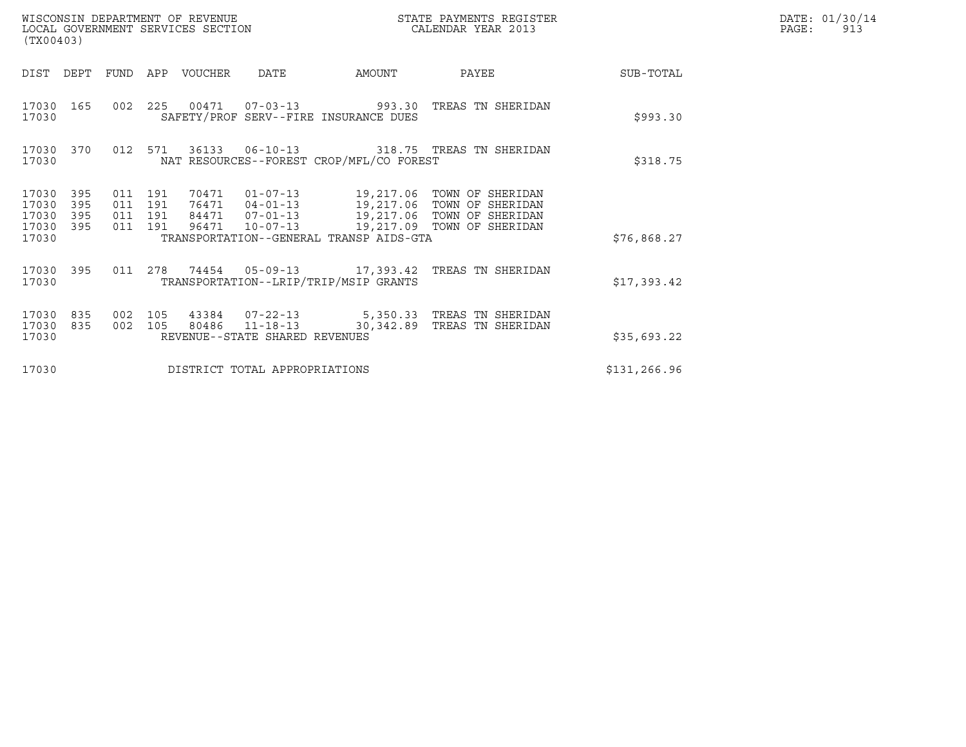| (TX00403)                                 |                          |                                          |         | WISCONSIN DEPARTMENT OF REVENUE<br>LOCAL GOVERNMENT SERVICES SECTION |                                |                                          | STATE PAYMENTS REGISTER<br>CALENDAR YEAR 2013                                                                                                                                                |              | DATE: 01/30/14<br>PAGE:<br>913 |
|-------------------------------------------|--------------------------|------------------------------------------|---------|----------------------------------------------------------------------|--------------------------------|------------------------------------------|----------------------------------------------------------------------------------------------------------------------------------------------------------------------------------------------|--------------|--------------------------------|
| DIST DEPT                                 |                          | FUND                                     |         | APP VOUCHER                                                          | <b>DATE</b>                    | AMOUNT                                   | PAYEE                                                                                                                                                                                        | SUB-TOTAL    |                                |
| 17030                                     | 17030 165                |                                          |         |                                                                      |                                | SAFETY/PROF SERV--FIRE INSURANCE DUES    | 002  225  00471  07-03-13  993.30  TREAS TN SHERIDAN                                                                                                                                         | \$993.30     |                                |
| 17030                                     | 17030 370                |                                          | 012 571 |                                                                      |                                | NAT RESOURCES--FOREST CROP/MFL/CO FOREST |                                                                                                                                                                                              | \$318.75     |                                |
| 17030<br>17030<br>17030<br>17030<br>17030 | 395<br>395<br>395<br>395 | 011 191<br>011 191<br>011 191<br>011 191 |         |                                                                      |                                | TRANSPORTATION--GENERAL TRANSP AIDS-GTA  | 70471  01-07-13  19,217.06  TOWN OF SHERIDAN<br>76471  04-01-13  19,217.06  TOWN OF SHERIDAN<br>84471  07-01-13  19,217.06  TOWN OF SHERIDAN<br>96471  10-07-13  19,217.09  TOWN OF SHERIDAN | \$76,868.27  |                                |
| 17030                                     | 17030 395                |                                          |         |                                                                      |                                | TRANSPORTATION--LRIP/TRIP/MSIP GRANTS    | 011  278  74454  05-09-13  17,393.42  TREAS TN SHERIDAN                                                                                                                                      | \$17,393.42  |                                |
| 17030<br>17030<br>17030                   | 835<br>835               | 002 105<br>002 105                       |         |                                                                      | REVENUE--STATE SHARED REVENUES |                                          | 43384  07-22-13  5,350.33  TREAS TN SHERIDAN<br>80486  11-18-13  30,342.89  TREAS TN SHERIDAN                                                                                                | \$35,693.22  |                                |
| 17030                                     |                          |                                          |         |                                                                      | DISTRICT TOTAL APPROPRIATIONS  |                                          |                                                                                                                                                                                              | \$131,266.96 |                                |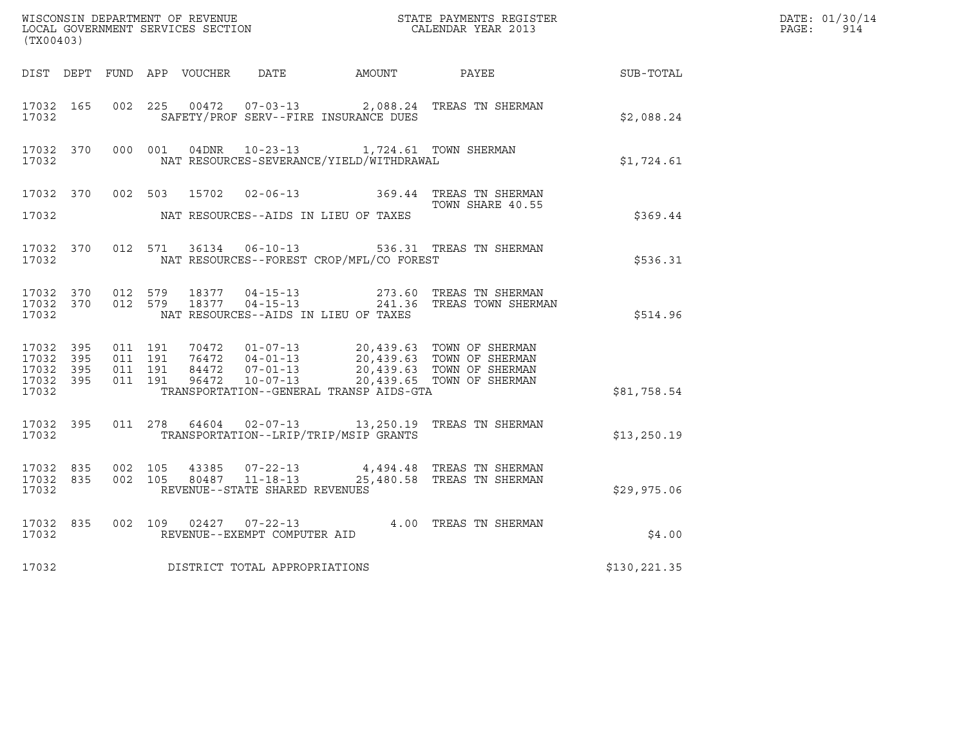| (TX00403)                                                 |           |                              |                    |  |                                                  |                                                                                          |                                                                                                                                                                                          |                  | DATE: 01/30/14<br>PAGE:<br>914 |
|-----------------------------------------------------------|-----------|------------------------------|--------------------|--|--------------------------------------------------|------------------------------------------------------------------------------------------|------------------------------------------------------------------------------------------------------------------------------------------------------------------------------------------|------------------|--------------------------------|
|                                                           |           |                              |                    |  |                                                  | DIST DEPT FUND APP VOUCHER DATE AMOUNT PAYEE                                             |                                                                                                                                                                                          | <b>SUB-TOTAL</b> |                                |
| 17032 165<br>17032                                        |           | 002 225                      |                    |  | $00472$ $07-03-13$                               | SAFETY/PROF SERV--FIRE INSURANCE DUES                                                    | 2,088.24 TREAS TN SHERMAN                                                                                                                                                                | \$2,088.24       |                                |
| 17032                                                     | 17032 370 |                              |                    |  |                                                  | 000 001 04DNR 10-23-13 1,724.61 TOWN SHERMAN<br>NAT RESOURCES-SEVERANCE/YIELD/WITHDRAWAL |                                                                                                                                                                                          | \$1,724.61       |                                |
| 17032                                                     | 17032 370 |                              |                    |  |                                                  | NAT RESOURCES--AIDS IN LIEU OF TAXES                                                     | 002 503 15702 02-06-13 369.44 TREAS TN SHERMAN<br>TOWN SHARE 40.55                                                                                                                       | \$369.44         |                                |
| 17032                                                     | 17032 370 |                              |                    |  |                                                  | NAT RESOURCES--FOREST CROP/MFL/CO FOREST                                                 | 012 571 36134 06-10-13 536.31 TREAS TN SHERMAN                                                                                                                                           | \$536.31         |                                |
| 17032                                                     | 17032 370 | 17032 370 012 579            | 012 579            |  |                                                  | NAT RESOURCES--AIDS IN LIEU OF TAXES                                                     | 18377  04-15-13  273.60 TREAS TN SHERMAN<br>18377  04-15-13  241.36 TREAS TOWN SHERMAN                                                                                                   | \$514.96         |                                |
| 17032 395<br>17032 395<br>17032 395<br>17032 395<br>17032 |           | 011 191<br>011 191           | 011 191<br>011 191 |  |                                                  | TRANSPORTATION--GENERAL TRANSP AIDS-GTA                                                  | 70472  01-07-13  20,439.63  TOWN OF SHERMAN<br>76472  04-01-13  20,439.63  TOWN OF SHERMAN<br>84472  07-01-13  20,439.63  TOWN OF SHERMAN<br>96472  10-07-13  20,439.65  TOWN OF SHERMAN | \$81,758.54      |                                |
| 17032 395<br>17032                                        |           |                              |                    |  |                                                  | TRANSPORTATION--LRIP/TRIP/MSIP GRANTS                                                    | 011 278 64604 02-07-13 13,250.19 TREAS TN SHERMAN                                                                                                                                        | \$13, 250.19     |                                |
| 17032 835<br>17032                                        |           | 17032 835 002 105<br>002 105 |                    |  | 80487 11-18-13<br>REVENUE--STATE SHARED REVENUES |                                                                                          | 43385 07-22-13 4,494.48 TREAS TN SHERMAN<br>25,480.58 TREAS TN SHERMAN                                                                                                                   | \$29,975.06      |                                |
| 17032 835<br>17032                                        |           |                              |                    |  | REVENUE--EXEMPT COMPUTER AID                     |                                                                                          | 002 109 02427 07-22-13 4.00 TREAS TN SHERMAN                                                                                                                                             | \$4.00           |                                |
| 17032                                                     |           |                              |                    |  | DISTRICT TOTAL APPROPRIATIONS                    |                                                                                          |                                                                                                                                                                                          | \$130,221.35     |                                |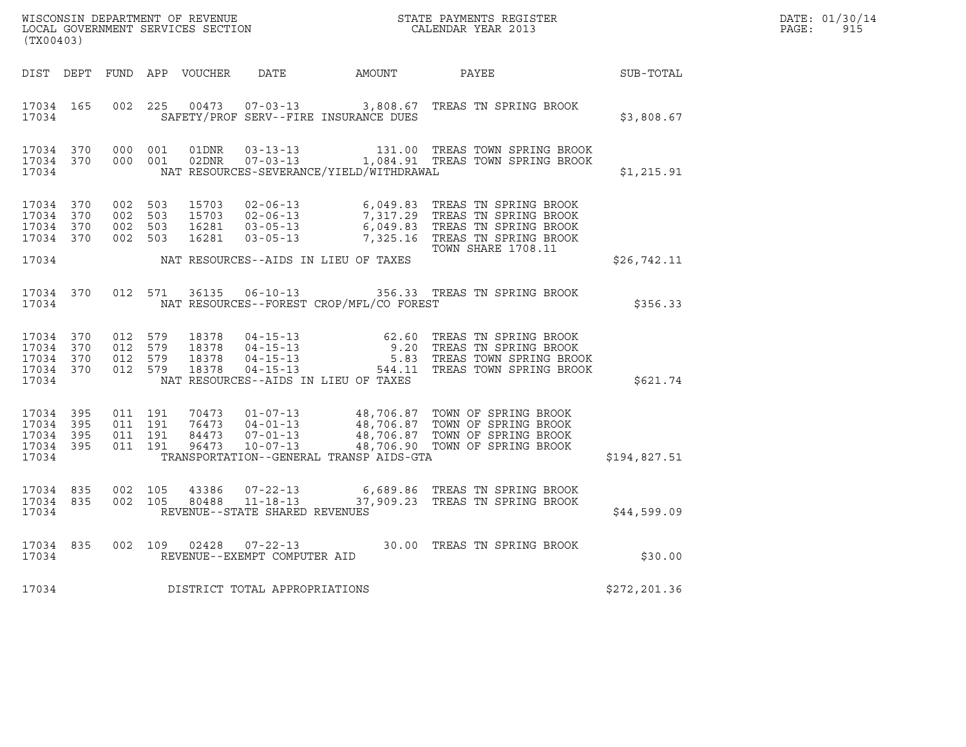|       | DATE: 01/30/14 |
|-------|----------------|
| PAGE: | 915            |

| $\tt WISCONSIM DEPARTMENT OF REVENUE$ $\tt WISCONSIMENT$ SERVICES SECTION $\tt CALENDAR$ YEAR 2013<br>(TX00403) |  |                                                                        |         |                |                                |                                          |                                                                                                                                                                                                                                    |               | DATE: 01/30/14<br>PAGE:<br>915 |
|-----------------------------------------------------------------------------------------------------------------|--|------------------------------------------------------------------------|---------|----------------|--------------------------------|------------------------------------------|------------------------------------------------------------------------------------------------------------------------------------------------------------------------------------------------------------------------------------|---------------|--------------------------------|
|                                                                                                                 |  |                                                                        |         |                |                                |                                          | DIST DEPT FUND APP VOUCHER DATE AMOUNT PAYEE                                                                                                                                                                                       | SUB-TOTAL     |                                |
| 17034                                                                                                           |  |                                                                        |         |                |                                | SAFETY/PROF SERV--FIRE INSURANCE DUES    | 17034 165 002 225 00473 07-03-13 3,808.67 TREAS TN SPRING BROOK                                                                                                                                                                    | \$3,808.67    |                                |
| 17034 370<br>17034                                                                                              |  | 17034 370 000 001                                                      | 000 001 | 01DNR<br>02DNR |                                | NAT RESOURCES-SEVERANCE/YIELD/WITHDRAWAL | 03-13-13 131.00 TREAS TOWN SPRING BROOK<br>07-03-13 1,084.91 TREAS TOWN SPRING BROOK                                                                                                                                               | \$1,215.91    |                                |
| 17034 370<br>17034 370<br>17034 370                                                                             |  | 17034 370 002 503<br>002 503<br>002 503<br>002 503                     |         |                |                                |                                          | 15703  02-06-13  6,049.83  TREAS TN SPRING BROOK<br>15703  02-06-13  7,317.29  TREAS TN SPRING BROOK<br>16281  03-05-13  6,049.83  TREAS TN SPRING BROOK<br>16281  03-05-13  7,325.16  TREAS TN SPRING BROOK<br>TOWN SHARE 1708.11 |               |                                |
| 17034                                                                                                           |  |                                                                        |         |                |                                | NAT RESOURCES--AIDS IN LIEU OF TAXES     |                                                                                                                                                                                                                                    | \$26,742.11   |                                |
| 17034 370<br>17034                                                                                              |  |                                                                        | 012 571 | 36135          |                                | NAT RESOURCES--FOREST CROP/MFL/CO FOREST | 06-10-13 356.33 TREAS TN SPRING BROOK                                                                                                                                                                                              | \$356.33      |                                |
| 17034 370<br>17034                                                                                              |  | 17034 370 012 579<br>012 579<br>17034 370 012 579<br>17034 370 012 579 |         |                |                                | NAT RESOURCES--AIDS IN LIEU OF TAXES     | 18378  04-15-13  62.60 TREAS TN SPRING BROOK<br>18378  04-15-13  9.20 TREAS TN SPRING BROOK<br>18378  04-15-13  5.83 TREAS TOWN SPRING BROOK<br>18378  04-15-13  544.11 TREAS TOWN SPRING BROOK                                    | \$621.74      |                                |
| 17034 395<br>17034 395<br>17034 395<br>17034 395<br>17034                                                       |  | 011 191<br>011 191<br>011 191                                          | 011 191 |                |                                | TRANSPORTATION--GENERAL TRANSP AIDS-GTA  | 70473  01-07-13  48,706.87  TOWN OF SPRING BROOK<br>76473  04-01-13  48,706.87  TOWN OF SPRING BROOK<br>84473  07-01-13  48,706.87  TOWN OF SPRING BROOK<br>96473  10-07-13  48,706.90  TOWN OF SPRING BROOK                       | \$194,827.51  |                                |
| 17034 835<br>17034                                                                                              |  | 17034 835 002 105<br>002 105                                           |         | 43386<br>80488 | REVENUE--STATE SHARED REVENUES |                                          | 07-22-13 6,689.86 TREAS TN SPRING BROOK<br>11-18-13 37,909.23 TREAS TN SPRING BROOK                                                                                                                                                | \$44,599.09   |                                |
| 17034                                                                                                           |  |                                                                        |         |                | REVENUE--EXEMPT COMPUTER AID   |                                          | 17034 835 002 109 02428 07-22-13 30.00 TREAS TN SPRING BROOK                                                                                                                                                                       | \$30.00       |                                |
| 17034                                                                                                           |  |                                                                        |         |                | DISTRICT TOTAL APPROPRIATIONS  |                                          |                                                                                                                                                                                                                                    | \$272, 201.36 |                                |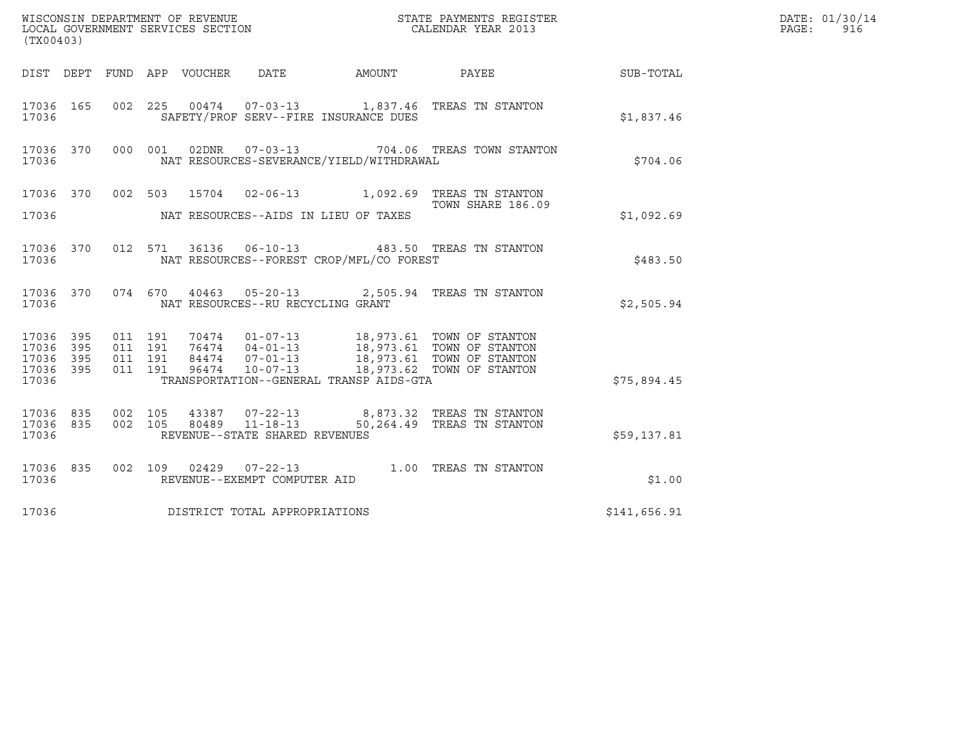| (TX00403)                                             |     |                               |         |                                          |                                                                                                                                                                                          |              | DATE: 01/30/14<br>PAGE:<br>916 |
|-------------------------------------------------------|-----|-------------------------------|---------|------------------------------------------|------------------------------------------------------------------------------------------------------------------------------------------------------------------------------------------|--------------|--------------------------------|
|                                                       |     |                               |         |                                          | DIST DEPT FUND APP VOUCHER DATE AMOUNT PAYEE THE SUB-TOTAL                                                                                                                               |              |                                |
| 17036 165<br>17036                                    |     |                               |         | SAFETY/PROF SERV--FIRE INSURANCE DUES    | 002 225 00474 07-03-13 1,837.46 TREAS TN STANTON                                                                                                                                         | \$1,837.46   |                                |
| 17036                                                 |     |                               |         | NAT RESOURCES-SEVERANCE/YIELD/WITHDRAWAL | 17036 370 000 001 02DNR 07-03-13 704.06 TREAS TOWN STANTON                                                                                                                               | \$704.06     |                                |
|                                                       |     |                               |         |                                          | 17036 370 002 503 15704 02-06-13 1,092.69 TREAS TN STANTON<br>TOWN SHARE 186.09<br>TOWN SHARE 186.09                                                                                     |              |                                |
| 17036                                                 |     |                               |         | NAT RESOURCES--AIDS IN LIEU OF TAXES     |                                                                                                                                                                                          | \$1,092.69   |                                |
| 17036                                                 |     |                               |         | NAT RESOURCES--FOREST CROP/MFL/CO FOREST | 17036 370 012 571 36136 06-10-13 483.50 TREAS TN STANTON                                                                                                                                 | \$483.50     |                                |
| 17036                                                 |     |                               |         | NAT RESOURCES--RU RECYCLING GRANT        | 17036 370 074 670 40463 05-20-13 2,505.94 TREAS TN STANTON                                                                                                                               | \$2,505.94   |                                |
| 17036 395<br>17036<br>17036 395<br>17036 395<br>17036 | 395 | 011 191<br>011 191<br>011 191 | 011 191 | TRANSPORTATION--GENERAL TRANSP AIDS-GTA  | 70474  01-07-13  18,973.61  TOWN OF STANTON<br>76474  04-01-13  18,973.61  TOWN OF STANTON<br>84474  07-01-13  18,973.61  TOWN OF STANTON<br>96474  10-07-13  18,973.62  TOWN OF STANTON | \$75,894.45  |                                |
| 17036 835<br>17036 835<br>17036                       |     | 002 105                       |         | REVENUE--STATE SHARED REVENUES           | 002 105 43387 07-22-13 8,873.32 TREAS TN STANTON 002 105 80489 11-18-13 50,264.49 TREAS TN STANTON                                                                                       | \$59,137.81  |                                |
| 17036                                                 |     |                               |         | REVENUE--EXEMPT COMPUTER AID             | 17036 835 002 109 02429 07-22-13 1.00 TREAS TN STANTON                                                                                                                                   | \$1.00       |                                |
| 17036                                                 |     |                               |         | DISTRICT TOTAL APPROPRIATIONS            |                                                                                                                                                                                          | \$141,656.91 |                                |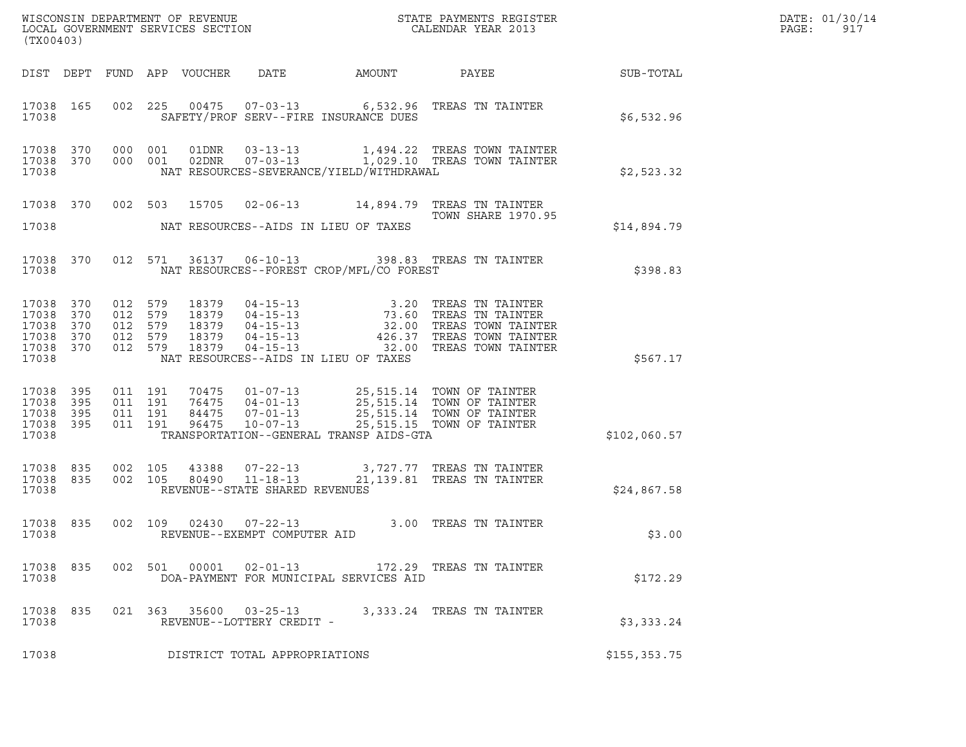| (TX00403)                                              |                          |         |                                          |  |                                |                                          |                                                                                                                                                                                                                                                                                                                                  |               | DATE: 01/30/14<br>PAGE:<br>917 |
|--------------------------------------------------------|--------------------------|---------|------------------------------------------|--|--------------------------------|------------------------------------------|----------------------------------------------------------------------------------------------------------------------------------------------------------------------------------------------------------------------------------------------------------------------------------------------------------------------------------|---------------|--------------------------------|
|                                                        |                          |         |                                          |  |                                |                                          |                                                                                                                                                                                                                                                                                                                                  |               |                                |
| 17038                                                  |                          |         |                                          |  |                                | SAFETY/PROF SERV--FIRE INSURANCE DUES    | 17038 165 002 225 00475 07-03-13 6,532.96 TREAS TN TAINTER                                                                                                                                                                                                                                                                       | \$6,532.96    |                                |
| 17038                                                  |                          |         |                                          |  |                                | NAT RESOURCES-SEVERANCE/YIELD/WITHDRAWAL | $17038$ 370 000 001 01DNR 03-13-13 1,494.22 TREAS TOWN TAINTER<br>17038 370 000 001 02DNR 07-03-13 1,029.10 TREAS TOWN TAINTER                                                                                                                                                                                                   | \$2,523.32    |                                |
|                                                        |                          |         |                                          |  |                                |                                          | 17038 370 002 503 15705 02-06-13 14,894.79 TREAS TN TAINTER<br><b>TOWN SHARE 1970.95</b>                                                                                                                                                                                                                                         |               |                                |
| 17038                                                  |                          |         |                                          |  |                                | NAT RESOURCES--AIDS IN LIEU OF TAXES     |                                                                                                                                                                                                                                                                                                                                  | \$14,894.79   |                                |
| 17038                                                  |                          |         |                                          |  |                                | NAT RESOURCES--FOREST CROP/MFL/CO FOREST | 17038 370 012 571 36137 06-10-13 398.83 TREAS TN TAINTER                                                                                                                                                                                                                                                                         | \$398.83      |                                |
| 17038 370<br>17038<br>17038<br>17038<br>17038<br>17038 | 370<br>370<br>370<br>370 | 012 579 |                                          |  |                                | NAT RESOURCES--AIDS IN LIEU OF TAXES     | $\begin{array}{cccc} 012 & 579 & 18379 & 04-15-13 & 3.20 & \text{TREAS TN TAINTER} \\ 012 & 579 & 18379 & 04-15-13 & 73.60 & \text{TREAS TN TAINTER} \\ 012 & 579 & 18379 & 04-15-13 & 32.00 & \text{TREAS TOWN TAINTER} \\ 012 & 579 & 18379 & 04-15-13 & 426.37 & \text{TREAS TOWN TAINTER} \\ 012 & 579 & 18379 & 04-15-13 &$ | \$567.17      |                                |
| 17038 395<br>17038<br>17038<br>17038<br>17038          | 395<br>395<br>395        |         | 011 191<br>011 191<br>011 191<br>011 191 |  |                                | TRANSPORTATION--GENERAL TRANSP AIDS-GTA  | 70475  01-07-13  25,515.14  TOWN OF TAINTER<br>76475  04-01-13  25,515.14  TOWN OF TAINTER<br>84475  07-01-13  25,515.14  TOWN OF TAINTER<br>96475  10-07-13  25,515.15  TOWN OF TAINTER                                                                                                                                         | \$102,060.57  |                                |
| 17038 835<br>17038 835<br>17038                        |                          |         | 002 105<br>002 105                       |  | REVENUE--STATE SHARED REVENUES |                                          |                                                                                                                                                                                                                                                                                                                                  | \$24,867.58   |                                |
| 17038                                                  |                          |         |                                          |  | REVENUE--EXEMPT COMPUTER AID   |                                          | 17038 835 002 109 02430 07-22-13 3.00 TREAS TN TAINTER                                                                                                                                                                                                                                                                           | \$3.00        |                                |
| 17038 835<br>17038                                     |                          |         |                                          |  |                                | DOA-PAYMENT FOR MUNICIPAL SERVICES AID   | 002 501 00001 02-01-13 172.29 TREAS TN TAINTER                                                                                                                                                                                                                                                                                   | \$172.29      |                                |
| 17038 835<br>17038                                     |                          |         |                                          |  | REVENUE--LOTTERY CREDIT -      |                                          | 021  363  35600  03-25-13  3,333.24  TREAS TN TAINTER                                                                                                                                                                                                                                                                            | \$3,333.24    |                                |
| 17038                                                  |                          |         |                                          |  | DISTRICT TOTAL APPROPRIATIONS  |                                          |                                                                                                                                                                                                                                                                                                                                  | \$155, 353.75 |                                |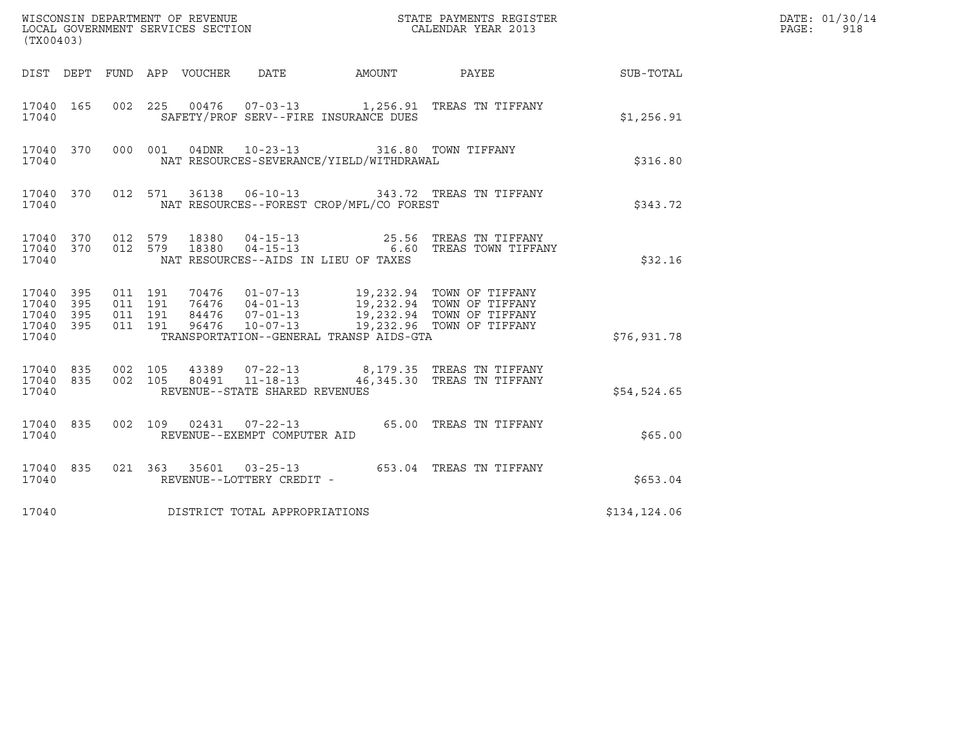| (TX00403)                                             |     |                                          |  |                                 |                                |                                                                                                  |                                                                                                                                                                                                                 |              | DATE: 01/30/14<br>PAGE:<br>918 |
|-------------------------------------------------------|-----|------------------------------------------|--|---------------------------------|--------------------------------|--------------------------------------------------------------------------------------------------|-----------------------------------------------------------------------------------------------------------------------------------------------------------------------------------------------------------------|--------------|--------------------------------|
|                                                       |     |                                          |  | DIST DEPT FUND APP VOUCHER DATE |                                |                                                                                                  | AMOUNT PAYEE                                                                                                                                                                                                    | SUB-TOTAL    |                                |
| 17040 165<br>17040                                    |     |                                          |  |                                 |                                | SAFETY/PROF SERV--FIRE INSURANCE DUES                                                            | 002 225 00476 07-03-13 1,256.91 TREAS TN TIFFANY                                                                                                                                                                | \$1,256.91   |                                |
| 17040                                                 |     |                                          |  |                                 |                                | 17040 370 000 001 04DNR 10-23-13 316.80 TOWN TIFFANY<br>NAT RESOURCES-SEVERANCE/YIELD/WITHDRAWAL |                                                                                                                                                                                                                 | \$316.80     |                                |
| 17040                                                 |     |                                          |  |                                 |                                | NAT RESOURCES--FOREST CROP/MFL/CO FOREST                                                         | 17040 370 012 571 36138 06-10-13 343.72 TREAS TN TIFFANY                                                                                                                                                        | \$343.72     |                                |
| 17040                                                 |     |                                          |  |                                 |                                | NAT RESOURCES--AIDS IN LIEU OF TAXES                                                             | $\begin{array}{cccccccc} 17040 & 370 & 012 & 579 & 18380 & 04-15-13 & & & & 25.56 & \text{TREAS TN TIFFANY} \\ 17040 & 370 & 012 & 579 & 18380 & 04-15-13 & & & & 6.60 & \text{TREAS TOWN TIFFANY} \end{array}$ | \$32.16      |                                |
| 17040 395<br>17040<br>17040 395<br>17040 395<br>17040 | 395 | 011 191<br>011 191<br>011 191<br>011 191 |  |                                 |                                | TRANSPORTATION--GENERAL TRANSP AIDS-GTA                                                          | 19,232.94 TOWN OF TIFFANY<br>19,232.94 TOWN OF TIFFANY<br>84476 07-01-13 19,232.94 TOWN OF TIFFANY<br>96476 10-07-13 19,232.96 TOWN OF TIFFANY                                                                  | \$76,931.78  |                                |
| 17040 835 002 105<br>17040 835<br>17040               |     |                                          |  |                                 | REVENUE--STATE SHARED REVENUES |                                                                                                  | 002 105 43389 07-22-13 8,179.35 TREAS TN TIFFANY<br>002 105 80491 11-18-13 46,345.30 TREAS TN TIFFANY                                                                                                           | \$54,524.65  |                                |
| 17040 835<br>17040                                    |     |                                          |  |                                 | REVENUE--EXEMPT COMPUTER AID   |                                                                                                  | 002 109 02431 07-22-13 65.00 TREAS TN TIFFANY                                                                                                                                                                   | \$65.00      |                                |
| 17040 835<br>17040                                    |     |                                          |  |                                 | REVENUE--LOTTERY CREDIT -      |                                                                                                  | 021  363  35601  03-25-13  653.04  TREAS TN TIFFANY                                                                                                                                                             | \$653.04     |                                |
| 17040                                                 |     |                                          |  |                                 | DISTRICT TOTAL APPROPRIATIONS  |                                                                                                  |                                                                                                                                                                                                                 | \$134,124.06 |                                |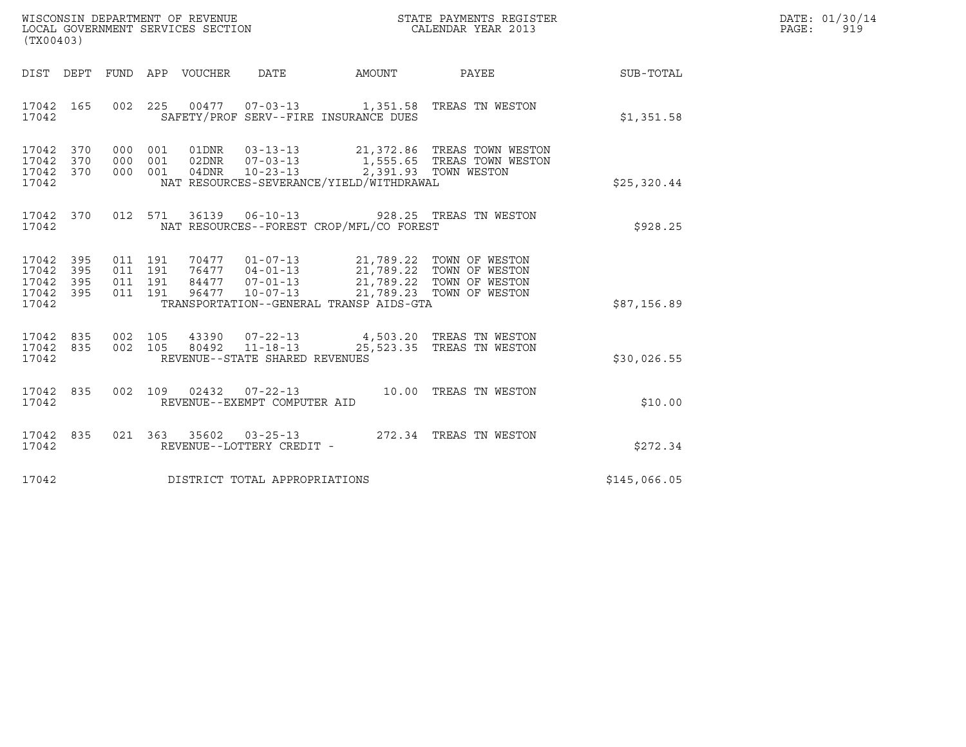| WISCONSIN DEPARTMENT OF REVENUE   | STATE PAYMENTS REGISTER | DATE: 01/30/14 |
|-----------------------------------|-------------------------|----------------|
| LOCAL GOVERNMENT SERVICES SECTION | CALENDAR YEAR 2013      | PAGE :<br>919  |

| (TX00403)                                                 |  |                                          | WISCONSIN DEPARTMENT OF REVENUE ${\tiny\begin{array}{ll} \text{STATE} \text{ PAYMENTS REGISTER} \\ \text{LCAAL GOVERNMENTS SERVICES SECTION\\ \end{array}}$ |                                                                                                                                                                                                                                                                                                                   |              | DATE: 01/30/14<br>PAGE:<br>919 |
|-----------------------------------------------------------|--|------------------------------------------|-------------------------------------------------------------------------------------------------------------------------------------------------------------|-------------------------------------------------------------------------------------------------------------------------------------------------------------------------------------------------------------------------------------------------------------------------------------------------------------------|--------------|--------------------------------|
|                                                           |  |                                          |                                                                                                                                                             | DIST DEPT FUND APP VOUCHER DATE AMOUNT PAYEE                                                                                                                                                                                                                                                                      | SUB-TOTAL    |                                |
| 17042                                                     |  | SAFETY/PROF SERV--FIRE INSURANCE DUES    |                                                                                                                                                             | 17042 165 002 225 00477 07-03-13 1,351.58 TREAS TN WESTON                                                                                                                                                                                                                                                         | \$1,351.58   |                                |
| 17042 370<br>17042 370<br>17042 370<br>17042              |  | NAT RESOURCES-SEVERANCE/YIELD/WITHDRAWAL |                                                                                                                                                             | 000 001 01DNR 03-13-13 21,372.86 TREAS TOWN WESTON<br>000 001 02DNR 07-03-13 1,555.65 TREAS TOWN WESTON<br>000 001 04DNR 10-23-13 2,391.93 TOWN WESTON                                                                                                                                                            | \$25,320.44  |                                |
| 17042                                                     |  | NAT RESOURCES--FOREST CROP/MFL/CO FOREST |                                                                                                                                                             | 17042 370 012 571 36139 06-10-13 928.25 TREAS TN WESTON                                                                                                                                                                                                                                                           | \$928.25     |                                |
| 17042 395<br>17042 395<br>17042 395<br>17042 395<br>17042 |  | TRANSPORTATION--GENERAL TRANSP AIDS-GTA  |                                                                                                                                                             | $\begin{array}{cccc} 011 & 191 & 70477 & 01-07-13 & 21,789.22 & \text{TOWN OF WESTON} \\ 011 & 191 & 76477 & 04-01-13 & 21,789.22 & \text{TOWN OF WESTON} \\ 011 & 191 & 84477 & 07-01-13 & 21,789.22 & \text{TOWN OF WESTON} \\ 011 & 191 & 96477 & 10-07-13 & 21,789.23 & \text{TOWN OF WESTON} \\ \end{array}$ | \$87,156.89  |                                |
| 17042 835<br>17042 835<br>17042                           |  | REVENUE--STATE SHARED REVENUES           |                                                                                                                                                             | 002 105 43390 07-22-13 4,503.20 TREAS TN WESTON<br>002 105 80492 11-18-13 25,523.35 TREAS TN WESTON                                                                                                                                                                                                               | \$30,026.55  |                                |
| 17042                                                     |  | REVENUE--EXEMPT COMPUTER AID             |                                                                                                                                                             | 17042 835 002 109 02432 07-22-13 10.00 TREAS TN WESTON                                                                                                                                                                                                                                                            | \$10.00      |                                |
| 17042                                                     |  | REVENUE--LOTTERY CREDIT -                |                                                                                                                                                             | 17042 835 021 363 35602 03-25-13 272.34 TREAS TN WESTON                                                                                                                                                                                                                                                           | \$272.34     |                                |
| 17042                                                     |  | DISTRICT TOTAL APPROPRIATIONS            |                                                                                                                                                             |                                                                                                                                                                                                                                                                                                                   | \$145,066.05 |                                |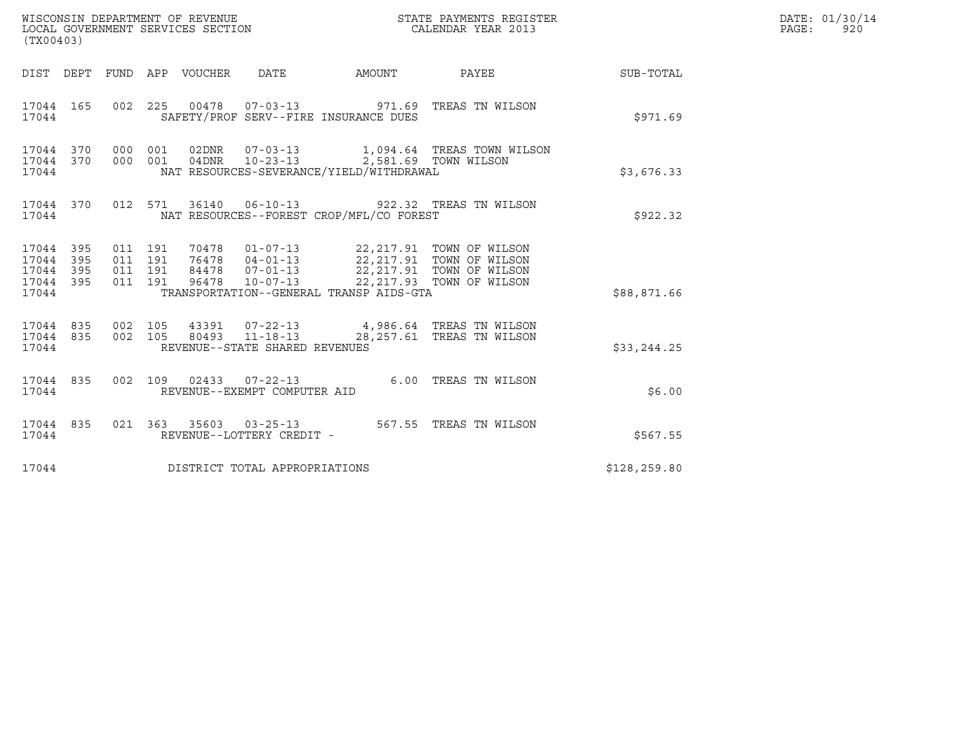| (TX00403)                                                                                        | WISCONSIN DEPARTMENT OF REVENUE<br>LOCAL GOVERNMENT SERVICES SECTION                                                                                                                                                                                                                            | STATE PAYMENTS REGISTER<br>CALENDAR YEAR 2013 |              | DATE: 01/30/14<br>PAGE: 920 |
|--------------------------------------------------------------------------------------------------|-------------------------------------------------------------------------------------------------------------------------------------------------------------------------------------------------------------------------------------------------------------------------------------------------|-----------------------------------------------|--------------|-----------------------------|
|                                                                                                  | DIST DEPT FUND APP VOUCHER DATE AMOUNT PAYEE TO SUB-TOTAL                                                                                                                                                                                                                                       |                                               |              |                             |
| 17044 165<br>17044                                                                               | 002 225 00478 07-03-13 971.69 TREAS TN WILSON<br>SAFETY/PROF SERV--FIRE INSURANCE DUES                                                                                                                                                                                                          |                                               | \$971.69     |                             |
| 17044 370 000 001<br>17044 370<br>17044                                                          | 000 001<br>NAT RESOURCES-SEVERANCE/YIELD/WITHDRAWAL                                                                                                                                                                                                                                             |                                               | \$3,676.33   |                             |
| 17044                                                                                            | 17044 370 012 571 36140 06-10-13 922.32 TREAS TN WILSON<br>NAT RESOURCES--FOREST CROP/MFL/CO FOREST                                                                                                                                                                                             |                                               | \$922.32     |                             |
| 17044 395<br>011 191<br>395<br>011 191<br>17044<br>011 191<br>17044<br>395<br>17044 395<br>17044 | $\begin{tabular}{cccc} 70478 & 01-07-13 & 22,217.91 & TOWN OF WILSON \\ 76478 & 04-01-13 & 22,217.91 & TOWN OF WILSON \\ 84478 & 07-01-13 & 22,217.91 & TOWN OF WILSON \\ 96478 & 10-07-13 & 22,217.93 & TOWN OF WILSON \\ \end{tabular}$<br>011 191<br>TRANSPORTATION--GENERAL TRANSP AIDS-GTA |                                               | \$88,871.66  |                             |
| 002 105<br>17044 835<br>17044 835<br>17044                                                       | 43391  07-22-13  4,986.64  TREAS TN WILSON<br>002 105<br>80493 11-18-13<br>REVENUE--STATE SHARED REVENUES                                                                                                                                                                                       | 28,257.61 TREAS TN WILSON                     | \$33, 244.25 |                             |
| 17044 835<br>17044                                                                               | 002 109 02433 07-22-13<br>REVENUE--EXEMPT COMPUTER AID                                                                                                                                                                                                                                          | 6.00 TREAS TN WILSON                          | \$6.00       |                             |
| 17044 835<br>17044                                                                               | 021  363  35603  03-25-13  567.55  TREAS TN WILSON<br>REVENUE--LOTTERY CREDIT -                                                                                                                                                                                                                 |                                               | \$567.55     |                             |
| 17044                                                                                            | DISTRICT TOTAL APPROPRIATIONS                                                                                                                                                                                                                                                                   |                                               | \$128,259.80 |                             |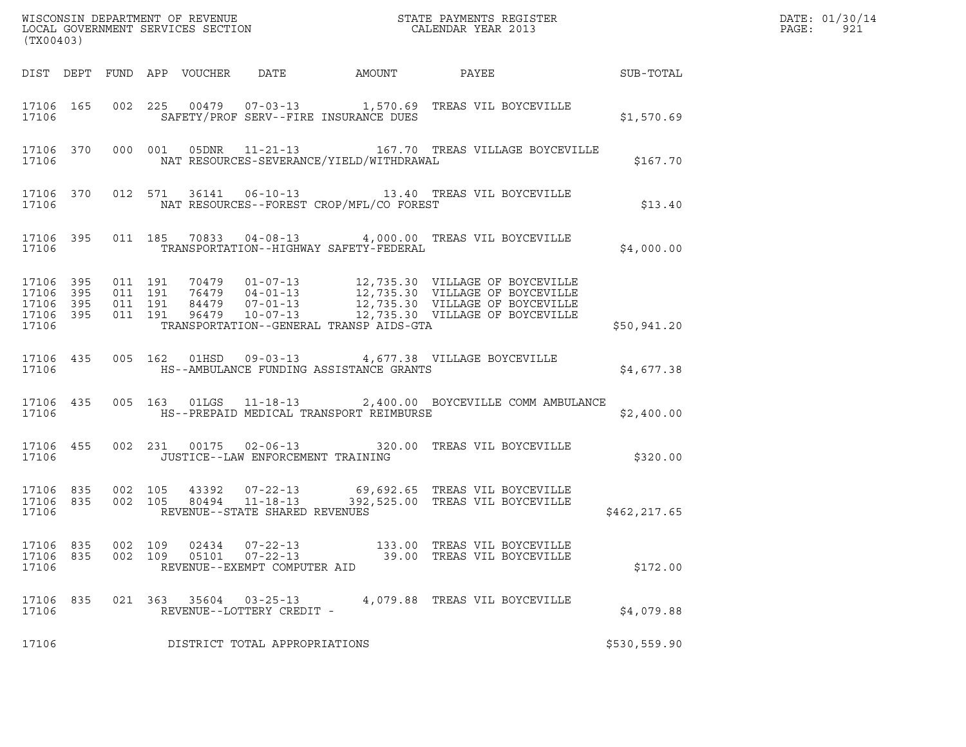| (TX00403)                                                 |     |                               |         |                |                                                                  |                                          | % WISCONSIN DEPARTMENT OF REVENUE $$\tt STATE$ PAYMENTS REGISTER LOCAL GOVERNMENT SERVICES SECTION $$\tt CALENDAR$ YEAR 2013                                                                                     |              | DATE: 01/30/14<br>PAGE:<br>921 |
|-----------------------------------------------------------|-----|-------------------------------|---------|----------------|------------------------------------------------------------------|------------------------------------------|------------------------------------------------------------------------------------------------------------------------------------------------------------------------------------------------------------------|--------------|--------------------------------|
|                                                           |     |                               |         |                |                                                                  |                                          |                                                                                                                                                                                                                  |              |                                |
| 17106                                                     |     |                               |         |                |                                                                  | SAFETY/PROF SERV--FIRE INSURANCE DUES    | 17106 165 002 225 00479 07-03-13 1,570.69 TREAS VIL BOYCEVILLE                                                                                                                                                   | \$1,570.69   |                                |
| 17106                                                     |     |                               |         |                |                                                                  | NAT RESOURCES-SEVERANCE/YIELD/WITHDRAWAL | 17106 370 000 001 05DNR 11-21-13 167.70 TREAS VILLAGE BOYCEVILLE                                                                                                                                                 | \$167.70     |                                |
| 17106                                                     |     |                               |         |                |                                                                  | NAT RESOURCES--FOREST CROP/MFL/CO FOREST | 17106 370 012 571 36141 06-10-13 13.40 TREAS VIL BOYCEVILLE                                                                                                                                                      | \$13.40      |                                |
| 17106                                                     |     |                               |         |                |                                                                  | TRANSPORTATION--HIGHWAY SAFETY-FEDERAL   | 17106 395 011 185 70833 04-08-13 4,000.00 TREAS VIL BOYCEVILLE                                                                                                                                                   | \$4,000.00   |                                |
| 17106 395<br>17106 395<br>17106 395<br>17106 395<br>17106 |     | 011 191<br>011 191<br>011 191 | 011 191 |                |                                                                  | TRANSPORTATION--GENERAL TRANSP AIDS-GTA  | 70479  01-07-13  12,735.30  VILLAGE OF BOYCEVILLE<br>76479  04-01-13  12,735.30  VILLAGE OF BOYCEVILLE<br>84479  07-01-13  12,735.30  VILLAGE OF BOYCEVILLE<br>96479  10-07-13  12,735.30  VILLAGE OF BOYCEVILLE | \$50,941.20  |                                |
| 17106                                                     |     |                               |         |                |                                                                  | HS--AMBULANCE FUNDING ASSISTANCE GRANTS  | 17106 435 005 162 01HSD 09-03-13 4,677.38 VILLAGE BOYCEVILLE                                                                                                                                                     | \$4,677.38   |                                |
| 17106 435<br>17106                                        |     |                               |         |                |                                                                  | HS--PREPAID MEDICAL TRANSPORT REIMBURSE  | 005 163 01LGS 11-18-13 2,400.00 BOYCEVILLE COMM AMBULANCE                                                                                                                                                        | \$2,400.00   |                                |
| 17106 455<br>17106                                        |     |                               |         |                | JUSTICE--LAW ENFORCEMENT TRAINING                                |                                          | 002 231 00175 02-06-13 320.00 TREAS VIL BOYCEVILLE                                                                                                                                                               | \$320.00     |                                |
| 17106 835<br>17106 835<br>17106                           |     |                               |         |                | REVENUE--STATE SHARED REVENUES                                   |                                          | 002 105 43392 07-22-13 69,692.65 TREAS VIL BOYCEVILLE<br>002 105 80494 11-18-13 392,525.00 TREAS VIL BOYCEVILLE                                                                                                  | \$462,217.65 |                                |
| 17106 835<br>17106<br>17106                               | 835 | 002 109<br>002 109            |         | 02434<br>05101 | $07 - 22 - 13$<br>$07 - 22 - 13$<br>REVENUE--EXEMPT COMPUTER AID |                                          | 133.00 TREAS VIL BOYCEVILLE<br>39.00 TREAS VIL BOYCEVILLE                                                                                                                                                        | \$172.00     |                                |
| 17106<br>17106                                            | 835 |                               | 021 363 | 35604          | $03 - 25 - 13$<br>REVENUE--LOTTERY CREDIT -                      |                                          | 4,079.88 TREAS VIL BOYCEVILLE                                                                                                                                                                                    | \$4,079.88   |                                |
| 17106                                                     |     |                               |         |                | DISTRICT TOTAL APPROPRIATIONS                                    |                                          |                                                                                                                                                                                                                  | \$530,559.90 |                                |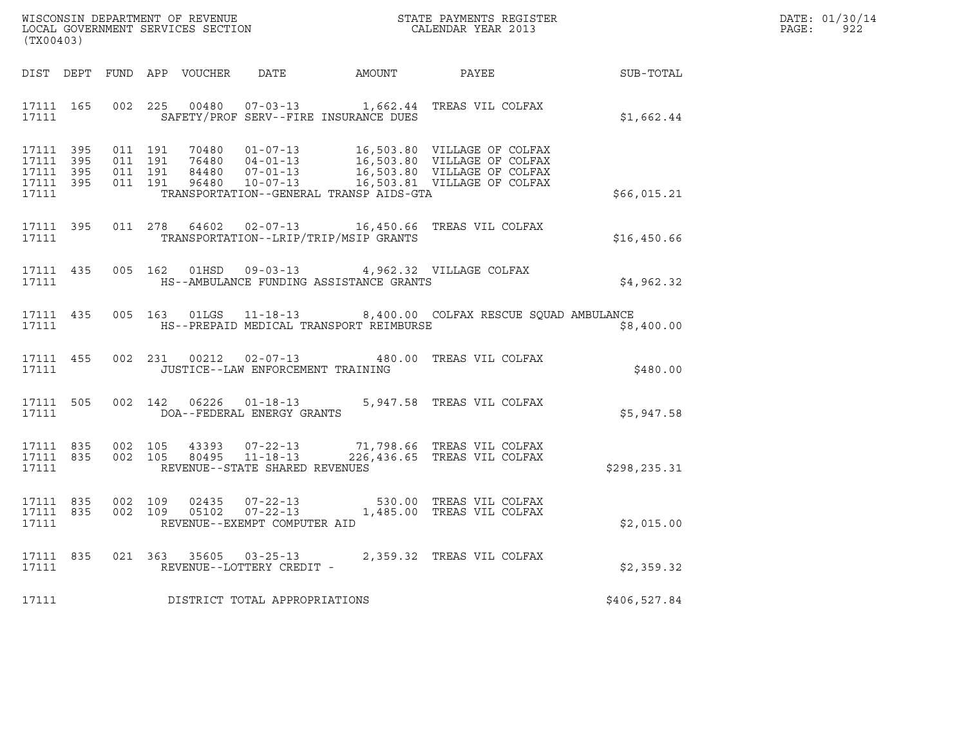| WISCONSIN DEPARTMENT OF REVENUE<br>LOCAL GOVERNMENT SERVICES SECTION | STATE PAYMENTS REGISTER<br>CALENDAR YEAR 2013 | DATE: 01/30/14<br>922<br>PAGE: |
|----------------------------------------------------------------------|-----------------------------------------------|--------------------------------|

| WISCONSIN DEPARTMENT OF REVENUE<br>LOCAL GOVERNMENT SERVICES SECTION<br>CALENDAR YEAR 2013<br>(TX00403) |  |  |  |  |                                         |                                               |                                                                                                                                                                                                                      |                                                              | DATE: 01/30/14<br>PAGE:<br>922 |
|---------------------------------------------------------------------------------------------------------|--|--|--|--|-----------------------------------------|-----------------------------------------------|----------------------------------------------------------------------------------------------------------------------------------------------------------------------------------------------------------------------|--------------------------------------------------------------|--------------------------------|
|                                                                                                         |  |  |  |  |                                         |                                               |                                                                                                                                                                                                                      | DIST DEPT FUND APP VOUCHER DATE AMOUNT PAYEE PAYER SUB-TOTAL |                                |
| 17111 165                                                                                               |  |  |  |  |                                         |                                               | 002 225 00480 07-03-13 1,662.44 TREAS VIL COLFAX<br>17111 SAFETY/PROF SERV--FIRE INSURANCE DUES                                                                                                                      | \$1,662.44                                                   |                                |
| 17111 395<br>17111 395<br>17111 395<br>17111 395<br>17111                                               |  |  |  |  |                                         | TRANSPORTATION--GENERAL TRANSP AIDS-GTA       | 011 191 70480 01-07-13 16,503.80 VILLAGE OF COLFAX<br>011 191 76480 04-01-13 16,503.80 VILLAGE OF COLFAX<br>011 191 84480 07-01-13 16,503.80 VILLAGE OF COLFAX<br>011 191 96480 10-07-13 16,503.81 VILLAGE OF COLFAX | \$66,015.21                                                  |                                |
|                                                                                                         |  |  |  |  |                                         | 17111 TRANSPORTATION--LRIP/TRIP/MSIP GRANTS   | 17111 395 011 278 64602 02-07-13 16,450.66 TREAS VIL COLFAX                                                                                                                                                          | \$16,450.66                                                  |                                |
| 17111 435                                                                                               |  |  |  |  |                                         | 17111 MS--AMBULANCE FUNDING ASSISTANCE GRANTS | 005 162 01HSD 09-03-13 4,962.32 VILLAGE COLFAX                                                                                                                                                                       | \$4,962.32                                                   |                                |
|                                                                                                         |  |  |  |  |                                         |                                               | 17111 435 005 163 01LGS 11-18-13 8,400.00 COLFAX RESCUE SQUAD AMBULANCE<br>17111 MS--PREPAID MEDICAL TRANSPORT REIMBURSE                                                                                             | \$8,400.00                                                   |                                |
|                                                                                                         |  |  |  |  | 17111 JUSTICE--LAW ENFORCEMENT TRAINING |                                               | 17111 455 002 231 00212 02-07-13 480.00 TREAS VIL COLFAX                                                                                                                                                             | \$480.00                                                     |                                |
|                                                                                                         |  |  |  |  |                                         |                                               | $\begin{tabular}{llllll} 17111 & 505 & 002 & 142 & 06226 & 01-18-13 & 5,947.58 & TREAS VIL COLFAX \\ & DOA--FEDERAL ENERGY GRANTS & \end{tabular}$                                                                   | \$5,947.58                                                   |                                |
| 17111                                                                                                   |  |  |  |  | REVENUE--STATE SHARED REVENUES          |                                               | $\begin{array}{cccccccc} 17111 & 835 & 002 & 105 & 43393 & 07-22-13 & & 71,798.66 & \text{TREAS VIL COLFAX} \\ 17111 & 835 & 002 & 105 & 80495 & 11-18-13 & & 226,436.65 & \text{TREAS VIL COLFAX} \end{array}$      | \$298,235.31                                                 |                                |
| 17111                                                                                                   |  |  |  |  | REVENUE--EXEMPT COMPUTER AID            |                                               | $\begin{array}{cccccccc} 17111 & 835 & 002 & 109 & 02435 & 07-22-13 & & & 530.00 & \text{TREAS VIL COLFAX} \\ 17111 & 835 & 002 & 109 & 05102 & 07-22-13 & & & 1,485.00 & \text{TREAS VIL COLFAX} \end{array}$       | \$2,015.00                                                   |                                |
|                                                                                                         |  |  |  |  | 17111 REVENUE--LOTTERY CREDIT -         |                                               | 17111 835 021 363 35605 03-25-13 2,359.32 TREAS VIL COLFAX                                                                                                                                                           | \$2,359.32                                                   |                                |
|                                                                                                         |  |  |  |  | 17111 DISTRICT TOTAL APPROPRIATIONS     |                                               |                                                                                                                                                                                                                      | \$406,527.84                                                 |                                |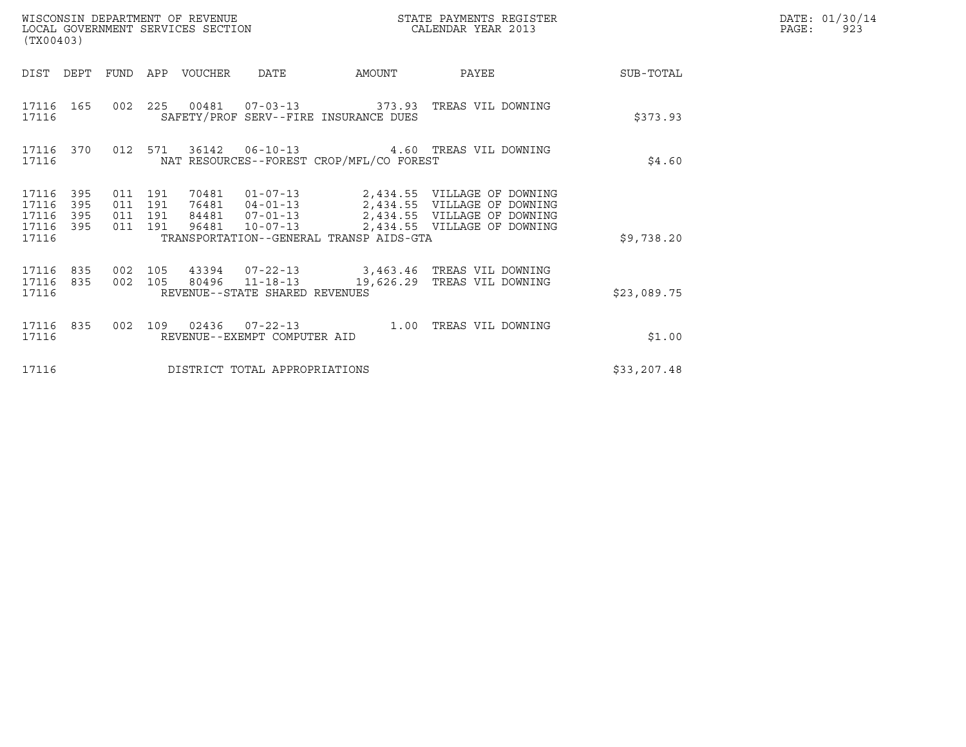| (TX00403)                                                             | WISCONSIN DEPARTMENT OF REVENUE<br>LOCAL GOVERNMENT SERVICES SECTION                                                    |                                             | STATE PAYMENTS REGISTER<br>CALENDAR YEAR 2013                                                                                                                |              | DATE: 01/30/14<br>PAGE:<br>923 |
|-----------------------------------------------------------------------|-------------------------------------------------------------------------------------------------------------------------|---------------------------------------------|--------------------------------------------------------------------------------------------------------------------------------------------------------------|--------------|--------------------------------|
| DIST<br>DEPT                                                          | FUND<br>APP VOUCHER<br>DATE                                                                                             | AMOUNT                                      | PAYEE                                                                                                                                                        | SUB-TOTAL    |                                |
| 17116 165<br>17116                                                    | 002  225  00481  07-03-13  373.93  TREAS VIL DOWNING<br>SAFETY/PROF SERV--FIRE INSURANCE DUES                           |                                             |                                                                                                                                                              | \$373.93     |                                |
| 17116 370<br>17116                                                    | 012 571<br>36142 06-10-13<br>NAT RESOURCES--FOREST CROP/MFL/CO FOREST                                                   |                                             | 4.60 TREAS VIL DOWNING                                                                                                                                       | \$4.60       |                                |
| 17116<br>395<br>395<br>17116<br>395<br>17116<br>17116<br>395<br>17116 | 011 191<br>011 191<br>84481 07-01-13<br>011 191<br>011 191<br>96481 10-07-13<br>TRANSPORTATION--GENERAL TRANSP AIDS-GTA |                                             | 70481  01-07-13  2,434.55  VILLAGE OF DOWNING<br>76481  04-01-13  2,434.55  VILLAGE OF DOWNING<br>2,434.55 VILLAGE OF DOWNING<br>2,434.55 VILLAGE OF DOWNING | \$9,738.20   |                                |
| 17116 835<br>835<br>17116<br>17116                                    | 002 105<br>80496 11-18-13<br>002 105<br>REVENUE--STATE SHARED REVENUES                                                  | 43394  07-22-13  3,463.46 TREAS VIL DOWNING | 19,626.29 TREAS VIL DOWNING                                                                                                                                  | \$23,089.75  |                                |
| 17116 835<br>17116                                                    | 002 109 02436 07-22-13 1.00<br>REVENUE--EXEMPT COMPUTER AID                                                             |                                             | TREAS VIL DOWNING                                                                                                                                            | \$1.00       |                                |
| 17116                                                                 | DISTRICT TOTAL APPROPRIATIONS                                                                                           |                                             |                                                                                                                                                              | \$33, 207.48 |                                |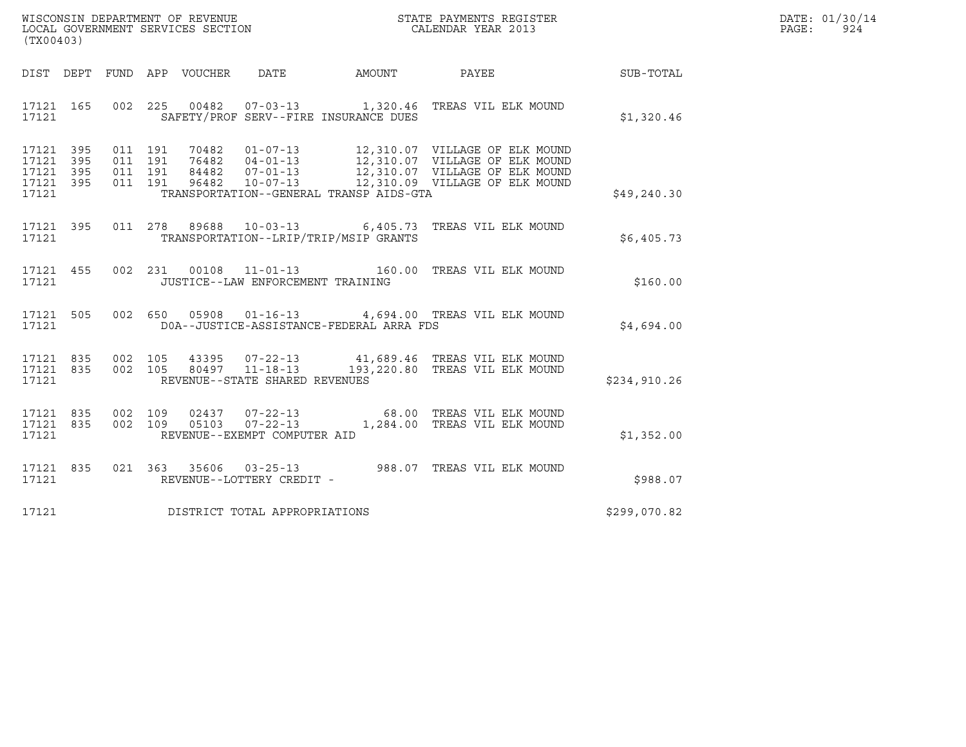| WISCONSIN DEPARTMENT OF REVENUE   | STATE PAYMENTS REGISTER | DATE: 01/30/14 |
|-----------------------------------|-------------------------|----------------|
| LOCAL GOVERNMENT SERVICES SECTION | CALENDAR YEAR 2013      | PAGE:<br>924   |

| (TX00403)                                                 |                    |  |                                   |                                          |                                                                                                               |              |
|-----------------------------------------------------------|--------------------|--|-----------------------------------|------------------------------------------|---------------------------------------------------------------------------------------------------------------|--------------|
| DIST DEPT                                                 |                    |  |                                   |                                          | FUND APP VOUCHER DATE AMOUNT PAYEE                                                                            | SUB-TOTAL    |
| 17121 165<br>17121                                        |                    |  |                                   | SAFETY/PROF SERV--FIRE INSURANCE DUES    | 002 225 00482 07-03-13 1,320.46 TREAS VIL ELK MOUND                                                           | \$1,320.46   |
| 17121 395<br>17121 395<br>17121 395<br>17121 395<br>17121 |                    |  |                                   | TRANSPORTATION--GENERAL TRANSP AIDS-GTA  | 011 191 96482 10-07-13 12,310.09 VILLAGE OF ELK MOUND                                                         | \$49, 240.30 |
| 17121 395<br>17121                                        |                    |  |                                   | TRANSPORTATION--LRIP/TRIP/MSIP GRANTS    | 011  278  89688  10-03-13  6,405.73  TREAS VIL ELK MOUND                                                      | \$6,405.73   |
| 17121 455<br>17121                                        |                    |  | JUSTICE--LAW ENFORCEMENT TRAINING |                                          | 002 231 00108 11-01-13 160.00 TREAS VIL ELK MOUND                                                             | \$160.00     |
| 17121 505<br>17121                                        |                    |  |                                   | DOA--JUSTICE-ASSISTANCE-FEDERAL ARRA FDS | 002 650 05908 01-16-13 4,694.00 TREAS VIL ELK MOUND                                                           | \$4,694.00   |
| 17121 835<br>17121 835<br>17121                           | 002 105            |  | REVENUE--STATE SHARED REVENUES    |                                          | 002 105 43395 07-22-13 41,689.46 TREAS VIL ELK MOUND<br>002 105 80497 11-18-13 193,220.80 TREAS VIL ELK MOUND | \$234,910.26 |
| 17121 835<br>17121 835<br>17121                           | 002 109<br>002 109 |  | REVENUE--EXEMPT COMPUTER AID      |                                          | 02437  07-22-13  68.00 TREAS VIL ELK MOUND<br>05103  07-22-13  1,284.00 TREAS VIL ELK MOUND                   | \$1,352.00   |
| 17121 835<br>17121                                        |                    |  | REVENUE--LOTTERY CREDIT -         |                                          | 021 363 35606 03-25-13 988.07 TREAS VIL ELK MOUND                                                             | \$988.07     |
| 17121                                                     |                    |  | DISTRICT TOTAL APPROPRIATIONS     |                                          |                                                                                                               | \$299,070.82 |
|                                                           |                    |  |                                   |                                          |                                                                                                               |              |

(TX00403)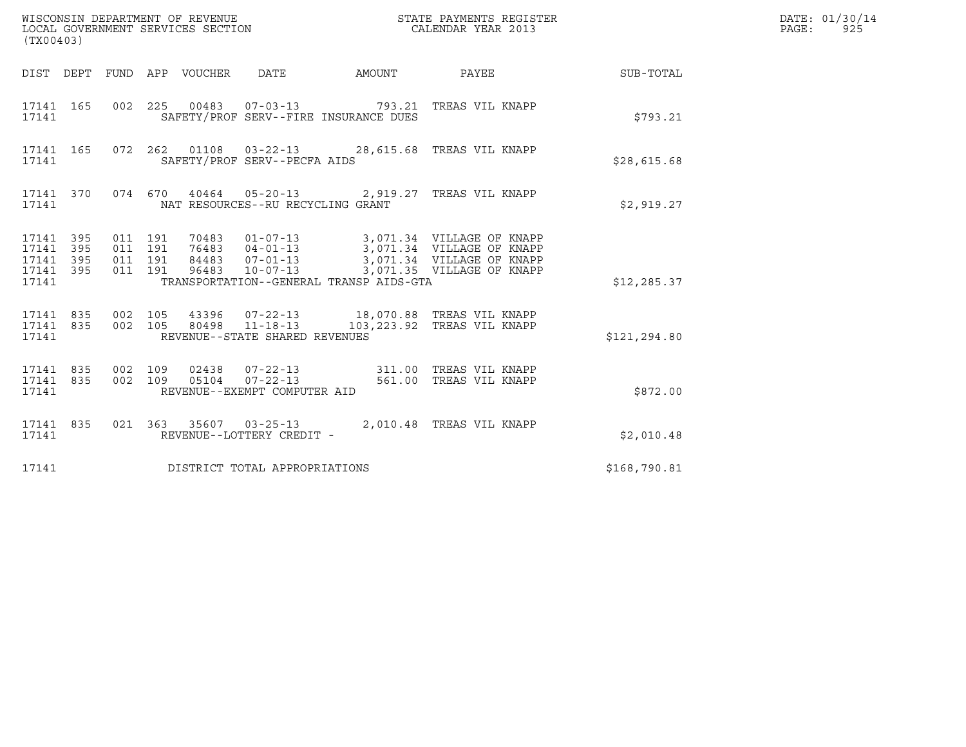| (TX00403)                                                 |  |                              |                               |  |                                                   |                                         |                                                                                                                                                                              |              | DATE: 01/30/14<br>PAGE: 925 |
|-----------------------------------------------------------|--|------------------------------|-------------------------------|--|---------------------------------------------------|-----------------------------------------|------------------------------------------------------------------------------------------------------------------------------------------------------------------------------|--------------|-----------------------------|
|                                                           |  |                              |                               |  |                                                   |                                         | DIST DEPT FUND APP VOUCHER DATE AMOUNT PAYEE TO SUB-TOTAL                                                                                                                    |              |                             |
| 17141 165<br>17141                                        |  |                              |                               |  | SAFETY/PROF SERV--FIRE INSURANCE DUES             |                                         | 002 225 00483 07-03-13 793.21 TREAS VIL KNAPP                                                                                                                                | \$793.21     |                             |
| 17141                                                     |  |                              |                               |  | SAFETY/PROF SERV--PECFA AIDS                      |                                         | 17141 165 072 262 01108 03-22-13 28,615.68 TREAS VIL KNAPP                                                                                                                   | \$28,615.68  |                             |
| 17141 370<br>17141                                        |  |                              |                               |  | NAT RESOURCES--RU RECYCLING GRANT                 |                                         | 074 670 40464 05-20-13 2,919.27 TREAS VIL KNAPP                                                                                                                              | \$2,919.27   |                             |
| 17141 395<br>17141 395<br>17141 395<br>17141 395<br>17141 |  | 011 191                      | 011 191<br>011 191<br>011 191 |  |                                                   | TRANSPORTATION--GENERAL TRANSP AIDS-GTA | 70483 01-07-13 3,071.34 VILLAGE OF KNAPP<br>76483 04-01-13 3,071.34 VILLAGE OF KNAPP<br>84483 07-01-13 3,071.34 VILLAGE OF KNAPP<br>96483 10-07-13 3,071.35 VILLAGE OF KNAPP | \$12, 285.37 |                             |
| 17141 835<br>17141                                        |  | 17141 835 002 105<br>002 105 |                               |  | 80498  11-18-13<br>REVENUE--STATE SHARED REVENUES |                                         | 43396  07-22-13   18,070.88   TREAS   VIL KNAPP<br>103,223.92 TREAS VIL KNAPP                                                                                                | \$121,294.80 |                             |
| 17141 835<br>17141                                        |  | 17141 835 002 109            | 002 109                       |  | REVENUE--EXEMPT COMPUTER AID                      |                                         |                                                                                                                                                                              | \$872.00     |                             |
| 17141 835<br>17141                                        |  |                              |                               |  | REVENUE--LOTTERY CREDIT -                         |                                         | 021 363 35607 03-25-13 2,010.48 TREAS VIL KNAPP                                                                                                                              | \$2,010.48   |                             |
| 17141                                                     |  |                              |                               |  | DISTRICT TOTAL APPROPRIATIONS                     |                                         |                                                                                                                                                                              | \$168,790.81 |                             |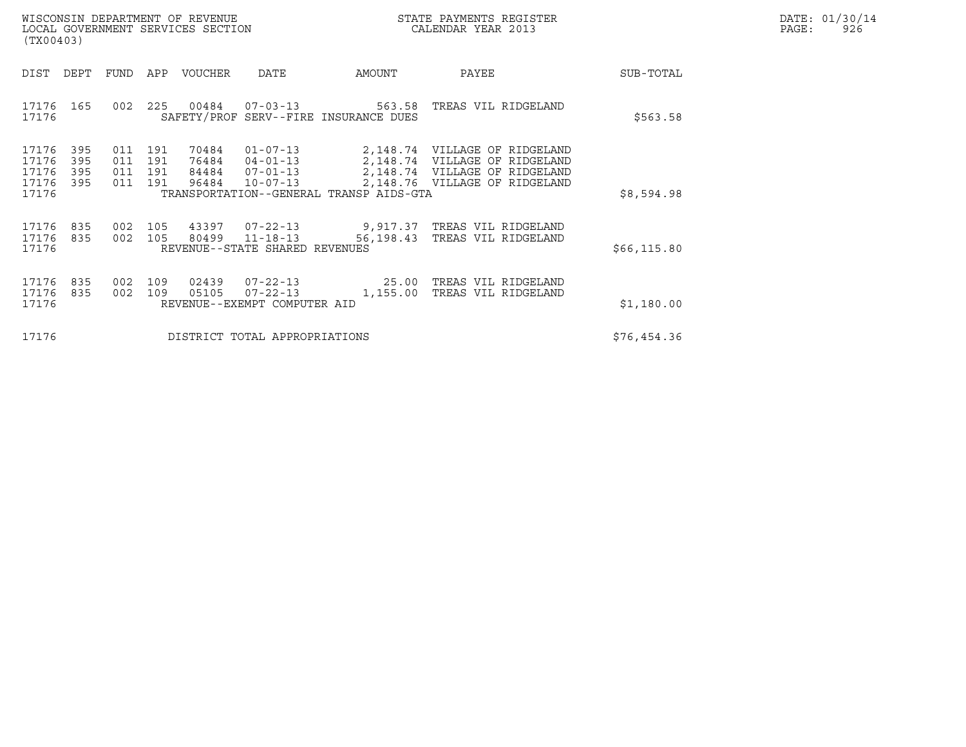|       | DATE: 01/30/14 |
|-------|----------------|
| PAGE: | 926            |

| WISCONSIN DEPARTMENT OF REVENUE<br>LOCAL GOVERNMENT SERVICES SECTION<br>(TX00403) |                          |                              |                   |                         |                                                                      |                                         | STATE PAYMENTS REGISTER<br>CALENDAR YEAR 2013                                                                                    |              | DATE: 01/30/14<br>PAGE:<br>926 |
|-----------------------------------------------------------------------------------|--------------------------|------------------------------|-------------------|-------------------------|----------------------------------------------------------------------|-----------------------------------------|----------------------------------------------------------------------------------------------------------------------------------|--------------|--------------------------------|
| DIST                                                                              | DEPT                     |                              |                   | FUND APP VOUCHER        | DATE                                                                 | AMOUNT                                  | PAYEE                                                                                                                            | SUB-TOTAL    |                                |
| 17176 165<br>17176                                                                |                          | 002                          |                   |                         |                                                                      | SAFETY/PROF SERV--FIRE INSURANCE DUES   | 225  00484  07-03-13  563.58  TREAS VIL RIDGELAND                                                                                | \$563.58     |                                |
| 17176<br>17176<br>17176<br>17176<br>17176                                         | 395<br>395<br>395<br>395 | 011<br>011<br>011 191<br>011 | 191<br>191<br>191 | 70484<br>76484<br>96484 | $01 - 07 - 13$<br>$04 - 01 - 13$<br>84484 07-01-13<br>$10 - 07 - 13$ | TRANSPORTATION--GENERAL TRANSP AIDS-GTA | 2,148.74 VILLAGE OF RIDGELAND<br>2,148.74 VILLAGE OF RIDGELAND<br>2,148.74 VILLAGE OF RIDGELAND<br>2,148.76 VILLAGE OF RIDGELAND | \$8,594.98   |                                |
| 17176 835<br>17176 835<br>17176                                                   |                          | 002<br>002                   | 105<br>105        | 43397                   | $07 - 22 - 13$<br>80499 11-18-13<br>REVENUE--STATE SHARED REVENUES   | 56,198.43                               | 9,917.37 TREAS VIL RIDGELAND<br>TREAS VIL RIDGELAND                                                                              | \$66, 115.80 |                                |
| 17176<br>17176<br>17176                                                           | 835<br>835               | 002<br>002                   | 109<br>109        | 02439<br>05105          | $07 - 22 - 13$<br>$07 - 22 - 13$<br>REVENUE--EXEMPT COMPUTER AID     | 25.00<br>1,155.00                       | TREAS VIL RIDGELAND<br>TREAS VIL RIDGELAND                                                                                       | \$1,180.00   |                                |
| 17176                                                                             |                          |                              |                   |                         | DISTRICT TOTAL APPROPRIATIONS                                        |                                         |                                                                                                                                  | \$76,454.36  |                                |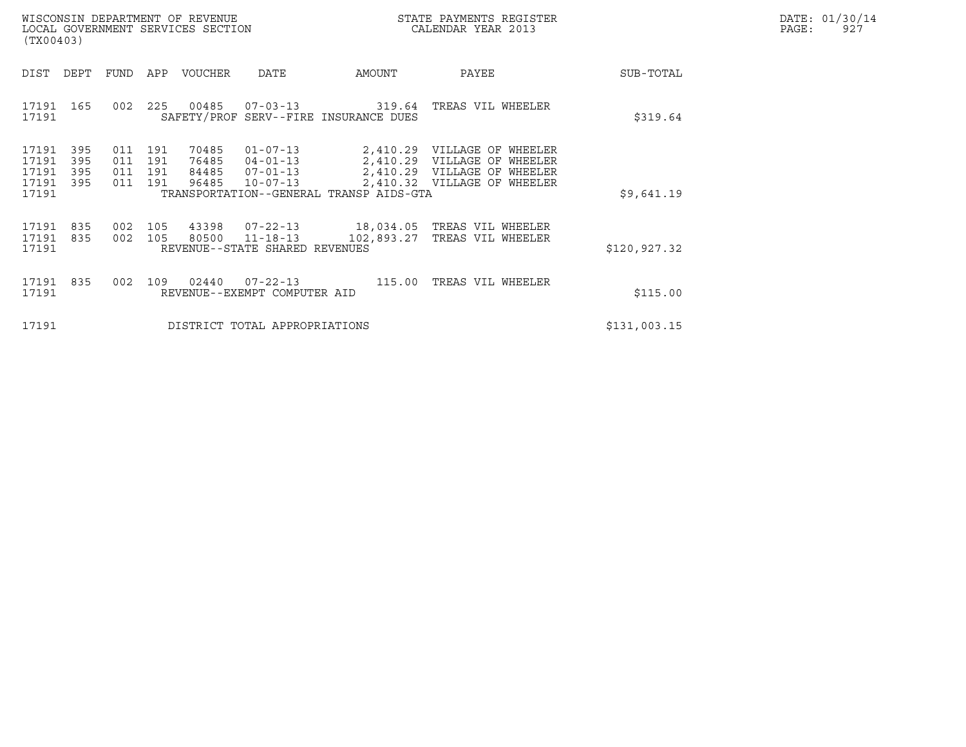| WISCONSIN DEPARTMENT OF REVENUE   | STATE PAYMENTS REGISTER | DATE: 01/30/14 |
|-----------------------------------|-------------------------|----------------|
| LOCAL GOVERNMENT SERVICES SECTION | CALENDAR YEAR 2013      | PAGE:<br>927   |

| WISCONSIN DEPARTMENT OF REVENUE<br>LOCAL GOVERNMENT SERVICES SECTION<br>(TX00403)                                    |                                                                                                                                                                 | STATE PAYMENTS REGISTER<br>CALENDAR YEAR 2013                                                                                 | DATE: 01/30/14<br>PAGE:<br>927 |
|----------------------------------------------------------------------------------------------------------------------|-----------------------------------------------------------------------------------------------------------------------------------------------------------------|-------------------------------------------------------------------------------------------------------------------------------|--------------------------------|
| DIST DEPT<br>FUND APP VOUCHER                                                                                        | DATE<br>AMOUNT                                                                                                                                                  | PAYEE<br>SUB-TOTAL                                                                                                            |                                |
| 17191 165<br>002<br>225 00485<br>17191                                                                               | $07 - 03 - 13$ 319.64<br>SAFETY/PROF SERV--FIRE INSURANCE DUES                                                                                                  | TREAS VIL WHEELER<br>\$319.64                                                                                                 |                                |
| 17191<br>395<br>011 191<br>395<br>17191<br>011<br>191<br>17191<br>395<br>011 191<br>17191<br>395<br>011 191<br>17191 | 70485<br>$01 - 07 - 13$<br>2,410.29<br>76485<br>$04 - 01 - 13$<br>84485<br>$07 - 01 - 13$<br>96485<br>$10 - 07 - 13$<br>TRANSPORTATION--GENERAL TRANSP AIDS-GTA | 2,410.29 VILLAGE OF WHEELER<br>VILLAGE OF WHEELER<br>2,410.29 VILLAGE OF WHEELER<br>2,410.32 VILLAGE OF WHEELER<br>\$9,641.19 |                                |
| 17191<br>835<br>17191<br>835<br>002 105<br>17191                                                                     | 002 105 43398 07-22-13<br>80500<br>$11 - 18 - 13$<br>102,893.27<br>REVENUE--STATE SHARED REVENUES                                                               | 18,034.05 TREAS VIL WHEELER<br>TREAS VIL WHEELER<br>\$120,927.32                                                              |                                |
| 17191<br>835<br>109<br>002<br>17191                                                                                  | 02440<br>$07 - 22 - 13$ 115.00<br>REVENUE--EXEMPT COMPUTER AID                                                                                                  | TREAS VIL WHEELER<br>\$115.00                                                                                                 |                                |
| 17191                                                                                                                | DISTRICT TOTAL APPROPRIATIONS                                                                                                                                   | \$131,003.15                                                                                                                  |                                |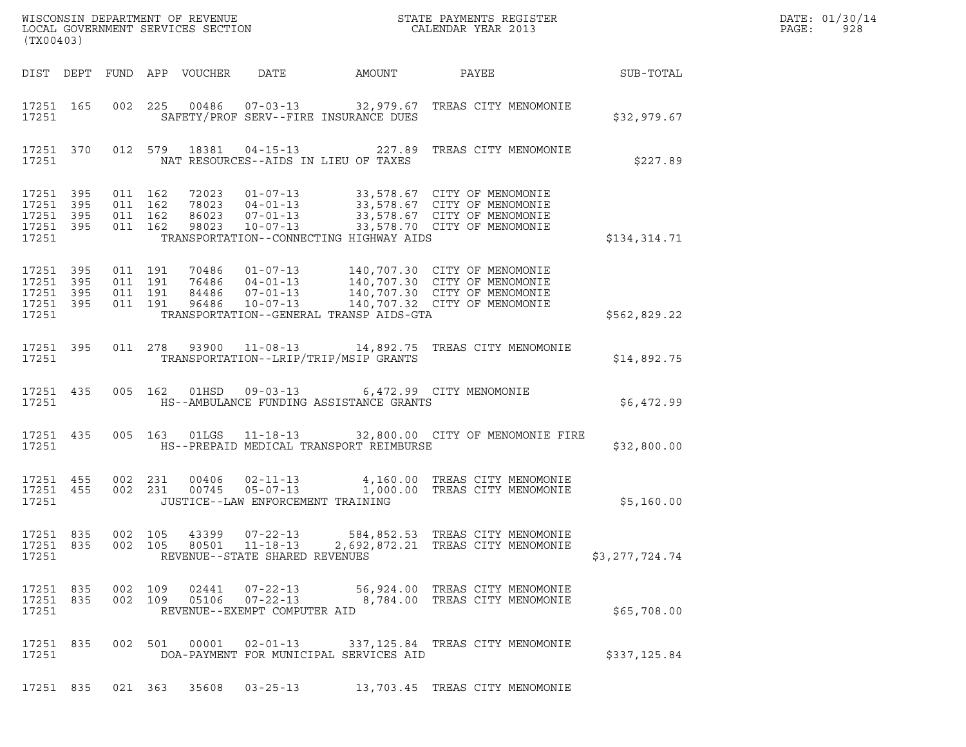| ${\tt WISCOONSIM} \begin{tabular}{lcccc} DEPARTMENT OF REVENUE & & & & & & \begin{tabular}{l} \bf STATE \textit{ PAYMENTS \textit{ REGISTER} \\ \bf LOCAL \textit{GOVERNMENT} \textit{SERVICES} \textit{SECTION} & & & & & \begin{tabular}{l} \bf CALENDAR \textit{ YEAR} \end{tabular} \end{tabular} \end{tabular}$<br>(TX00403) |                                                           |                    |         |                               |                |                                                                    |                                                                                           |                                                                                                                                                                                                  |                | DATE: 01/30/14<br>PAGE:<br>928 |
|-----------------------------------------------------------------------------------------------------------------------------------------------------------------------------------------------------------------------------------------------------------------------------------------------------------------------------------|-----------------------------------------------------------|--------------------|---------|-------------------------------|----------------|--------------------------------------------------------------------|-------------------------------------------------------------------------------------------|--------------------------------------------------------------------------------------------------------------------------------------------------------------------------------------------------|----------------|--------------------------------|
|                                                                                                                                                                                                                                                                                                                                   |                                                           |                    |         |                               |                |                                                                    | DIST DEPT FUND APP VOUCHER DATE AMOUNT                                                    | PAYEE SUB-TOTAL                                                                                                                                                                                  |                |                                |
|                                                                                                                                                                                                                                                                                                                                   | 17251 165<br>17251                                        |                    |         |                               |                |                                                                    | SAFETY/PROF SERV--FIRE INSURANCE DUES                                                     | 002 225 00486 07-03-13 32,979.67 TREAS CITY MENOMONIE                                                                                                                                            | \$32,979.67    |                                |
|                                                                                                                                                                                                                                                                                                                                   | 17251                                                     | 17251 370          |         |                               |                |                                                                    | NAT RESOURCES--AIDS IN LIEU OF TAXES                                                      | 012 579 18381 04-15-13 227.89 TREAS CITY MENOMONIE                                                                                                                                               | \$227.89       |                                |
|                                                                                                                                                                                                                                                                                                                                   | 17251 395<br>17251 395<br>17251 395<br>17251 395<br>17251 |                    | 011 162 | 011 162<br>011 162<br>011 162 |                |                                                                    | TRANSPORTATION--CONNECTING HIGHWAY AIDS                                                   | 72023  01-07-13  33,578.67  CITY OF MENOMONIE<br>78023  04-01-13  33,578.67  CITY OF MENOMONIE<br>86023  07-01-13  33,578.67  CITY OF MENOMONIE<br>98023  10-07-13  33,578.70  CITY OF MENOMONIE | \$134,314.71   |                                |
|                                                                                                                                                                                                                                                                                                                                   | 17251 395<br>17251 395<br>17251 395<br>17251 395<br>17251 |                    |         |                               |                |                                                                    | TRANSPORTATION--GENERAL TRANSP AIDS-GTA                                                   |                                                                                                                                                                                                  | \$562,829.22   |                                |
|                                                                                                                                                                                                                                                                                                                                   | 17251                                                     |                    |         |                               |                |                                                                    | TRANSPORTATION--LRIP/TRIP/MSIP GRANTS                                                     | 17251 395 011 278 93900 11-08-13 14,892.75 TREAS CITY MENOMONIE                                                                                                                                  | \$14,892.75    |                                |
|                                                                                                                                                                                                                                                                                                                                   |                                                           | 17251 435<br>17251 |         |                               |                |                                                                    | 005 162 01HSD 09-03-13 6,472.99 CITY MENOMONIE<br>HS--AMBULANCE FUNDING ASSISTANCE GRANTS |                                                                                                                                                                                                  | \$6,472.99     |                                |
|                                                                                                                                                                                                                                                                                                                                   |                                                           | 17251 435<br>17251 |         |                               |                |                                                                    | HS--PREPAID MEDICAL TRANSPORT REIMBURSE                                                   | 005 163 01LGS 11-18-13 32,800.00 CITY OF MENOMONIE FIRE                                                                                                                                          | \$32,800.00    |                                |
|                                                                                                                                                                                                                                                                                                                                   | 17251 455<br>17251 455<br>17251                           |                    |         |                               |                | JUSTICE--LAW ENFORCEMENT TRAINING                                  |                                                                                           | 002 231 00406 02-11-13 4,160.00 TREAS CITY MENOMONIE<br>002 231 00745 05-07-13 1,000.00 TREAS CITY MENOMONIE                                                                                     | \$5,160.00     |                                |
|                                                                                                                                                                                                                                                                                                                                   | 17251 835<br>17251 835<br>17251                           |                    |         | 002 105<br>002 105            | 43399<br>80501 | $07 - 22 - 13$<br>$11 - 18 - 13$<br>REVENUE--STATE SHARED REVENUES |                                                                                           | 584,852.53 TREAS CITY MENOMONIE<br>2,692,872.21 TREAS CITY MENOMONIE                                                                                                                             | \$3,277,724.74 |                                |
|                                                                                                                                                                                                                                                                                                                                   | 17251 835<br>17251 835<br>17251                           |                    |         | 002 109<br>002 109            | 02441<br>05106 | $07 - 22 - 13$<br>$07 - 22 - 13$<br>REVENUE--EXEMPT COMPUTER AID   |                                                                                           | 56,924.00 TREAS CITY MENOMONIE<br>8,784.00 TREAS CITY MENOMONIE                                                                                                                                  | \$65,708.00    |                                |
|                                                                                                                                                                                                                                                                                                                                   | 17251 835<br>17251                                        |                    |         |                               | 002 501 00001  | $02 - 01 - 13$                                                     | DOA-PAYMENT FOR MUNICIPAL SERVICES AID                                                    | 337,125.84 TREAS CITY MENOMONIE                                                                                                                                                                  | \$337,125.84   |                                |
|                                                                                                                                                                                                                                                                                                                                   | 17251 835                                                 |                    |         |                               | 021 363 35608  | $03 - 25 - 13$                                                     |                                                                                           | 13,703.45 TREAS CITY MENOMONIE                                                                                                                                                                   |                |                                |